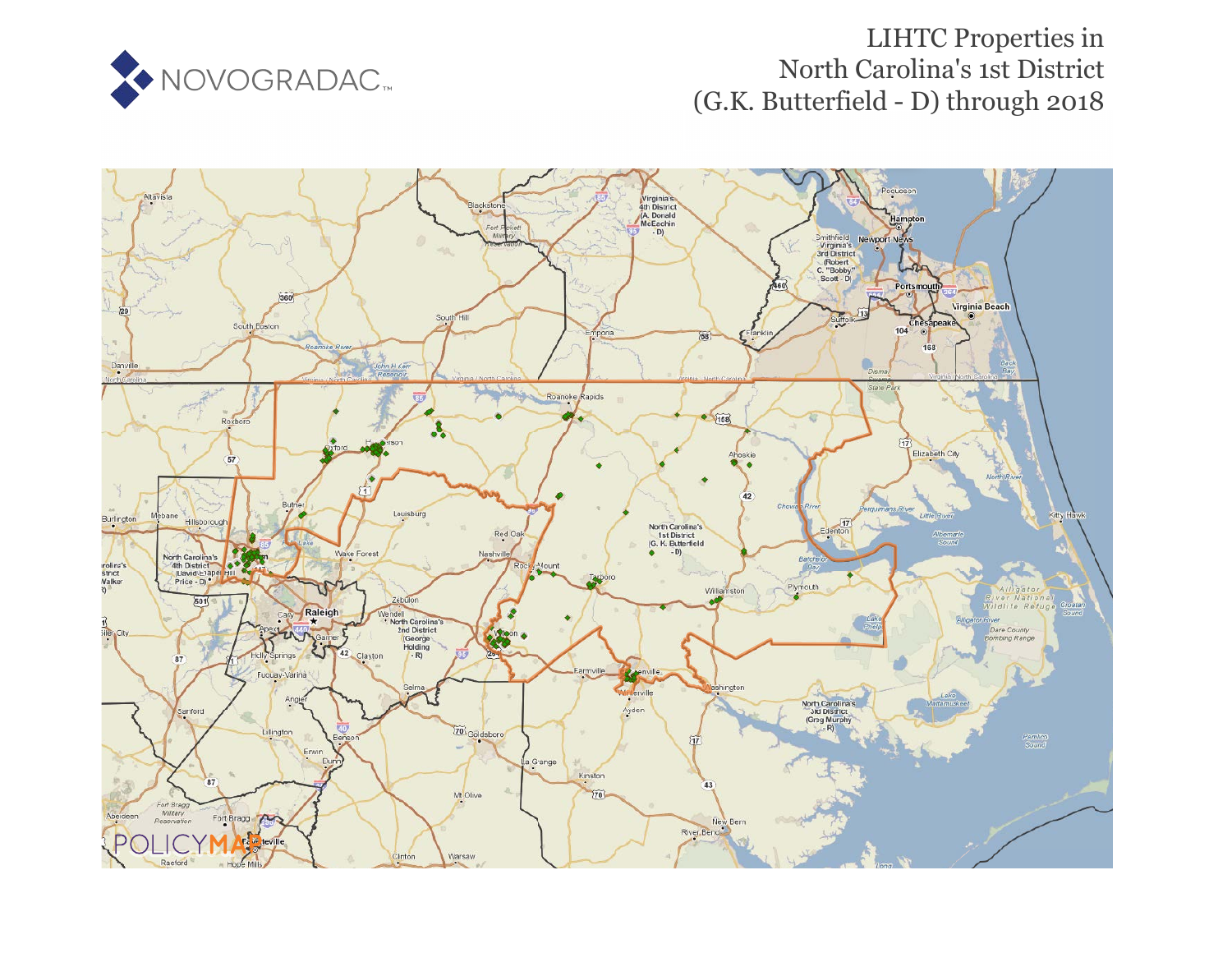

# **LIHTC Properties in** North Carolina's 1st District (G.K. Butterfield - D) through 2018

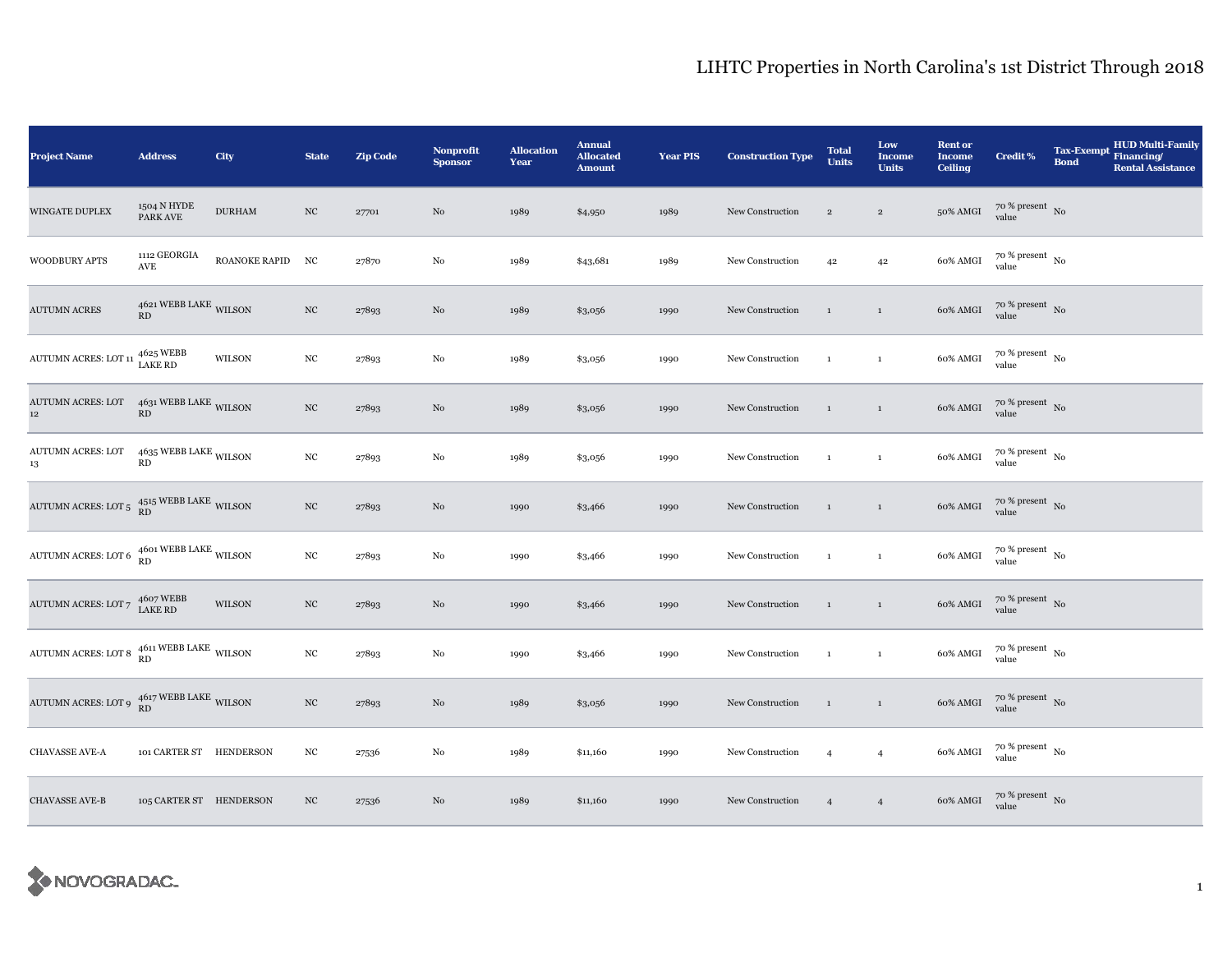| <b>Project Name</b>                                                                                                                       | <b>Address</b>                     | <b>City</b>      | <b>State</b>     | <b>Zip Code</b> | Nonprofit<br><b>Sponsor</b> | <b>Allocation</b><br>Year | <b>Annual</b><br><b>Allocated</b><br><b>Amount</b> | <b>Year PIS</b> | <b>Construction Type</b> | <b>Total</b><br><b>Units</b> | Low<br><b>Income</b><br><b>Units</b> | <b>Rent or</b><br><b>Income</b><br><b>Ceiling</b> | <b>Credit %</b>              | <b>Tax-Exempt</b><br><b>Bond</b> | <b>HUD Multi-Family</b><br>Financing/<br><b>Rental Assistance</b> |
|-------------------------------------------------------------------------------------------------------------------------------------------|------------------------------------|------------------|------------------|-----------------|-----------------------------|---------------------------|----------------------------------------------------|-----------------|--------------------------|------------------------------|--------------------------------------|---------------------------------------------------|------------------------------|----------------------------------|-------------------------------------------------------------------|
| WINGATE DUPLEX                                                                                                                            | 1504 N HYDE<br>PARK AVE            | $\rm DURHAM$     | $_{\mathrm{NC}}$ | 27701           | $\rm No$                    | 1989                      | \$4,950                                            | 1989            | New Construction         | $\overline{2}$               | $\sqrt{2}$                           | 50% AMGI                                          | $70~\%$ present $~$ No value |                                  |                                                                   |
| <b>WOODBURY APTS</b>                                                                                                                      | 1112 GEORGIA<br>AVE                | ROANOKE RAPID NC |                  | 27870           | $\rm No$                    | 1989                      | \$43,681                                           | 1989            | New Construction         | 42                           | 42                                   | 60% AMGI                                          | $70~\%$ present $~$ No value |                                  |                                                                   |
| <b>AUTUMN ACRES</b>                                                                                                                       | $4621\,\mbox{WEBB LAKE}$ WILSON RD |                  | $_{\mathrm{NC}}$ | 27893           | No                          | 1989                      | \$3,056                                            | 1990            | New Construction         | $\mathbf{1}$                 | $\mathbf{1}$                         | 60% AMGI                                          | $70~\%$ present $~$ No value |                                  |                                                                   |
| AUTUMN ACRES: LOT 11 $^{4625}_{\rm LAKE}$ RD                                                                                              |                                    | <b>WILSON</b>    | $_{\rm NC}$      | 27893           | No                          | 1989                      | \$3,056                                            | 1990            | New Construction         | $\mathbf{1}$                 | $\mathbf{1}$                         | 60% AMGI                                          | $70~\%$ present $~$ No value |                                  |                                                                   |
| AUTUMN ACRES: LOT 4631 WEBB LAKE WILSON<br>12 <sup>°</sup>                                                                                | RD                                 |                  | $_{\mathrm{NC}}$ | 27893           | $\rm No$                    | 1989                      | \$3,056                                            | 1990            | New Construction         | $\mathbf{1}$                 | $\,1\,$                              | 60% AMGI                                          | $70~\%$ present $~$ No value |                                  |                                                                   |
| AUTUMN ACRES: LOT $4635$ WEBB LAKE WILSON<br>13                                                                                           | RD                                 |                  | $_{\mathrm{NC}}$ | 27893           | $\rm No$                    | 1989                      | \$3,056                                            | 1990            | New Construction         | $\mathbf{1}$                 | $\mathbf{1}$                         | 60% AMGI                                          | $70~\%$ present $~$ No value |                                  |                                                                   |
| AUTUMN ACRES: LOT 5 $_{\rm RD}^{\rm 4515\,WEBB\;LAKE}$ WILSON                                                                             |                                    |                  | $_{\mathrm{NC}}$ | 27893           | No                          | 1990                      | \$3,466                                            | 1990            | New Construction         | $\mathbf{1}$                 | $\mathbf{1}$                         | 60% AMGI                                          | $70~\%$ present $~$ No value |                                  |                                                                   |
| AUTUMN ACRES: LOT 6 $\rm \frac{4601}{RD}$ WEBB LAKE WILSON                                                                                |                                    |                  | $_{\mathrm{NC}}$ | 27893           | $_{\rm No}$                 | 1990                      | \$3,466                                            | 1990            | New Construction         | $\mathbf{1}$                 | $\,$ 1 $\,$                          | 60% AMGI                                          | $70~\%$ present $~$ No value |                                  |                                                                   |
| $\begin{array}{cc} {\rm AUTUMN \; ACRES: \; LOT} \; 7 & \begin{array}{cc} 4607 \; {\rm WEBB} \\ {\rm LAKE \; RD} \end{array} \end{array}$ |                                    | WILSON           | $_{\mathrm{NC}}$ | 27893           | $\rm No$                    | 1990                      | \$3,466                                            | 1990            | New Construction         | $\mathbf{1}$                 | $\mathbf{1}$                         | 60% AMGI                                          | $70$ % present $\,$ No value |                                  |                                                                   |
| AUTUMN ACRES: LOT 8 $_{\rm RD}^{4611\,\rm WEBB\,\rm LAKE}$ WILSON                                                                         |                                    |                  | $_{\mathrm{NC}}$ | 27893           | $_{\rm No}$                 | 1990                      | \$3,466                                            | 1990            | New Construction         | $\mathbf{1}$                 | $\mathbf{1}$                         | 60% AMGI                                          | $70~\%$ present $~$ No value |                                  |                                                                   |
| AUTUMN ACRES: LOT 9 $\frac{4617}{\rm RD}$ WEBB LAKE WILSON                                                                                |                                    |                  | $_{\mathrm{NC}}$ | 27893           | $\rm No$                    | 1989                      | \$3,056                                            | 1990            | New Construction         | $\mathbf{1}$                 | $\,1\,$                              | 60% AMGI                                          | $70~\%$ present $~$ No value |                                  |                                                                   |
| CHAVASSE AVE-A                                                                                                                            | 101 CARTER ST HENDERSON            |                  | $_{\mathrm{NC}}$ | 27536           | $\rm No$                    | 1989                      | \$11,160                                           | 1990            | New Construction         | $\overline{4}$               | $\overline{4}$                       | 60% AMGI                                          | $70~\%$ present $~$ No value |                                  |                                                                   |
| CHAVASSE AVE-B                                                                                                                            | 105 CARTER ST HENDERSON            |                  | $_{\mathrm{NC}}$ | 27536           | No                          | 1989                      | \$11,160                                           | 1990            | New Construction         | $\overline{4}$               | $\overline{4}$                       | 60% AMGI                                          | $70~\%$ present $~$ No value |                                  |                                                                   |

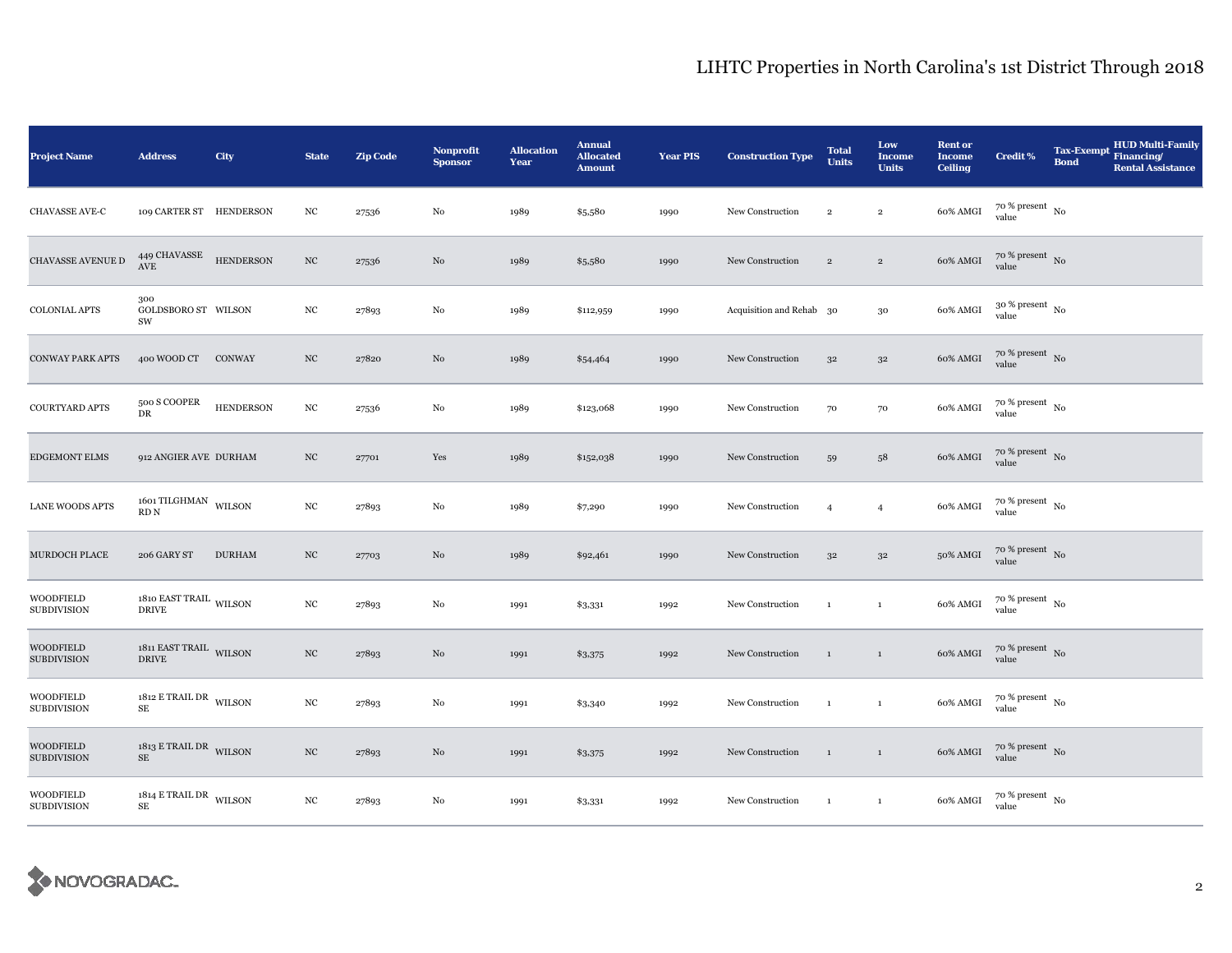| <b>Project Name</b>                    | <b>Address</b>                                                                       | City             | <b>State</b>     | <b>Zip Code</b> | <b>Nonprofit</b><br><b>Sponsor</b> | <b>Allocation</b><br>Year | <b>Annual</b><br><b>Allocated</b><br><b>Amount</b> | <b>Year PIS</b> | <b>Construction Type</b> | <b>Total</b><br><b>Units</b> | Low<br><b>Income</b><br><b>Units</b> | <b>Rent or</b><br><b>Income</b><br><b>Ceiling</b> | <b>Credit %</b>                        | <b>Tax-Exempt</b><br><b>Bond</b> | <b>HUD Multi-Family</b><br>Financing/<br><b>Rental Assistance</b> |
|----------------------------------------|--------------------------------------------------------------------------------------|------------------|------------------|-----------------|------------------------------------|---------------------------|----------------------------------------------------|-----------------|--------------------------|------------------------------|--------------------------------------|---------------------------------------------------|----------------------------------------|----------------------------------|-------------------------------------------------------------------|
| CHAVASSE AVE-C                         | 109 CARTER ST HENDERSON                                                              |                  | NC               | 27536           | $\rm No$                           | 1989                      | \$5,580                                            | 1990            | New Construction         | $\overline{2}$               | $\,2\,$                              | 60% AMGI                                          | $70~\%$ present $~$ No value           |                                  |                                                                   |
| CHAVASSE AVENUE D                      | 449 CHAVASSE HENDERSON<br>$\operatorname{AVE}$                                       |                  | $_{\mathrm{NC}}$ | 27536           | No                                 | 1989                      | \$5,580                                            | 1990            | New Construction         | $\overline{2}$               | $\,2$                                | 60% AMGI                                          | $70\%$ present No<br>value             |                                  |                                                                   |
| <b>COLONIAL APTS</b>                   | 300<br>GOLDSBORO ST WILSON<br>SW                                                     |                  | NC               | 27893           | No                                 | 1989                      | \$112,959                                          | 1990            | Acquisition and Rehab 30 |                              | $30\,$                               | 60% AMGI                                          | $30\,\%$ present $\,$ No $\,$<br>value |                                  |                                                                   |
| <b>CONWAY PARK APTS</b>                | 400 WOOD CT CONWAY                                                                   |                  | NC               | 27820           | No                                 | 1989                      | \$54,464                                           | 1990            | New Construction         | 32                           | $3^{\rm 2}$                          | 60% AMGI                                          | $70~\%$ present $~$ No value           |                                  |                                                                   |
| COURTYARD APTS                         | 500 S COOPER<br>DR                                                                   | <b>HENDERSON</b> | $_{\mathrm{NC}}$ | 27536           | No                                 | 1989                      | \$123,068                                          | 1990            | New Construction         | 70                           | 70                                   | 60% AMGI                                          | $70~\%$ present $~$ No value           |                                  |                                                                   |
| <b>EDGEMONT ELMS</b>                   | 912 ANGIER AVE DURHAM                                                                |                  | $_{\mathrm{NC}}$ | 27701           | Yes                                | 1989                      | \$152,038                                          | 1990            | New Construction         | 59                           | 58                                   | 60% AMGI                                          | $70~\%$ present $~$ No value           |                                  |                                                                   |
| LANE WOODS APTS                        | 1601 TILGHMAN $\,$ WILSON $\,$<br>$\mathop{\mathrm{RD}}\nolimits\mathop{\mathrm{N}}$ |                  | $_{\mathrm{NC}}$ | 27893           | No                                 | 1989                      | \$7,290                                            | 1990            | New Construction         | $\overline{4}$               | $\overline{4}$                       | 60% AMGI                                          | $70~\%$ present $~$ No value           |                                  |                                                                   |
| MURDOCH PLACE                          | 206 GARY ST                                                                          | <b>DURHAM</b>    | $_{\mathrm{NC}}$ | 27703           | $\rm No$                           | 1989                      | \$92,461                                           | 1990            | New Construction         | $3^{\rm 2}$                  | $3^{\rm 2}$                          | 50% AMGI                                          | $70~\%$ present $~$ No value           |                                  |                                                                   |
| <b>WOODFIELD</b><br><b>SUBDIVISION</b> | 1810 EAST TRAIL $_{\rm WILSON}$<br><b>DRIVE</b>                                      |                  | $_{\mathrm{NC}}$ | 27893           | No                                 | 1991                      | \$3,331                                            | 1992            | New Construction         | $\mathbf{1}$                 | $\,$ 1                               | 60% AMGI                                          | $70~\%$ present $~$ No value           |                                  |                                                                   |
| <b>WOODFIELD</b><br><b>SUBDIVISION</b> | $1811$ EAST TRAIL $\,$ WILSON $\,$<br><b>DRIVE</b>                                   |                  | $_{\mathrm{NC}}$ | 27893           | No                                 | 1991                      | \$3,375                                            | 1992            | New Construction         | $\mathbf{1}$                 | $\,$ 1 $\,$                          | 60% AMGI                                          | $70~\%$ present $~$ No value           |                                  |                                                                   |
| <b>WOODFIELD</b><br><b>SUBDIVISION</b> | $1812$ E TRAIL DR $_{\rm WILSON}$<br>$\rm SE$                                        |                  | $_{\rm NC}$      | 27893           | No                                 | 1991                      | \$3,340                                            | 1992            | New Construction         | $\mathbf{1}$                 | $\,$ 1                               | 60% AMGI                                          | $70~\%$ present $~$ No value           |                                  |                                                                   |
| <b>WOODFIELD</b><br><b>SUBDIVISION</b> | $1813$ E TRAIL DR WILSON<br>$\rm SE$                                                 |                  | $_{\mathrm{NC}}$ | 27893           | No                                 | 1991                      | \$3,375                                            | 1992            | New Construction         | $\mathbf{1}$                 | $\,$ 1                               | 60% AMGI                                          | $70~\%$ present $~$ No value           |                                  |                                                                   |
| <b>WOODFIELD</b><br><b>SUBDIVISION</b> | $1814$ E TRAIL DR $_{\rm WILSON}$<br>$\rm SE$                                        |                  | $_{\mathrm{NC}}$ | 27893           | $\rm No$                           | 1991                      | \$3,331                                            | 1992            | New Construction         | $\mathbf{1}$                 | $\mathbf{1}$                         | 60% AMGI                                          | $70~\%$ present $~$ No value           |                                  |                                                                   |

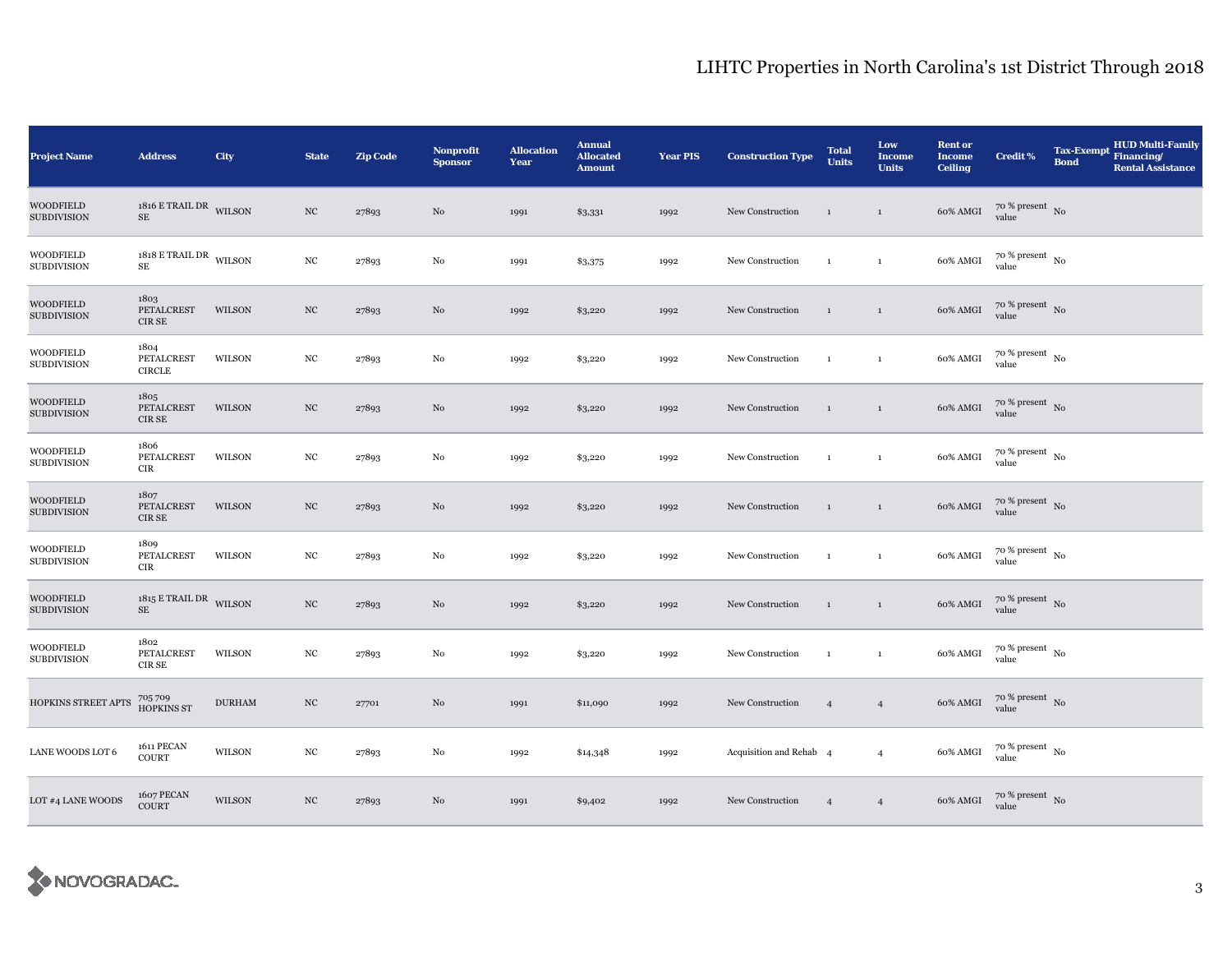| <b>Project Name</b>                    | <b>Address</b>                       | City          | <b>State</b>     | <b>Zip Code</b> | Nonprofit<br><b>Sponsor</b> | <b>Allocation</b><br>Year | <b>Annual</b><br><b>Allocated</b><br><b>Amount</b> | <b>Year PIS</b> | <b>Construction Type</b> | <b>Total</b><br><b>Units</b> | Low<br><b>Income</b><br><b>Units</b> | <b>Rent or</b><br><b>Income</b><br><b>Ceiling</b> | <b>Credit %</b>                          | <b>Tax-Exempt</b><br><b>Bond</b> | <b>HUD Multi-Family</b><br>Financing/<br><b>Rental Assistance</b> |
|----------------------------------------|--------------------------------------|---------------|------------------|-----------------|-----------------------------|---------------------------|----------------------------------------------------|-----------------|--------------------------|------------------------------|--------------------------------------|---------------------------------------------------|------------------------------------------|----------------------------------|-------------------------------------------------------------------|
| <b>WOODFIELD</b><br><b>SUBDIVISION</b> | $1816$ E TRAIL DR WILSON<br>$\rm SE$ |               | $_{\mathrm{NC}}$ | 27893           | No                          | 1991                      | \$3,331                                            | 1992            | New Construction         | $\mathbf{1}$                 | $\mathbf{1}$                         | 60% AMGI                                          | $70~\%$ present $~$ No value             |                                  |                                                                   |
| <b>WOODFIELD</b><br><b>SUBDIVISION</b> | $1818$ E TRAIL DR WILSON<br>SE       |               | $_{\mathrm{NC}}$ | 27893           | $_{\rm No}$                 | 1991                      | \$3,375                                            | 1992            | New Construction         | $\mathbf{1}$                 | $\mathbf{1}$                         | 60% AMGI                                          | $70$ % present $\,$ $_{\rm No}$<br>value |                                  |                                                                   |
| <b>WOODFIELD</b><br><b>SUBDIVISION</b> | 1803<br>PETALCREST<br>CIR SE         | WILSON        | $_{\mathrm{NC}}$ | 27893           | No                          | 1992                      | \$3,220                                            | 1992            | New Construction         | $\mathbf{1}$                 | $\mathbf{1}$                         | 60% AMGI                                          | $70~\%$ present $~$ No value             |                                  |                                                                   |
| <b>WOODFIELD</b><br><b>SUBDIVISION</b> | 1804<br>PETALCREST<br><b>CIRCLE</b>  | WILSON        | $_{\mathrm{NC}}$ | 27893           | No                          | 1992                      | \$3,220                                            | 1992            | New Construction         | $\mathbf{1}$                 | $\mathbf 1$                          | 60% AMGI                                          | $70~\%$ present $~$ No value             |                                  |                                                                   |
| <b>WOODFIELD</b><br><b>SUBDIVISION</b> | 1805<br>PETALCREST<br>CIR SE         | WILSON        | $_{\mathrm{NC}}$ | 27893           | No                          | 1992                      | \$3,220                                            | 1992            | New Construction         | $\mathbf{1}$                 | $\,$ 1                               | 60% AMGI                                          | $70\,\%$ present $\,$ No value           |                                  |                                                                   |
| <b>WOODFIELD</b><br><b>SUBDIVISION</b> | 1806<br>PETALCREST<br><b>CIR</b>     | WILSON        | NC               | 27893           | No                          | 1992                      | \$3,220                                            | 1992            | New Construction         | $\mathbf{1}$                 | $\mathbf{1}$                         | 60% AMGI                                          | $70~\%$ present $~$ No value             |                                  |                                                                   |
| <b>WOODFIELD</b><br><b>SUBDIVISION</b> | 1807<br>PETALCREST<br>CIR SE         | <b>WILSON</b> | $_{\mathrm{NC}}$ | 27893           | No                          | 1992                      | \$3,220                                            | 1992            | New Construction         | $\mathbf{1}$                 | $\mathbf{1}$                         | 60% AMGI                                          | $70\,\%$ present $\,$ No value           |                                  |                                                                   |
| <b>WOODFIELD</b><br><b>SUBDIVISION</b> | 1809<br>PETALCREST<br><b>CIR</b>     | WILSON        | $_{\mathrm{NC}}$ | 27893           | No                          | 1992                      | \$3,220                                            | 1992            | New Construction         | $\mathbf{1}$                 | $\mathbf{1}$                         | 60% AMGI                                          | $70~\%$ present $~$ No value             |                                  |                                                                   |
| <b>WOODFIELD</b><br><b>SUBDIVISION</b> | $1815$ E TRAIL DR WILSON<br>$\rm SE$ |               | $_{\mathrm{NC}}$ | 27893           | No                          | 1992                      | \$3,220                                            | 1992            | New Construction         | $\mathbf{1}$                 | $\mathbf{1}$                         | 60% AMGI                                          | $70\,\%$ present $\,$ No value           |                                  |                                                                   |
| <b>WOODFIELD</b><br><b>SUBDIVISION</b> | 1802<br>PETALCREST<br>CIR SE         | WILSON        | NC               | 27893           | No                          | 1992                      | \$3,220                                            | 1992            | New Construction         | $\mathbf{1}$                 | $\mathbf 1$                          | 60% AMGI                                          | $70\,\%$ present $_{\, \rm No}$<br>value |                                  |                                                                   |
| HOPKINS STREET APTS                    | 705709<br>HOPKINS ST                 | <b>DURHAM</b> | $_{\mathrm{NC}}$ | 27701           | No                          | 1991                      | \$11,090                                           | 1992            | New Construction         | $\overline{4}$               | $\overline{4}$                       | 60% AMGI                                          | $70~\%$ present $~$ No value             |                                  |                                                                   |
| LANE WOODS LOT 6                       | 1611 PECAN<br><b>COURT</b>           | WILSON        | NC               | 27893           | No                          | 1992                      | \$14,348                                           | 1992            | Acquisition and Rehab 4  |                              | $\overline{4}$                       | 60% AMGI                                          | $70~\%$ present $~$ No value             |                                  |                                                                   |
| LOT #4 LANE WOODS                      | 1607 PECAN<br>COURT                  | <b>WILSON</b> | $_{\mathrm{NC}}$ | 27893           | No                          | 1991                      | \$9,402                                            | 1992            | New Construction         | $\overline{4}$               | $\overline{4}$                       | 60% AMGI                                          | $70$ % present $\,$ No value             |                                  |                                                                   |

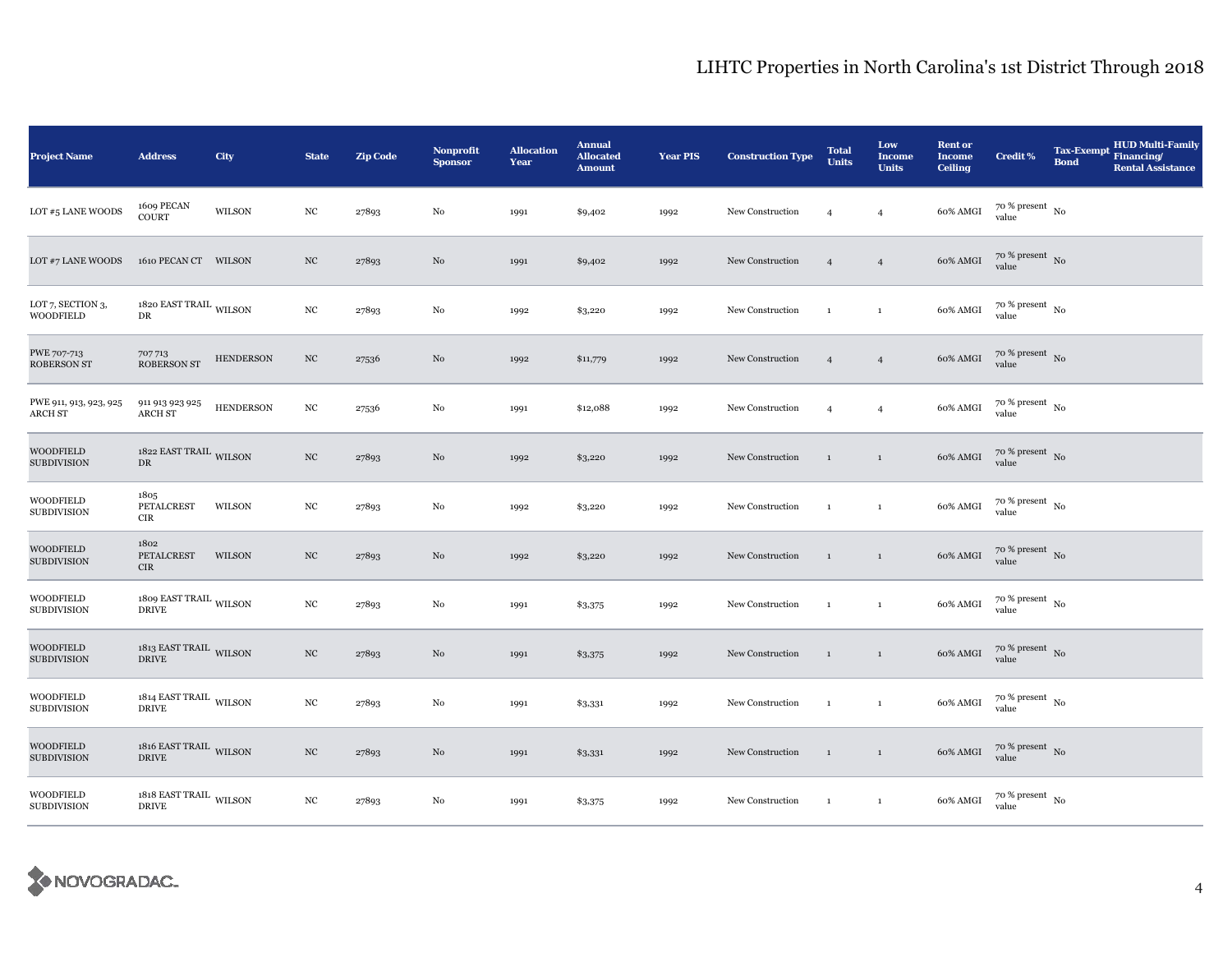| <b>Project Name</b>                    | <b>Address</b>                                     | City             | <b>State</b>     | <b>Zip Code</b> | <b>Nonprofit</b><br><b>Sponsor</b> | <b>Allocation</b><br>Year | <b>Annual</b><br><b>Allocated</b><br><b>Amount</b> | <b>Year PIS</b> | <b>Construction Type</b> | <b>Total</b><br><b>Units</b> | Low<br><b>Income</b><br><b>Units</b> | <b>Rent or</b><br><b>Income</b><br><b>Ceiling</b> | <b>Credit %</b>                        | <b>Tax-Exempt</b><br><b>Bond</b> | <b>HUD Multi-Family</b><br>Financing/<br><b>Rental Assistance</b> |
|----------------------------------------|----------------------------------------------------|------------------|------------------|-----------------|------------------------------------|---------------------------|----------------------------------------------------|-----------------|--------------------------|------------------------------|--------------------------------------|---------------------------------------------------|----------------------------------------|----------------------------------|-------------------------------------------------------------------|
| LOT #5 LANE WOODS                      | 1609 PECAN<br><b>COURT</b>                         | WILSON           | $_{\mathrm{NC}}$ | 27893           | $\rm No$                           | 1991                      | \$9,402                                            | 1992            | New Construction         | $\overline{4}$               | $\overline{4}$                       | 60% AMGI                                          | $70$ % present $_{\, \rm No}$<br>value |                                  |                                                                   |
| LOT #7 LANE WOODS                      | 1610 PECAN CT WILSON                               |                  | $_{\mathrm{NC}}$ | 27893           | No                                 | 1991                      | \$9,402                                            | 1992            | New Construction         | $\overline{4}$               | $\overline{4}$                       | 60% AMGI                                          | $70\%$ present No<br>value             |                                  |                                                                   |
| LOT 7, SECTION 3,<br><b>WOODFIELD</b>  | 1820 EAST TRAIL $_{\rm WILSON}$<br>${\rm DR}$      |                  | $_{\mathrm{NC}}$ | 27893           | No                                 | 1992                      | \$3,220                                            | 1992            | New Construction         | $\mathbf{1}$                 | $\mathbf 1$                          | 60% AMGI                                          | $70$ % present $_{\, \rm No}$<br>value |                                  |                                                                   |
| PWE 707-713<br><b>ROBERSON ST</b>      | 707713<br><b>ROBERSON ST</b>                       | <b>HENDERSON</b> | NC               | 27536           | No                                 | 1992                      | \$11,779                                           | 1992            | New Construction         | $\overline{4}$               | $\overline{4}$                       | 60% AMGI                                          | $70$ % present $\,$ No $\,$<br>value   |                                  |                                                                   |
| PWE 911, 913, 923, 925<br>ARCH ST      | 911 913 923 925<br><b>ARCH ST</b>                  | <b>HENDERSON</b> | $_{\rm NC}$      | 27536           | No                                 | 1991                      | \$12,088                                           | 1992            | New Construction         | $\overline{4}$               | $\overline{4}$                       | 60% AMGI                                          | $70$ % present $\,$ No $\,$<br>value   |                                  |                                                                   |
| <b>WOODFIELD</b><br><b>SUBDIVISION</b> | 1822 EAST TRAIL WILSON<br>DR                       |                  | $_{\mathrm{NC}}$ | 27893           | No                                 | 1992                      | \$3,220                                            | 1992            | New Construction         | $\mathbf{1}$                 | $\,$ 1 $\,$                          | 60% AMGI                                          | $70$ % present $_{\rm No}$             |                                  |                                                                   |
| <b>WOODFIELD</b><br><b>SUBDIVISION</b> | 1805<br>PETALCREST<br><b>CIR</b>                   | WILSON           | $_{\rm NC}$      | 27893           | No                                 | 1992                      | \$3,220                                            | 1992            | New Construction         | $\mathbf{1}$                 | $\mathbf{1}$                         | 60% AMGI                                          | $70~\%$ present $~$ No value           |                                  |                                                                   |
| <b>WOODFIELD</b><br><b>SUBDIVISION</b> | 1802<br>PETALCREST<br><b>CIR</b>                   | WILSON           | $_{\mathrm{NC}}$ | 27893           | $\rm No$                           | 1992                      | \$3,220                                            | 1992            | New Construction         | $\mathbf{1}$                 | $\,$ 1                               | 60% AMGI                                          | $70$ % present $\,$ No value           |                                  |                                                                   |
| <b>WOODFIELD</b><br><b>SUBDIVISION</b> | 1809 EAST TRAIL $_{\rm WILSON}$<br><b>DRIVE</b>    |                  | $_{\rm NC}$      | 27893           | No                                 | 1991                      | \$3,375                                            | 1992            | New Construction         | $\mathbf{1}$                 | $\,$ 1                               | 60% AMGI                                          | $70$ % present $_{\, \rm No}$<br>value |                                  |                                                                   |
| <b>WOODFIELD</b><br><b>SUBDIVISION</b> | $1813$ EAST TRAIL $\,$ WILSON $\,$<br><b>DRIVE</b> |                  | NC               | 27893           | No                                 | 1991                      | \$3,375                                            | 1992            | New Construction         | $\mathbf{1}$                 | $\,$ 1 $\,$                          | 60% AMGI                                          | $70$ % present $\,$ No $\,$<br>value   |                                  |                                                                   |
| <b>WOODFIELD</b><br><b>SUBDIVISION</b> | $1814$ EAST TRAIL $\,$ WILSON $\,$<br><b>DRIVE</b> |                  | $_{\rm NC}$      | 27893           | No                                 | 1991                      | \$3,331                                            | 1992            | New Construction         | $\mathbf{1}$                 | $\,$ 1                               | 60% AMGI                                          | $70$ % present $\,$ No $\,$<br>value   |                                  |                                                                   |
| <b>WOODFIELD</b><br><b>SUBDIVISION</b> | $1816$ EAST TRAIL $\,$ WILSON $\,$<br><b>DRIVE</b> |                  | $_{\mathrm{NC}}$ | 27893           | No                                 | 1991                      | \$3,331                                            | 1992            | New Construction         | $\,$ 1                       | $\,$ 1                               | 60% AMGI                                          | $70$ % present $_{\rm No}$             |                                  |                                                                   |
| <b>WOODFIELD</b><br><b>SUBDIVISION</b> | $1818$ EAST TRAIL $_{\rm WILSON}$<br><b>DRIVE</b>  |                  | $_{\mathrm{NC}}$ | 27893           | No                                 | 1991                      | \$3,375                                            | 1992            | New Construction         | $\mathbf{1}$                 | $\mathbf{1}$                         | 60% AMGI                                          | $70~\%$ present $~$ No value           |                                  |                                                                   |

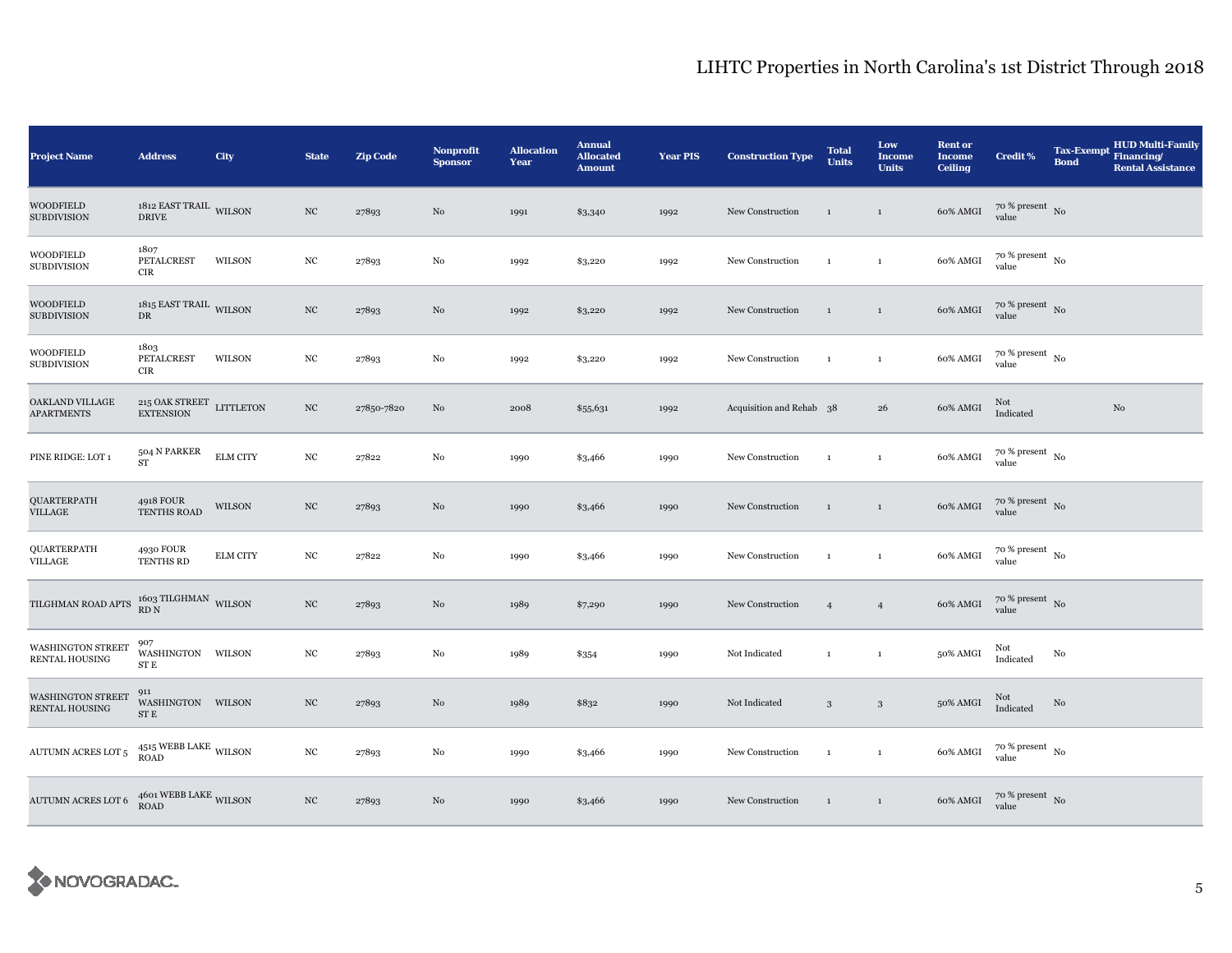| <b>Project Name</b>                               | <b>Address</b>                                     | City            | <b>State</b>     | <b>Zip Code</b> | <b>Nonprofit</b><br><b>Sponsor</b> | <b>Allocation</b><br>Year | <b>Annual</b><br><b>Allocated</b><br><b>Amount</b> | <b>Year PIS</b> | <b>Construction Type</b> | <b>Total</b><br><b>Units</b> | Low<br><b>Income</b><br><b>Units</b> | <b>Rent or</b><br><b>Income</b><br><b>Ceiling</b> | <b>Credit %</b>                      | <b>Tax-Exempt</b><br><b>Bond</b> | <b>HUD Multi-Family</b><br>Financing/<br><b>Rental Assistance</b> |
|---------------------------------------------------|----------------------------------------------------|-----------------|------------------|-----------------|------------------------------------|---------------------------|----------------------------------------------------|-----------------|--------------------------|------------------------------|--------------------------------------|---------------------------------------------------|--------------------------------------|----------------------------------|-------------------------------------------------------------------|
| <b>WOODFIELD</b><br><b>SUBDIVISION</b>            | $1812$ EAST TRAIL $\,$ WILSON $\,$<br><b>DRIVE</b> |                 | $_{\mathrm{NC}}$ | 27893           | $\rm No$                           | 1991                      | \$3,340                                            | 1992            | New Construction         | $\mathbf{1}$                 | $\mathbf{1}$                         | 60% AMGI                                          | $70~\%$ present $~$ No value         |                                  |                                                                   |
| <b>WOODFIELD</b><br><b>SUBDIVISION</b>            | 1807<br>PETALCREST<br>CIR                          | WILSON          | $_{\mathrm{NC}}$ | 27893           | No                                 | 1992                      | \$3,220                                            | 1992            | New Construction         | $\mathbf{1}$                 | $\mathbf{1}$                         | 60% AMGI                                          | $70$ % present $\,$ No $\,$<br>value |                                  |                                                                   |
| WOODFIELD<br><b>SUBDIVISION</b>                   | $1815$ EAST TRAIL $\,$ WILSON $\,$<br>DR           |                 | $_{\mathrm{NC}}$ | 27893           | No                                 | 1992                      | \$3,220                                            | 1992            | New Construction         | $\mathbf{1}$                 | $\mathbf{1}$                         | 60% AMGI                                          | $70~\%$ present $~$ No value         |                                  |                                                                   |
| WOODFIELD<br><b>SUBDIVISION</b>                   | 1803<br>PETALCREST<br>CIR                          | WILSON          | $_{\mathrm{NC}}$ | 27893           | No                                 | 1992                      | \$3,220                                            | 1992            | New Construction         | $\mathbf{1}$                 | $\mathbf{1}$                         | 60% AMGI                                          | $70~\%$ present $~$ No value         |                                  |                                                                   |
| OAKLAND VILLAGE<br><b>APARTMENTS</b>              | $215$ OAK STREET LITTLETON<br><b>EXTENSION</b>     |                 | $_{\mathrm{NC}}$ | 27850-7820      | $\rm No$                           | 2008                      | \$55,631                                           | 1992            | Acquisition and Rehab 38 |                              | 26                                   | 60% AMGI                                          | Not<br>Indicated                     |                                  | No                                                                |
| PINE RIDGE: LOT 1                                 | 504 N PARKER<br>${\rm ST}$                         | <b>ELM CITY</b> | $_{\mathrm{NC}}$ | 27822           | No                                 | 1990                      | \$3,466                                            | 1990            | New Construction         | $\mathbf{1}$                 | $\mathbf{1}$                         | 60% AMGI                                          | $70~\%$ present $~$ No value         |                                  |                                                                   |
| QUARTERPATH<br>VILLAGE                            | 4918 FOUR<br>TENTHS ROAD                           | WILSON          | NC               | 27893           | No                                 | 1990                      | \$3,466                                            | 1990            | New Construction         | $\mathbf{1}$                 | $\mathbf{1}$                         | 60% AMGI                                          | $70\,\%$ present $\,$ No value       |                                  |                                                                   |
| QUARTERPATH<br>VILLAGE                            | 4930 FOUR<br>TENTHS RD                             | <b>ELM CITY</b> | $_{\mathrm{NC}}$ | 27822           | $_{\rm No}$                        | 1990                      | \$3,466                                            | 1990            | New Construction         | $\mathbf{1}$                 | $\mathbf{1}$                         | 60% AMGI                                          | $70$ % present $\,$ No $\,$<br>value |                                  |                                                                   |
| TILGHMAN ROAD APTS                                | $1603$ TILGHMAN $\,$ WILSON RD N                   |                 | $_{\mathrm{NC}}$ | 27893           | No                                 | 1989                      | \$7,290                                            | 1990            | New Construction         | $\overline{4}$               | $\overline{4}$                       | $60\%$ AMGI                                       | $70~\%$ present $~$ No value         |                                  |                                                                   |
| WASHINGTON STREET<br>RENTAL HOUSING               | 907<br>WASHINGTON WILSON<br>${\rm ST}$ E           |                 | NC               | 27893           | No                                 | 1989                      | \$354                                              | 1990            | Not Indicated            | $\mathbf{1}$                 | $\mathbf{1}$                         | 50% AMGI                                          | Not<br>Indicated                     | No                               |                                                                   |
| <b>WASHINGTON STREET</b><br><b>RENTAL HOUSING</b> | 911<br>WASHINGTON WILSON<br>ST E                   |                 | $_{\mathrm{NC}}$ | 27893           | $\rm No$                           | 1989                      | \$832                                              | 1990            | Not Indicated            | $\mathbf{3}$                 | $\mathbf{3}$                         | 50% AMGI                                          | Not<br>Indicated                     | No                               |                                                                   |
| AUTUMN ACRES LOT $\mathbf 5$                      | $4515\,\rm{WEBB\ LAKE}$ WILSON ROAD                |                 | $_{\mathrm{NC}}$ | 27893           | No                                 | 1990                      | \$3,466                                            | 1990            | New Construction         | $\mathbf{1}$                 | $\mathbf{1}$                         | 60% AMGI                                          | $70~\%$ present $~$ No value         |                                  |                                                                   |
| AUTUMN ACRES LOT 6                                | $4601\,\mbox{WEBB LAKE}$ WILSON ROAD               |                 | $_{\mathrm{NC}}$ | 27893           | No                                 | 1990                      | \$3,466                                            | 1990            | New Construction         | $\mathbf{1}$                 | $\mathbf{1}$                         | 60% AMGI                                          | $70$ % present $\,$ No value         |                                  |                                                                   |

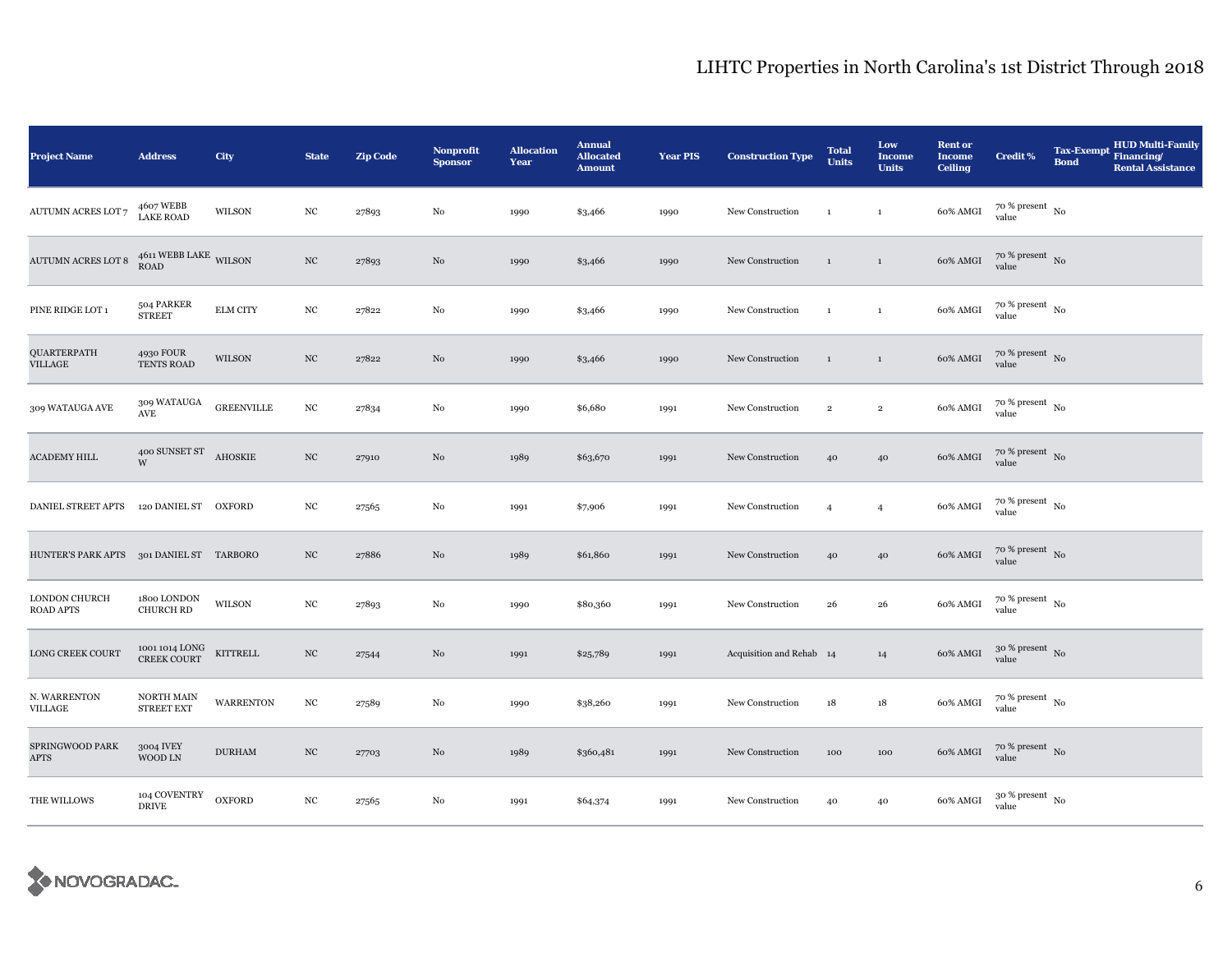| <b>Project Name</b>                      | <b>Address</b>                          | City              | <b>State</b>     | <b>Zip Code</b> | Nonprofit<br><b>Sponsor</b> | <b>Allocation</b><br>Year | <b>Annual</b><br><b>Allocated</b><br><b>Amount</b> | <b>Year PIS</b> | <b>Construction Type</b> | <b>Total</b><br><b>Units</b> | Low<br>Income<br><b>Units</b> | <b>Rent or</b><br><b>Income</b><br>Ceiling | <b>Credit %</b>                        | <b>Tax-Exempt</b><br><b>Bond</b> | <b>HUD Multi-Family</b><br>Financing/<br><b>Rental Assistance</b> |
|------------------------------------------|-----------------------------------------|-------------------|------------------|-----------------|-----------------------------|---------------------------|----------------------------------------------------|-----------------|--------------------------|------------------------------|-------------------------------|--------------------------------------------|----------------------------------------|----------------------------------|-------------------------------------------------------------------|
| <b>AUTUMN ACRES LOT 7</b>                | 4607 WEBB<br><b>LAKE ROAD</b>           | <b>WILSON</b>     | NC               | 27893           | No                          | 1990                      | \$3,466                                            | 1990            | New Construction         | $\mathbf{1}$                 | $\mathbf{1}$                  | 60% AMGI                                   | $70$ % present $_{\, \rm No}$<br>value |                                  |                                                                   |
| <b>AUTUMN ACRES LOT 8</b>                | $4611\,\mathrm{WEBB\ LAKE}$ WILSON ROAD |                   | $_{\mathrm{NC}}$ | 27893           | No                          | 1990                      | \$3,466                                            | 1990            | New Construction         | $\mathbf{1}$                 | $\,$ 1                        | 60% AMGI                                   | $70\%$ present No<br>value             |                                  |                                                                   |
| PINE RIDGE LOT 1                         | 504 PARKER<br><b>STREET</b>             | <b>ELM CITY</b>   | $_{\mathrm{NC}}$ | 27822           | No                          | 1990                      | \$3,466                                            | 1990            | New Construction         | $\mathbf{1}$                 | $\,$ 1                        | 60% AMGI                                   | $70~\%$ present $~$ No value           |                                  |                                                                   |
| QUARTERPATH<br>VILLAGE                   | 4930 FOUR<br>TENTS ROAD                 | <b>WILSON</b>     | $_{\mathrm{NC}}$ | 27822           | No                          | 1990                      | \$3,466                                            | 1990            | New Construction         | $\mathbf{1}$                 | $\,$ 1 $\,$                   | 60% AMGI                                   | $70~\%$ present $~$ No value           |                                  |                                                                   |
| 309 WATAUGA AVE                          | 309 WATAUGA<br>$\operatorname{AVE}$     | <b>GREENVILLE</b> | $_{\mathrm{NC}}$ | 27834           | $\rm No$                    | 1990                      | \$6,680                                            | 1991            | New Construction         | $\,2\,$                      | $\,$ 2                        | 60% AMGI                                   | $70$ % present $\,$ No $\,$<br>value   |                                  |                                                                   |
| <b>ACADEMY HILL</b>                      | 400 SUNSET ST AHOSKIE<br>W              |                   | $_{\mathrm{NC}}$ | 27910           | No                          | 1989                      | \$63,670                                           | 1991            | New Construction         | 40                           | 40                            | $60\%$ AMGI                                | $70~\%$ present $~$ No value           |                                  |                                                                   |
| DANIEL STREET APTS                       | 120 DANIEL ST OXFORD                    |                   | $_{\mathrm{NC}}$ | 27565           | No                          | 1991                      | \$7,906                                            | 1991            | New Construction         | $\overline{4}$               | $\overline{4}$                | 60% AMGI                                   | $70$ % present $_{\rm No}$             |                                  |                                                                   |
| HUNTER'S PARK APTS 301 DANIEL ST TARBORO |                                         |                   | $_{\mathrm{NC}}$ | 27886           | No                          | 1989                      | \$61,860                                           | 1991            | New Construction         | 40                           | 40                            | 60% AMGI                                   | $70$ % present $_{\rm No}$             |                                  |                                                                   |
| LONDON CHURCH<br><b>ROAD APTS</b>        | 1800 LONDON<br><b>CHURCH RD</b>         | $\mathsf{WILSON}$ | $_{\rm NC}$      | 27893           | No                          | 1990                      | \$80,360                                           | 1991            | New Construction         | 26                           | 26                            | 60% AMGI                                   | $70~\%$ present $~$ No value           |                                  |                                                                   |
| <b>LONG CREEK COURT</b>                  | 1001 1014 LONG<br>CREEK COURT           | KITTRELL          | $_{\mathrm{NC}}$ | 27544           | $\rm No$                    | 1991                      | \$25,789                                           | 1991            | Acquisition and Rehab 14 |                              | 14                            | 60% AMGI                                   | $30~\%$ present $~$ No value           |                                  |                                                                   |
| N. WARRENTON<br>VILLAGE                  | NORTH MAIN<br><b>STREET EXT</b>         | <b>WARRENTON</b>  | $_{\mathrm{NC}}$ | 27589           | No                          | 1990                      | \$38,260                                           | 1991            | New Construction         | 18                           | 18                            | 60% AMGI                                   | $70$ % present $\,$ No $\,$<br>value   |                                  |                                                                   |
| SPRINGWOOD PARK<br><b>APTS</b>           | 3004 IVEY<br>WOOD LN                    | <b>DURHAM</b>     | $_{\mathrm{NC}}$ | 27703           | No                          | 1989                      | \$360,481                                          | 1991            | New Construction         | 100                          | 100                           | 60% AMGI                                   | $70$ % present $_{\rm No}$             |                                  |                                                                   |
| THE WILLOWS                              | 104 COVENTRY<br><b>DRIVE</b>            | <b>OXFORD</b>     | $_{\mathrm{NC}}$ | 27565           | No                          | 1991                      | \$64,374                                           | 1991            | New Construction         | 40                           | 40                            | 60% AMGI                                   | $30\,\%$ present $\,$ No value         |                                  |                                                                   |

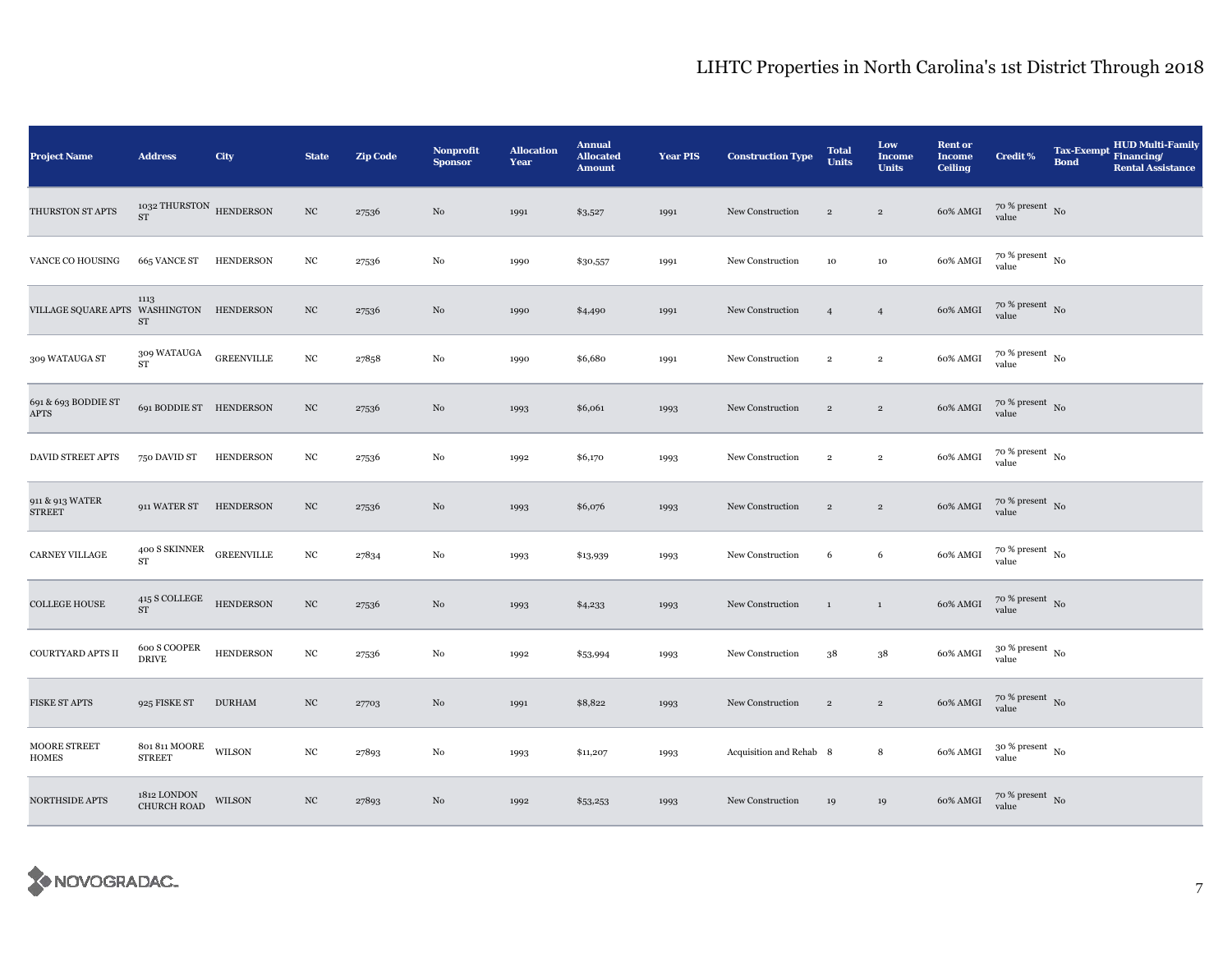| <b>Project Name</b>                      | <b>Address</b>                             | City             | <b>State</b>     | <b>Zip Code</b> | Nonprofit<br><b>Sponsor</b> | <b>Allocation</b><br>Year | <b>Annual</b><br><b>Allocated</b><br><b>Amount</b> | <b>Year PIS</b> | <b>Construction Type</b> | <b>Total</b><br><b>Units</b> | Low<br><b>Income</b><br><b>Units</b> | <b>Rent or</b><br><b>Income</b><br><b>Ceiling</b> | <b>Credit %</b>                | <b>Tax-Exempt</b><br><b>Bond</b> | <b>HUD Multi-Family</b><br>Financing/<br><b>Rental Assistance</b> |
|------------------------------------------|--------------------------------------------|------------------|------------------|-----------------|-----------------------------|---------------------------|----------------------------------------------------|-----------------|--------------------------|------------------------------|--------------------------------------|---------------------------------------------------|--------------------------------|----------------------------------|-------------------------------------------------------------------|
| THURSTON ST APTS                         | 1032 THURSTON HENDERSON<br><b>ST</b>       |                  | $_{\mathrm{NC}}$ | 27536           | $\rm No$                    | 1991                      | \$3,527                                            | 1991            | New Construction         | $\overline{2}$               | $\overline{2}$                       | 60% AMGI                                          | $70~\%$ present $~$ No value   |                                  |                                                                   |
| VANCE CO HOUSING                         | 665 VANCE ST                               | HENDERSON        | $_{\mathrm{NC}}$ | 27536           | No                          | 1990                      | \$30,557                                           | 1991            | New Construction         | $10\,$                       | 10                                   | 60% AMGI                                          | $70~\%$ present $~$ No value   |                                  |                                                                   |
| VILLAGE SQUARE APTS WASHINGTON HENDERSON | 1113<br>ST                                 |                  | $_{\mathrm{NC}}$ | 27536           | No                          | 1990                      | \$4,490                                            | 1991            | New Construction         | $\overline{4}$               | $\overline{4}$                       | 60% AMGI                                          | $70~\%$ present $~$ No value   |                                  |                                                                   |
| 309 WATAUGA ST                           | $309\rm~WATAUGA~~$ GREENVILLE<br><b>ST</b> |                  | $_{\mathrm{NC}}$ | 27858           | No                          | 1990                      | \$6,680                                            | 1991            | New Construction         | $\overline{2}$               | $\overline{2}$                       | 60% AMGI                                          | $70~\%$ present $~$ No value   |                                  |                                                                   |
| 691 & 693 BODDIE ST<br>APTS              | 691 BODDIE ST HENDERSON                    |                  | $_{\mathrm{NC}}$ | 27536           | No                          | 1993                      | \$6,061                                            | 1993            | New Construction         | $\,2\,$                      | $\,2\,$                              | 60% AMGI                                          | $70~\%$ present $~$ No value   |                                  |                                                                   |
| DAVID STREET APTS                        | 750 DAVID ST                               | <b>HENDERSON</b> | $_{\mathrm{NC}}$ | 27536           | No                          | 1992                      | \$6,170                                            | 1993            | New Construction         | $\,2\,$                      | $\mathbf 2$                          | 60% AMGI                                          | $70~\%$ present $~$ No value   |                                  |                                                                   |
| 911 & 913 WATER<br><b>STREET</b>         | 911 WATER ST HENDERSON                     |                  | $_{\mathrm{NC}}$ | 27536           | No                          | 1993                      | \$6,076                                            | 1993            | New Construction         | $\,2\,$                      | $\,2\,$                              | 60% AMGI                                          | $70~\%$ present $~$ No value   |                                  |                                                                   |
| <b>CARNEY VILLAGE</b>                    | 400 S SKINNER GREENVILLE<br>ST             |                  | $_{\mathrm{NC}}$ | 27834           | $_{\rm No}$                 | 1993                      | \$13,939                                           | 1993            | New Construction         | 6                            | 6                                    | 60% AMGI                                          | $70~\%$ present $~$ No value   |                                  |                                                                   |
| <b>COLLEGE HOUSE</b>                     | $415$ S COLLEGE HENDERSON<br>${\rm ST}$    |                  | $_{\mathrm{NC}}$ | 27536           | No                          | 1993                      | \$4,233                                            | 1993            | New Construction         | $\mathbf{1}$                 | $\mathbf{1}$                         | 60% AMGI                                          | $70~\%$ present $~$ No value   |                                  |                                                                   |
| COURTYARD APTS II                        | $600$ S COOPER<br><b>DRIVE</b>             | <b>HENDERSON</b> | $_{\mathrm{NC}}$ | 27536           | No                          | 1992                      | \$53,994                                           | 1993            | New Construction         | 38                           | $38\,$                               | 60% AMGI                                          | $30~\%$ present $~$ No value   |                                  |                                                                   |
| FISKE ST APTS                            | 925 FISKE ST                               | <b>DURHAM</b>    | $_{\mathrm{NC}}$ | 27703           | No                          | 1991                      | \$8,822                                            | 1993            | New Construction         | $\sqrt{2}$                   | $\sqrt{2}$                           | 60% AMGI                                          | $70\,\%$ present $\,$ No value |                                  |                                                                   |
| <b>MOORE STREET</b><br><b>HOMES</b>      | 801 811 MOORE<br><b>STREET</b>             | WILSON           | $_{\mathrm{NC}}$ | 27893           | No                          | 1993                      | \$11,207                                           | 1993            | Acquisition and Rehab 8  |                              | 8                                    | 60% AMGI                                          | $30~\%$ present $~$ No value   |                                  |                                                                   |
| NORTHSIDE APTS                           | 1812 LONDON<br>CHURCH ROAD                 | WILSON           | $_{\mathrm{NC}}$ | 27893           | No                          | 1992                      | \$53,253                                           | 1993            | New Construction         | 19                           | 19                                   | 60% AMGI                                          | $70~\%$ present $~$ No value   |                                  |                                                                   |

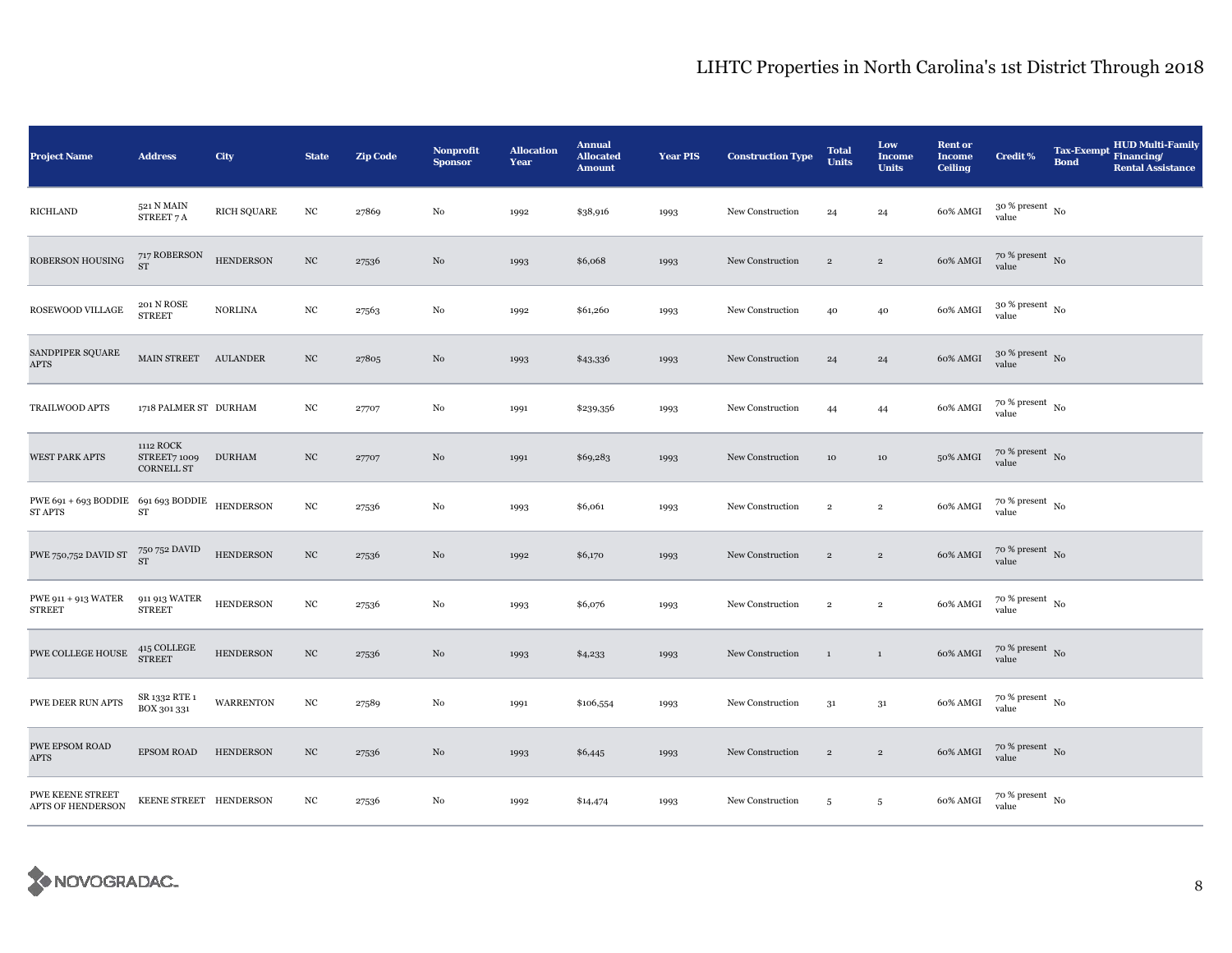| <b>Project Name</b>                                                                                      | <b>Address</b>                                 | City               | <b>State</b>     | <b>Zip Code</b> | <b>Nonprofit</b><br><b>Sponsor</b> | <b>Allocation</b><br>Year | <b>Annual</b><br><b>Allocated</b><br><b>Amount</b> | <b>Year PIS</b> | <b>Construction Type</b> | <b>Total</b><br><b>Units</b> | Low<br><b>Income</b><br><b>Units</b> | <b>Rent or</b><br><b>Income</b><br><b>Ceiling</b> | <b>Credit %</b>                | <b>Tax-Exempt</b><br><b>Bond</b> | <b>HUD Multi-Family</b><br>Financing/<br><b>Rental Assistance</b> |
|----------------------------------------------------------------------------------------------------------|------------------------------------------------|--------------------|------------------|-----------------|------------------------------------|---------------------------|----------------------------------------------------|-----------------|--------------------------|------------------------------|--------------------------------------|---------------------------------------------------|--------------------------------|----------------------------------|-------------------------------------------------------------------|
| <b>RICHLAND</b>                                                                                          | 521 N MAIN<br>STREET 7 A                       | <b>RICH SQUARE</b> | $_{\mathrm{NC}}$ | 27869           | $\rm No$                           | 1992                      | \$38,916                                           | 1993            | New Construction         | 24                           | 24                                   | 60% AMGI                                          | $30\,\%$ present $\,$ No value |                                  |                                                                   |
| ROBERSON HOUSING                                                                                         | $717$ ROBERSON $\rm ST$                        | <b>HENDERSON</b>   | $_{\mathrm{NC}}$ | 27536           | No                                 | 1993                      | \$6,068                                            | 1993            | New Construction         | $\overline{2}$               | $\overline{2}$                       | 60% AMGI                                          | $70~\%$ present $~$ No value   |                                  |                                                                   |
| ROSEWOOD VILLAGE                                                                                         | 201 N ROSE<br><b>STREET</b>                    | NORLINA            | $_{\mathrm{NC}}$ | 27563           | No                                 | 1992                      | \$61,260                                           | 1993            | New Construction         | 40                           | 40                                   | 60% AMGI                                          | $30~\%$ present $~$ No value   |                                  |                                                                   |
| SANDPIPER SQUARE<br><b>APTS</b>                                                                          | MAIN STREET AULANDER                           |                    | $_{\mathrm{NC}}$ | 27805           | $\rm No$                           | 1993                      | \$43,336                                           | 1993            | New Construction         | 24                           | ${\bf 24}$                           | 60% AMGI                                          | $30~\%$ present $~$ No value   |                                  |                                                                   |
| TRAILWOOD APTS                                                                                           | 1718 PALMER ST DURHAM                          |                    | $_{\mathrm{NC}}$ | 27707           | No                                 | 1991                      | \$239,356                                          | 1993            | New Construction         | 44                           | 44                                   | 60% AMGI                                          | $70~\%$ present $~$ No value   |                                  |                                                                   |
| <b>WEST PARK APTS</b>                                                                                    | 1112 ROCK<br>STREET7 1009<br><b>CORNELL ST</b> | <b>DURHAM</b>      | $_{\mathrm{NC}}$ | 27707           | No                                 | 1991                      | \$69,283                                           | 1993            | New Construction         | 10                           | 10                                   | 50% AMGI                                          | $70~\%$ present $~$ No value   |                                  |                                                                   |
| $\begin{tabular}{ll} PWE 691 + 693 BODDIE & 691 693 BODDIE & HENDERSON \\ ST APTS & ST \\ \end{tabular}$ |                                                |                    | $_{\mathrm{NC}}$ | 27536           | No                                 | 1993                      | \$6,061                                            | 1993            | New Construction         | $\,2\,$                      | $\,$ 2 $\,$                          | 60% AMGI                                          | $70~\%$ present $~$ No value   |                                  |                                                                   |
| ${\rm PWE}$ 750,752 DAVID ST                                                                             | $750\,752$ DAVID ST                            | <b>HENDERSON</b>   | $_{\mathrm{NC}}$ | 27536           | No                                 | 1992                      | \$6,170                                            | 1993            | New Construction         | $\overline{2}$               | $\,2\,$                              | $60\%$ AMGI                                       | $70$ % present $_{\rm No}$     |                                  |                                                                   |
| PWE 911 + 913 WATER<br><b>STREET</b>                                                                     | 911 913 WATER<br><b>STREET</b>                 | <b>HENDERSON</b>   | $_{\mathrm{NC}}$ | 27536           | No                                 | 1993                      | \$6,076                                            | 1993            | New Construction         | $\,2\,$                      | $\,$ 2 $\,$                          | 60% AMGI                                          | $70~\%$ present $~$ No value   |                                  |                                                                   |
| PWE COLLEGE HOUSE                                                                                        | $415$ COLLEGE STREET                           | <b>HENDERSON</b>   | $_{\mathrm{NC}}$ | 27536           | No                                 | 1993                      | \$4,233                                            | 1993            | New Construction         | $\mathbf{1}$                 | $\mathbf{1}$                         | 60% AMGI                                          | $70~\%$ present $~$ No value   |                                  |                                                                   |
| PWE DEER RUN APTS                                                                                        | SR 1332 RTE 1<br>BOX 301 331                   | <b>WARRENTON</b>   | $_{\mathrm{NC}}$ | 27589           | No                                 | 1991                      | \$106,554                                          | 1993            | New Construction         | $3^{\rm 1}$                  | $3^{\rm 1}$                          | 60% AMGI                                          | $70~\%$ present $~$ No value   |                                  |                                                                   |
| PWE EPSOM ROAD<br><b>APTS</b>                                                                            | <b>EPSOM ROAD</b>                              | <b>HENDERSON</b>   | $_{\mathrm{NC}}$ | 27536           | No                                 | 1993                      | \$6,445                                            | 1993            | New Construction         | $\overline{2}$               | $\,2\,$                              | 60% AMGI                                          | $70~\%$ present $~$ No value   |                                  |                                                                   |
| PWE KEENE STREET<br>APTS OF HENDERSON                                                                    | KEENE STREET HENDERSON                         |                    | NC               | 27536           | No                                 | 1992                      | \$14,474                                           | 1993            | New Construction         | 5                            | $\sqrt{5}$                           | 60% AMGI                                          | $70$ % present $_{\rm N0}$     |                                  |                                                                   |

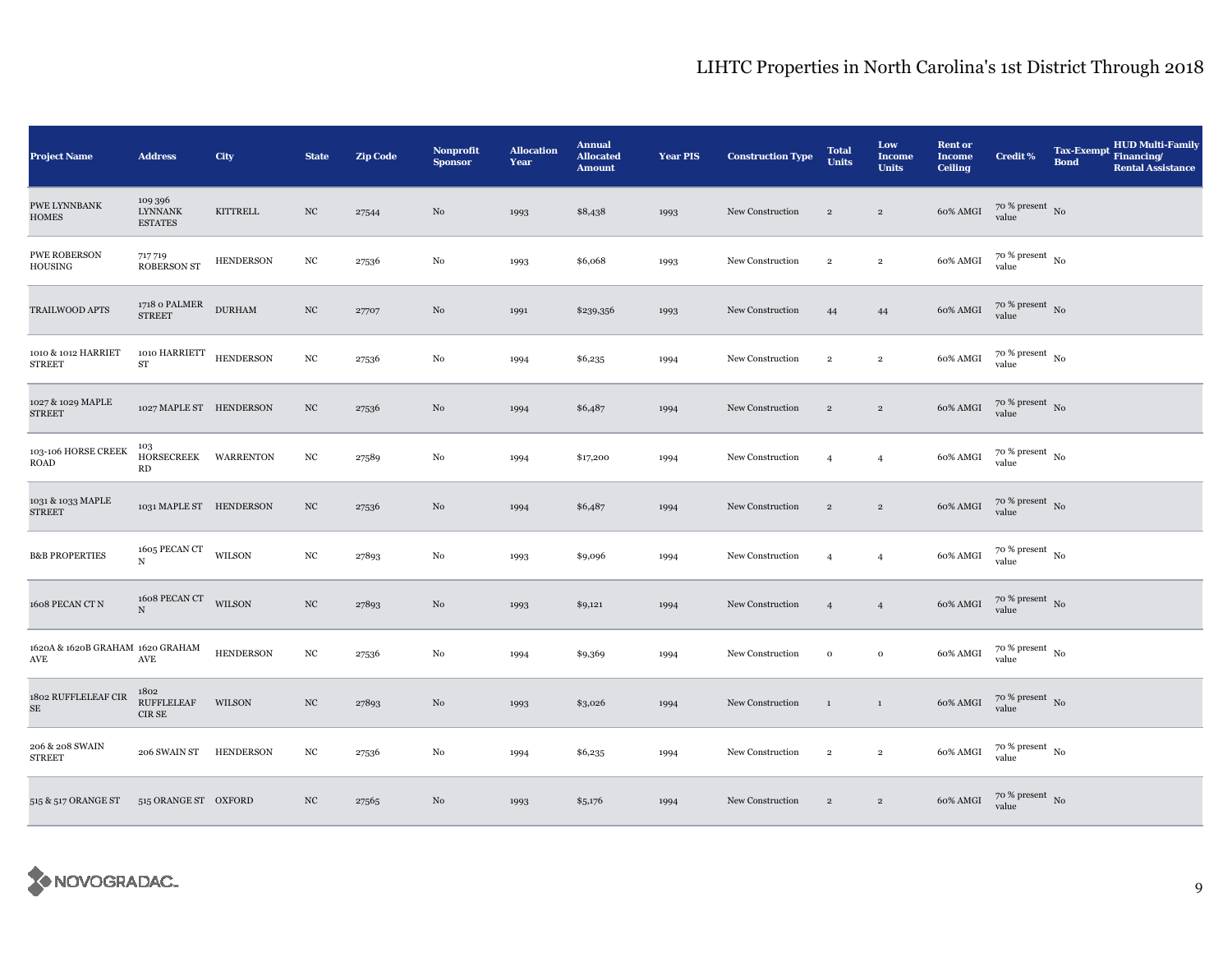| <b>Project Name</b>                                      | <b>Address</b>                                   | City             | <b>State</b>     | <b>Zip Code</b> | <b>Nonprofit</b><br><b>Sponsor</b> | <b>Allocation</b><br>Year | <b>Annual</b><br><b>Allocated</b><br><b>Amount</b> | <b>Year PIS</b> | <b>Construction Type</b> | <b>Total</b><br><b>Units</b> | Low<br>Income<br><b>Units</b> | <b>Rent or</b><br><b>Income</b><br><b>Ceiling</b> | <b>Credit %</b>                          | Tax-Exempt Financing/<br><b>Bond</b> | <b>HUD Multi-Family</b><br><b>Rental Assistance</b> |
|----------------------------------------------------------|--------------------------------------------------|------------------|------------------|-----------------|------------------------------------|---------------------------|----------------------------------------------------|-----------------|--------------------------|------------------------------|-------------------------------|---------------------------------------------------|------------------------------------------|--------------------------------------|-----------------------------------------------------|
| PWE LYNNBANK<br><b>HOMES</b>                             | 109 396<br><b>LYNNANK</b><br><b>ESTATES</b>      | KITTRELL         | $_{\mathrm{NC}}$ | 27544           | No                                 | 1993                      | \$8,438                                            | 1993            | New Construction         | $\,2\,$                      | $\overline{2}$                | 60% AMGI                                          | $70~\%$ present $~$ No value             |                                      |                                                     |
| <b>PWE ROBERSON</b><br>HOUSING                           | 717 719<br><b>ROBERSON ST</b>                    | <b>HENDERSON</b> | $_{\mathrm{NC}}$ | 27536           | No                                 | 1993                      | \$6,068                                            | 1993            | New Construction         | $\overline{2}$               | $\overline{2}$                | 60% AMGI                                          | $70\%$ present No<br>value               |                                      |                                                     |
| TRAILWOOD APTS                                           | $1718$ o $\verb PALMER $ DURHAM<br><b>STREET</b> |                  | $_{\mathrm{NC}}$ | 27707           | No                                 | 1991                      | \$239,356                                          | 1993            | New Construction         | 44                           | 44                            | 60% AMGI                                          | $70~\%$ present $~$ No value             |                                      |                                                     |
| 1010 & 1012 HARRIET<br><b>STREET</b>                     | 1010 HARRIETT HENDERSON<br>${\rm ST}$            |                  | $_{\mathrm{NC}}$ | 27536           | No                                 | 1994                      | \$6,235                                            | 1994            | New Construction         | $\,2\,$                      | $\mathbf 2$                   | 60% AMGI                                          | $70$ % present $_{\, \rm No}$<br>value   |                                      |                                                     |
| 1027 & 1029 MAPLE<br><b>STREET</b>                       | 1027 MAPLE ST HENDERSON                          |                  | $_{\rm NC}$      | 27536           | No                                 | 1994                      | \$6,487                                            | 1994            | New Construction         | $\,2\,$                      | $\,2\,$                       | 60% AMGI                                          | $70~\%$ present $~$ No value             |                                      |                                                     |
| 103-106 HORSE CREEK<br>ROAD                              | 103<br>HORSECREEK WARRENTON<br>RD                |                  | $_{\mathrm{NC}}$ | 27589           | $\rm No$                           | 1994                      | \$17,200                                           | 1994            | New Construction         | $\overline{4}$               | $\overline{4}$                | 60% AMGI                                          | $70~\%$ present $~$ No value             |                                      |                                                     |
| 1031 & 1033 MAPLE<br><b>STREET</b>                       | 1031 MAPLE ST HENDERSON                          |                  | $_{\mathrm{NC}}$ | 27536           | No                                 | 1994                      | \$6,487                                            | 1994            | New Construction         | $\,2\,$                      | $\overline{2}$                | 60% AMGI                                          | $70~\%$ present $~$ No value             |                                      |                                                     |
| <b>B&amp;B PROPERTIES</b>                                | 1605 PECAN CT WILSON<br>$\mathbf N$              |                  | $_{\mathrm{NC}}$ | 27893           | No                                 | 1993                      | \$9,096                                            | 1994            | New Construction         | $\overline{4}$               | $\overline{4}$                | 60% AMGI                                          | $70~\%$ present $~$ No value             |                                      |                                                     |
| 1608 PECAN CT N                                          | 1608 PECAN CT WILSON<br>$\mathbf N$              |                  | $_{\mathrm{NC}}$ | 27893           | No                                 | 1993                      | \$9,121                                            | 1994            | New Construction         | $\overline{4}$               | $\overline{4}$                | 60% AMGI                                          | $70$ % present $_{\rm No}$               |                                      |                                                     |
| 1620A & 1620B GRAHAM 1620 GRAHAM<br>$\operatorname{AVE}$ | $\operatorname{AVE}$                             | <b>HENDERSON</b> | $_{\mathrm{NC}}$ | 27536           | No                                 | 1994                      | \$9,369                                            | 1994            | New Construction         | $\mathbf 0$                  | $\mathbf 0$                   | 60% AMGI                                          | $70\,\%$ present $_{\,$ No $\,$<br>value |                                      |                                                     |
| 1802 RUFFLELEAF CIR<br>$\rm SE$                          | 1802<br><b>RUFFLELEAF</b><br>CIR SE              | WILSON           | $_{\mathrm{NC}}$ | 27893           | No                                 | 1993                      | \$3,026                                            | 1994            | New Construction         | $\mathbf{1}$                 | $\mathbf{1}$                  | 60% AMGI                                          | $70\,\%$ present $\,$ No value           |                                      |                                                     |
| 206 & 208 SWAIN<br><b>STREET</b>                         | 206 SWAIN ST                                     | <b>HENDERSON</b> | $_{\mathrm{NC}}$ | 27536           | No                                 | 1994                      | \$6,235                                            | 1994            | New Construction         | $\,2\,$                      | $\overline{2}$                | 60% AMGI                                          | $70~\%$ present $~$ No value             |                                      |                                                     |
| 515 & 517 ORANGE ST                                      | 515 ORANGE ST OXFORD                             |                  | $_{\mathrm{NC}}$ | 27565           | No                                 | 1993                      | \$5,176                                            | 1994            | New Construction         | $\,2\,$                      | $\overline{2}$                | 60% AMGI                                          | $70~\%$ present $~$ No value             |                                      |                                                     |

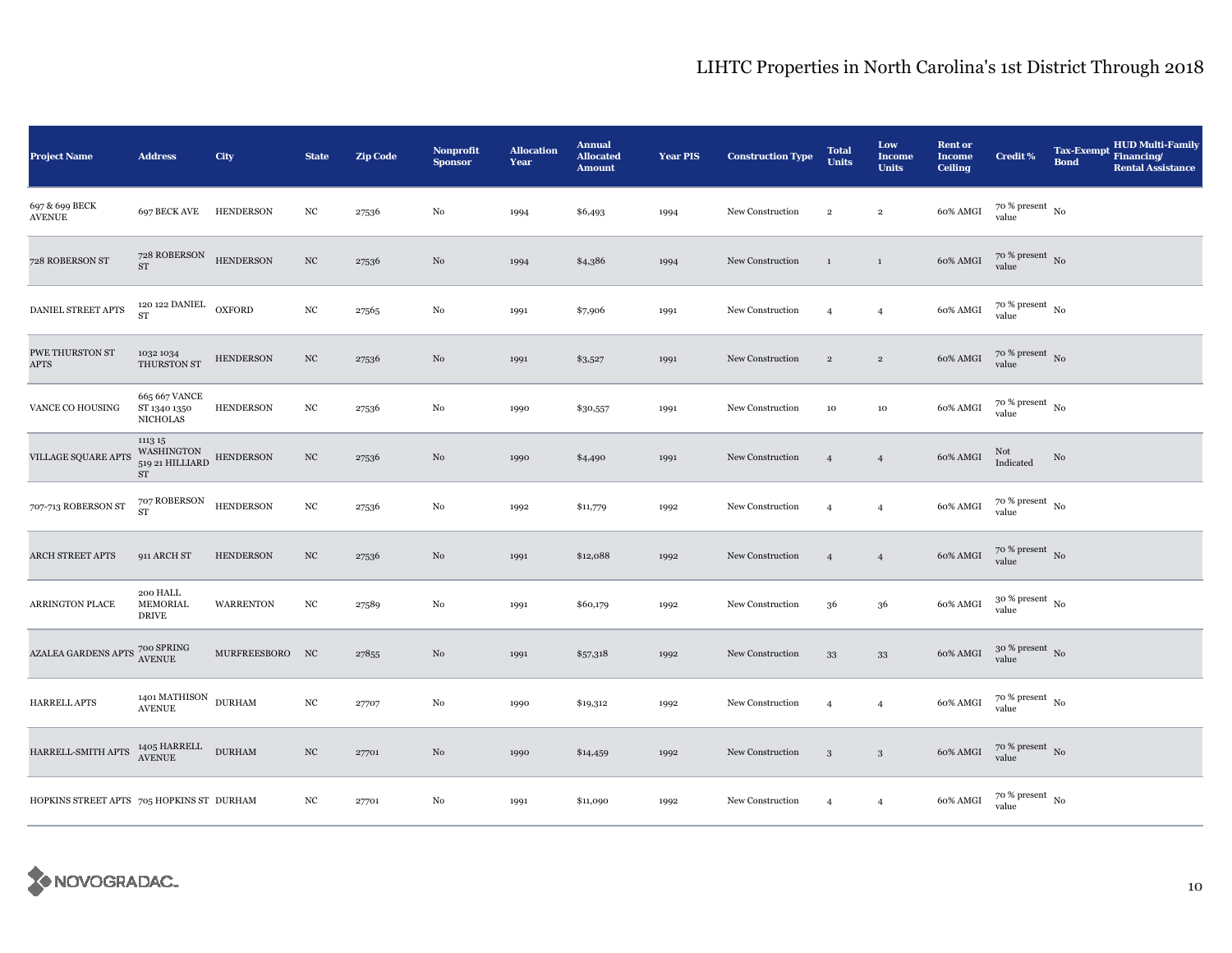| <b>Project Name</b>                                                                                                       | <b>Address</b>                                                                        | City             | <b>State</b>     | <b>Zip Code</b> | Nonprofit<br><b>Sponsor</b> | <b>Allocation</b><br>Year | <b>Annual</b><br><b>Allocated</b><br><b>Amount</b> | <b>Year PIS</b> | <b>Construction Type</b> | <b>Total</b><br><b>Units</b> | Low<br><b>Income</b><br><b>Units</b> | <b>Rent or</b><br><b>Income</b><br><b>Ceiling</b> | <b>Credit %</b>                        | <b>Tax-Exempt</b><br><b>Bond</b> | <b>HUD Multi-Family</b><br>Financing/<br><b>Rental Assistance</b> |
|---------------------------------------------------------------------------------------------------------------------------|---------------------------------------------------------------------------------------|------------------|------------------|-----------------|-----------------------------|---------------------------|----------------------------------------------------|-----------------|--------------------------|------------------------------|--------------------------------------|---------------------------------------------------|----------------------------------------|----------------------------------|-------------------------------------------------------------------|
| 697 & 699 BECK<br><b>AVENUE</b>                                                                                           | 697 BECK AVE HENDERSON                                                                |                  | $_{\mathrm{NC}}$ | 27536           | $\rm No$                    | 1994                      | \$6,493                                            | 1994            | New Construction         | $\overline{2}$               | $\overline{2}$                       | 60% AMGI                                          | $70$ % present $_{\, \rm No}$<br>value |                                  |                                                                   |
| 728 ROBERSON ST                                                                                                           | $728$ ROBERSON HENDERSON<br>ST                                                        |                  | $_{\mathrm{NC}}$ | 27536           | $\rm No$                    | 1994                      | \$4,386                                            | 1994            | New Construction         | $\mathbf{1}$                 | $\,$ 1                               | 60% AMGI                                          | $70$ % present $\,$ No $\,$<br>value   |                                  |                                                                   |
| DANIEL STREET APTS                                                                                                        | $_{\rm 120~122}$ DANIEL $_{\rm OXFORD}$                                               |                  | $_{\mathrm{NC}}$ | 27565           | No                          | 1991                      | \$7,906                                            | 1991            | New Construction         | $\overline{4}$               | $\overline{4}$                       | 60% AMGI                                          | $70~\%$ present $~$ No value           |                                  |                                                                   |
| PWE THURSTON ST<br><b>APTS</b>                                                                                            | 1032 1034<br>THURSTON ST                                                              | <b>HENDERSON</b> | NC               | 27536           | No                          | 1991                      | \$3,527                                            | 1991            | New Construction         | $\overline{2}$               | $\,2\,$                              | 60% AMGI                                          | $70\%$ present No<br>value             |                                  |                                                                   |
| VANCE CO HOUSING                                                                                                          | 665 667 VANCE<br>ST 1340 1350<br><b>NICHOLAS</b>                                      | <b>HENDERSON</b> | $_{\mathrm{NC}}$ | 27536           | $\rm No$                    | 1990                      | \$30,557                                           | 1991            | New Construction         | $10\,$                       | $10\,$                               | 60% AMGI                                          | $70~\%$ present $~$ No value           |                                  |                                                                   |
| VILLAGE SQUARE APTS                                                                                                       | 1113 15<br>WASHINGTON HENDERSON $_{\rm 519}$ 21 HILLIARD <code>HENDERSON</code><br>ST |                  | $_{\mathrm{NC}}$ | 27536           | No                          | 1990                      | \$4,490                                            | 1991            | New Construction         | $\overline{4}$               | $\overline{4}$                       | 60% AMGI                                          | Not<br>Indicated                       | No                               |                                                                   |
| 707-713 ROBERSON ST                                                                                                       | 707 ROBERSON<br><b>ST</b>                                                             | <b>HENDERSON</b> | $_{\mathrm{NC}}$ | 27536           | No                          | 1992                      | \$11,779                                           | 1992            | New Construction         | $\overline{4}$               | $\overline{4}$                       | 60% AMGI                                          | $70\,\%$ present $\,$ No $\,$<br>value |                                  |                                                                   |
| ARCH STREET APTS                                                                                                          | 911 ARCH ST                                                                           | <b>HENDERSON</b> | $_{\mathrm{NC}}$ | 27536           | No                          | 1991                      | \$12,088                                           | 1992            | New Construction         | $\overline{4}$               | $\overline{4}$                       | 60% AMGI                                          | $70$ % present $\,$ No value           |                                  |                                                                   |
| <b>ARRINGTON PLACE</b>                                                                                                    | 200 HALL<br>MEMORIAL<br><b>DRIVE</b>                                                  | <b>WARRENTON</b> | $_{\mathrm{NC}}$ | 27589           | No                          | 1991                      | \$60,179                                           | 1992            | New Construction         | 36                           | 36                                   | 60% AMGI                                          | $30~\%$ present $~$ No value           |                                  |                                                                   |
| $\begin{array}{c} {\bf AZALEA\ GARDENS\ APTS} \begin{array}{c} {\bf 700\ SPRING} \\ {\bf AVENUE} \end{array} \end{array}$ |                                                                                       | MURFREESBORO NC  |                  | 27855           | No                          | 1991                      | \$57,318                                           | 1992            | New Construction         | 33                           | 33                                   | 60% AMGI                                          | $30~\%$ present $~$ No value           |                                  |                                                                   |
| HARRELL APTS                                                                                                              | 1401 MATHISON $\,$ DURHAM AVENUE                                                      |                  | $_{\mathrm{NC}}$ | 27707           | No                          | 1990                      | \$19,312                                           | 1992            | New Construction         | $\overline{4}$               | $\overline{4}$                       | 60% AMGI                                          | $70$ % present $\,$ No value           |                                  |                                                                   |
| HARRELL-SMITH APTS                                                                                                        | $1405\text{ HARREL}$ DURHAM AVENUE                                                    |                  | $_{\mathrm{NC}}$ | 27701           | No                          | 1990                      | \$14,459                                           | 1992            | New Construction         | $\mathbf{3}$                 | $\sqrt{3}$                           | $60\%$ AMGI                                       | $70$ % present $_{\rm No}$ value       |                                  |                                                                   |
| HOPKINS STREET APTS 705 HOPKINS ST DURHAM                                                                                 |                                                                                       |                  | NC               | 27701           | No                          | 1991                      | \$11,090                                           | 1992            | New Construction         | $\overline{4}$               | $\overline{4}$                       | 60% AMGI                                          | $70~\%$ present $~$ No value           |                                  |                                                                   |

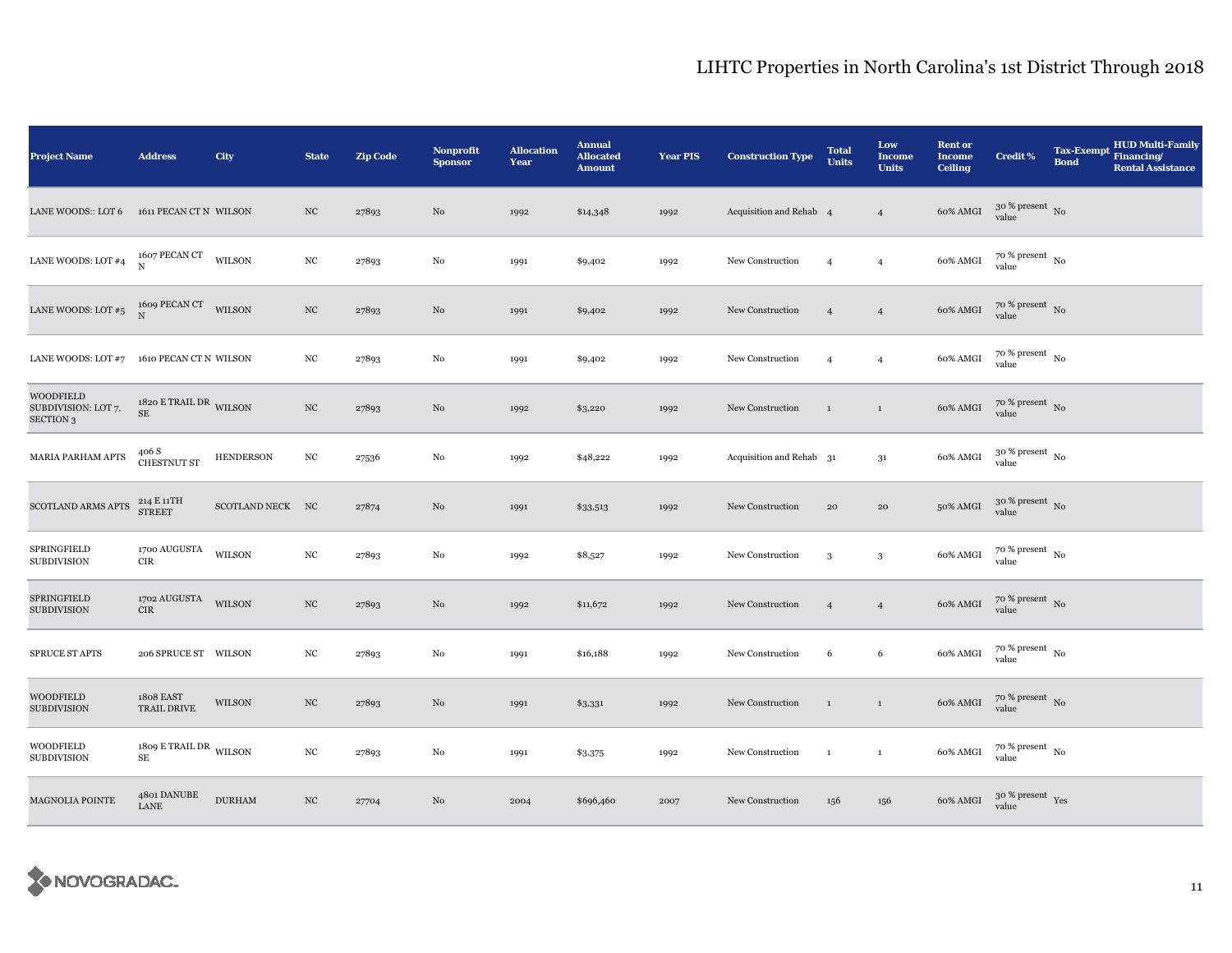| <b>Project Name</b>                                  | <b>Address</b>                         | City             | <b>State</b>     | <b>Zip Code</b> | Nonprofit<br><b>Sponsor</b> | <b>Allocation</b><br>Year | <b>Annual</b><br><b>Allocated</b><br><b>Amount</b> | <b>Year PIS</b> | <b>Construction Type</b> | <b>Total</b><br><b>Units</b> | Low<br><b>Income</b><br><b>Units</b> | <b>Rent or</b><br><b>Income</b><br><b>Ceiling</b> | <b>Credit %</b>                | <b>Tax-Exempt</b><br><b>Bond</b> | <b>HUD Multi-Family</b><br>Financing/<br><b>Rental Assistance</b> |
|------------------------------------------------------|----------------------------------------|------------------|------------------|-----------------|-----------------------------|---------------------------|----------------------------------------------------|-----------------|--------------------------|------------------------------|--------------------------------------|---------------------------------------------------|--------------------------------|----------------------------------|-------------------------------------------------------------------|
| LANE WOODS:: LOT 6                                   | 1611 PECAN CT N WILSON                 |                  | $_{\mathrm{NC}}$ | 27893           | $\rm No$                    | 1992                      | \$14,348                                           | 1992            | Acquisition and Rehab 4  |                              | $\overline{4}$                       | 60% AMGI                                          | $30\,\%$ present $\,$ No value |                                  |                                                                   |
| LANE WOODS: LOT $\#4$                                | 1607 PECAN CT WILSON N                 |                  | NC               | 27893           | No                          | 1991                      | \$9,402                                            | 1992            | New Construction         | $\overline{4}$               | $\overline{4}$                       | 60% AMGI                                          | $70~\%$ present $~$ No value   |                                  |                                                                   |
| LANE WOODS: LOT #5 $^{1609}$ PECAN CT WILSON         |                                        |                  | $_{\mathrm{NC}}$ | 27893           | No                          | 1991                      | \$9,402                                            | 1992            | New Construction         | $\overline{4}$               | $\overline{4}$                       | 60% AMGI                                          | $70~\%$ present $~$ No value   |                                  |                                                                   |
| LANE WOODS: LOT #7 1610 PECAN CT N WILSON            |                                        |                  | $_{\mathrm{NC}}$ | 27893           | No                          | 1991                      | \$9,402                                            | 1992            | New Construction         | $\overline{4}$               | $\overline{4}$                       | 60% AMGI                                          | $70~\%$ present $~$ No value   |                                  |                                                                   |
| WOODFIELD<br>SUBDIVISION: LOT 7,<br><b>SECTION 3</b> | 1820 E TRAIL DR WILSON<br>$\rm SE$     |                  | $_{\mathrm{NC}}$ | 27893           | $\rm No$                    | 1992                      | \$3,220                                            | 1992            | New Construction         | $\mathbf{1}$                 | $\,1$                                | 60% AMGI                                          | $70~\%$ present $~$ No value   |                                  |                                                                   |
| MARIA PARHAM APTS                                    | $406\:\mathrm{S}\xspace$ CHESTNUT ST   | <b>HENDERSON</b> | $_{\mathrm{NC}}$ | 27536           | $\rm No$                    | 1992                      | \$48,222                                           | 1992            | Acquisition and Rehab 31 |                              | 31                                   | 60% AMGI                                          | $30~\%$ present $~$ No value   |                                  |                                                                   |
| SCOTLAND ARMS APTS                                   | 214 E 11TH<br>STREET                   | SCOTLAND NECK NC |                  | 27874           | No                          | 1991                      | \$33,513                                           | 1992            | New Construction         | 20                           | ${\bf 20}$                           | 50% AMGI                                          | $30~\%$ present $~$ No value   |                                  |                                                                   |
| SPRINGFIELD<br><b>SUBDIVISION</b>                    | 1700 AUGUSTA WILSON<br><b>CIR</b>      |                  | $_{\mathrm{NC}}$ | 27893           | $\rm No$                    | 1992                      | \$8,527                                            | 1992            | New Construction         | 3                            | $\,$ 3 $\,$                          | 60% AMGI                                          | $70~\%$ present $~$ No value   |                                  |                                                                   |
| SPRINGFIELD<br><b>SUBDIVISION</b>                    | $1702\,\mathrm{AUGUSTA}$ WILSON<br>CIR |                  | $_{\mathrm{NC}}$ | 27893           | No                          | 1992                      | \$11,672                                           | 1992            | New Construction         | $\overline{4}$               | $\overline{4}$                       | 60% AMGI                                          | $70$ % present $\,$ No value   |                                  |                                                                   |
| SPRUCE ST APTS                                       | 206 SPRUCE ST WILSON                   |                  | NC               | 27893           | $\rm No$                    | 1991                      | \$16,188                                           | 1992            | New Construction         | 6                            | 6                                    | 60% AMGI                                          | $70~\%$ present $~$ No value   |                                  |                                                                   |
| WOODFIELD<br><b>SUBDIVISION</b>                      | 1808 EAST<br>TRAIL DRIVE               | WILSON           | $_{\mathrm{NC}}$ | 27893           | $\rm No$                    | 1991                      | \$3,331                                            | 1992            | New Construction         | $\mathbf{1}$                 | $1\,$                                | 60% AMGI                                          | $70~\%$ present $~$ No value   |                                  |                                                                   |
| WOODFIELD<br><b>SUBDIVISION</b>                      | 1809 E TRAIL DR WILSON<br>$\rm SE$     |                  | $_{\mathrm{NC}}$ | 27893           | $\rm No$                    | 1991                      | \$3,375                                            | 1992            | New Construction         | $\mathbf{1}$                 | $\mathbf{1}$                         | 60% AMGI                                          | $70~\%$ present $~$ No value   |                                  |                                                                   |
| MAGNOLIA POINTE                                      | 4801 DANUBE<br>LANE                    | <b>DURHAM</b>    | $_{\mathrm{NC}}$ | 27704           | No                          | 2004                      | \$696,460                                          | 2007            | New Construction         | 156                          | 156                                  | 60% AMGI                                          | $30~\%$ present $\,$ Yes value |                                  |                                                                   |

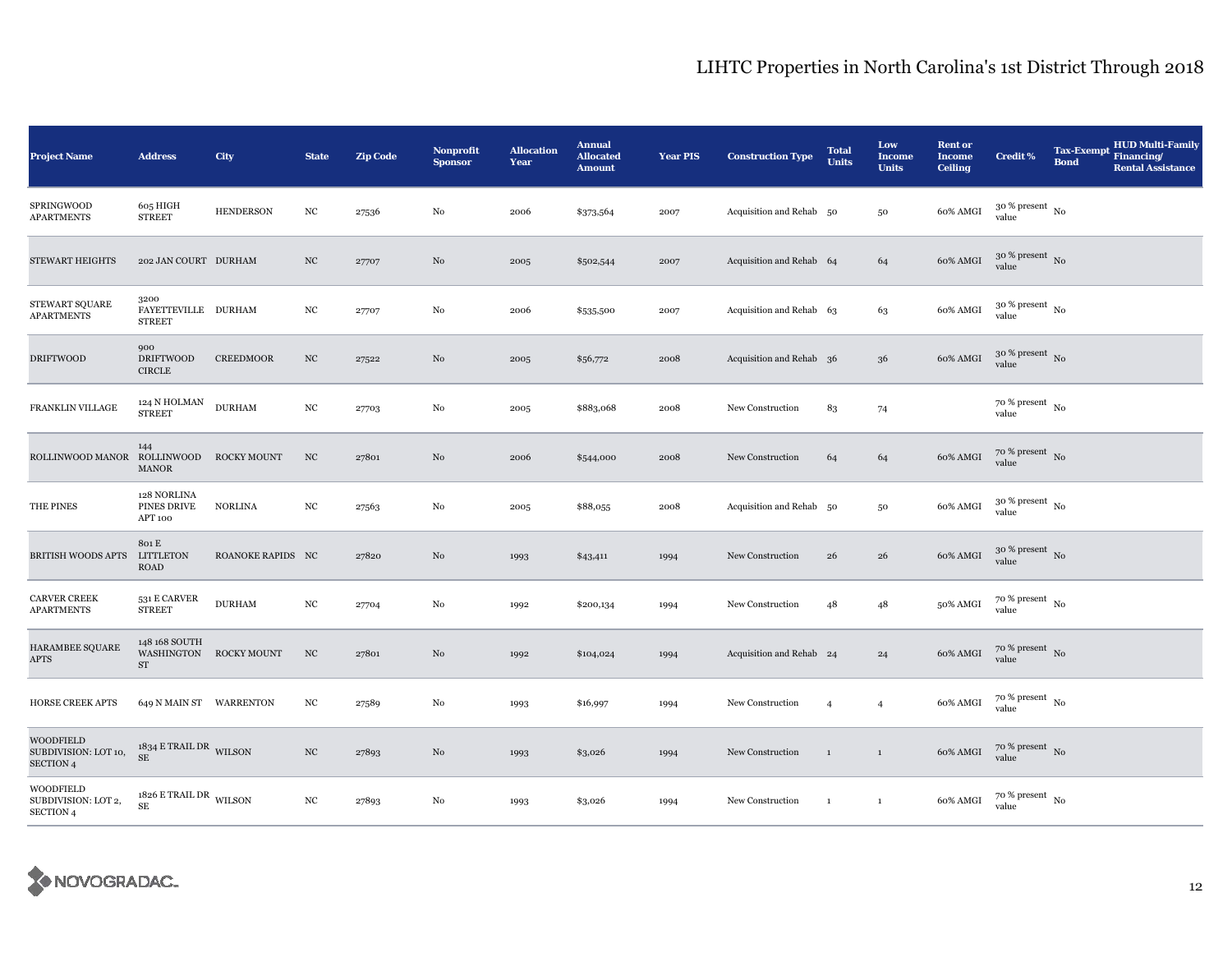| <b>Project Name</b>                                          | <b>Address</b>                                 | City              | <b>State</b>     | Zip Code | Nonprofit<br><b>Sponsor</b> | <b>Allocation</b><br>Year | <b>Annual</b><br><b>Allocated</b><br><b>Amount</b> | <b>Year PIS</b> | <b>Construction Type</b> | <b>Total</b><br><b>Units</b> | Low<br><b>Income</b><br><b>Units</b> | <b>Rent or</b><br><b>Income</b><br><b>Ceiling</b> | Credit %                               | <b>Tax-Exempt</b><br><b>Bond</b> | <b>HUD Multi-Family</b><br>Financing/<br><b>Rental Assistance</b> |
|--------------------------------------------------------------|------------------------------------------------|-------------------|------------------|----------|-----------------------------|---------------------------|----------------------------------------------------|-----------------|--------------------------|------------------------------|--------------------------------------|---------------------------------------------------|----------------------------------------|----------------------------------|-------------------------------------------------------------------|
| SPRINGWOOD<br><b>APARTMENTS</b>                              | 605 HIGH<br><b>STREET</b>                      | <b>HENDERSON</b>  | $_{\mathrm{NC}}$ | 27536    | $\rm No$                    | 2006                      | \$373,564                                          | 2007            | Acquisition and Rehab 50 |                              | $50\,$                               | 60% AMGI                                          | $30$ % present $_{\, \rm No}$<br>value |                                  |                                                                   |
| <b>STEWART HEIGHTS</b>                                       | 202 JAN COURT DURHAM                           |                   | $_{\mathrm{NC}}$ | 27707    | No                          | 2005                      | \$502,544                                          | 2007            | Acquisition and Rehab 64 |                              | 64                                   | 60% AMGI                                          | $30\%$ present No<br>value             |                                  |                                                                   |
| STEWART SQUARE<br><b>APARTMENTS</b>                          | 3200<br>FAYETTEVILLE DURHAM<br><b>STREET</b>   |                   | $_{\mathrm{NC}}$ | 27707    | $\rm No$                    | 2006                      | \$535,500                                          | 2007            | Acquisition and Rehab 63 |                              | 63                                   | $60\%$ AMGI                                       | $30\,\%$ present $\,$ No value         |                                  |                                                                   |
| <b>DRIFTWOOD</b>                                             | 900<br><b>DRIFTWOOD</b><br><b>CIRCLE</b>       | <b>CREEDMOOR</b>  | $_{\mathrm{NC}}$ | 27522    | No                          | 2005                      | \$56,772                                           | 2008            | Acquisition and Rehab 36 |                              | 36                                   | 60% AMGI                                          | $30$ % present $_{\rm No}$             |                                  |                                                                   |
| FRANKLIN VILLAGE                                             | $124$ N HOLMAN<br><b>STREET</b>                | <b>DURHAM</b>     | $_{\mathrm{NC}}$ | 27703    | $\rm No$                    | 2005                      | \$883,068                                          | 2008            | New Construction         | 83                           | 74                                   |                                                   | $70$ % present $_{\, \rm No}$<br>value |                                  |                                                                   |
| ROLLINWOOD MANOR                                             | 144<br>ROLLINWOOD ROCKY MOUNT<br><b>MANOR</b>  |                   | $_{\mathrm{NC}}$ | 27801    | No                          | 2006                      | \$544,000                                          | 2008            | New Construction         | 64                           | 64                                   | $60\%$ AMGI                                       | $70\,\%$ present $\,$ No value         |                                  |                                                                   |
| THE PINES                                                    | 128 NORLINA<br>PINES DRIVE<br>APT 100          | <b>NORLINA</b>    | $_{\mathrm{NC}}$ | 27563    | No                          | 2005                      | \$88,055                                           | 2008            | Acquisition and Rehab 50 |                              | 50                                   | 60% AMGI                                          | $30~\%$ present $~$ No value           |                                  |                                                                   |
| <b>BRITISH WOODS APTS</b>                                    | 801 E<br><b>LITTLETON</b><br><b>ROAD</b>       | ROANOKE RAPIDS NC |                  | 27820    | No                          | 1993                      | \$43,411                                           | 1994            | New Construction         | 26                           | 26                                   | 60% AMGI                                          | $30\%$ present No<br>value             |                                  |                                                                   |
| <b>CARVER CREEK</b><br><b>APARTMENTS</b>                     | 531 E CARVER<br><b>STREET</b>                  | <b>DURHAM</b>     | $_{\mathrm{NC}}$ | 27704    | No                          | 1992                      | \$200,134                                          | 1994            | New Construction         | 48                           | 48                                   | 50% AMGI                                          | $70~\%$ present $~$ No value           |                                  |                                                                   |
| HARAMBEE SQUARE<br><b>APTS</b>                               | 148 168 SOUTH<br>WASHINGTON ROCKY MOUNT<br>ST  |                   | NC               | 27801    | No                          | 1992                      | \$104,024                                          | 1994            | Acquisition and Rehab 24 |                              | 24                                   | 60% AMGI                                          | $70$ % present $_{\rm No}$             |                                  |                                                                   |
| <b>HORSE CREEK APTS</b>                                      | 649 N MAIN ST WARRENTON                        |                   | $_{\mathrm{NC}}$ | 27589    | No                          | 1993                      | \$16,997                                           | 1994            | New Construction         | $\overline{4}$               | $\overline{4}$                       | 60% AMGI                                          | $70~\%$ present $~$ No value           |                                  |                                                                   |
| <b>WOODFIELD</b><br>SUBDIVISION: LOT 10,<br><b>SECTION 4</b> | $1834$ E TRAIL DR $\,$ WILSON $\,$<br>$\rm SE$ |                   | $_{\mathrm{NC}}$ | 27893    | No                          | 1993                      | \$3,026                                            | 1994            | New Construction         | $\mathbf{1}$                 | $\mathbf{1}$                         | 60% AMGI                                          | $70~\%$ present $~$ No value           |                                  |                                                                   |
| <b>WOODFIELD</b><br>SUBDIVISION: LOT 2,<br>SECTION 4         | 1826 E TRAIL DR WILSON<br>$\rm SE$             |                   | $_{\mathrm{NC}}$ | 27893    | No                          | 1993                      | \$3,026                                            | 1994            | New Construction         | $\mathbf{1}$                 | $\mathbf{1}$                         | 60% AMGI                                          | $70~\%$ present $~$ No value           |                                  |                                                                   |

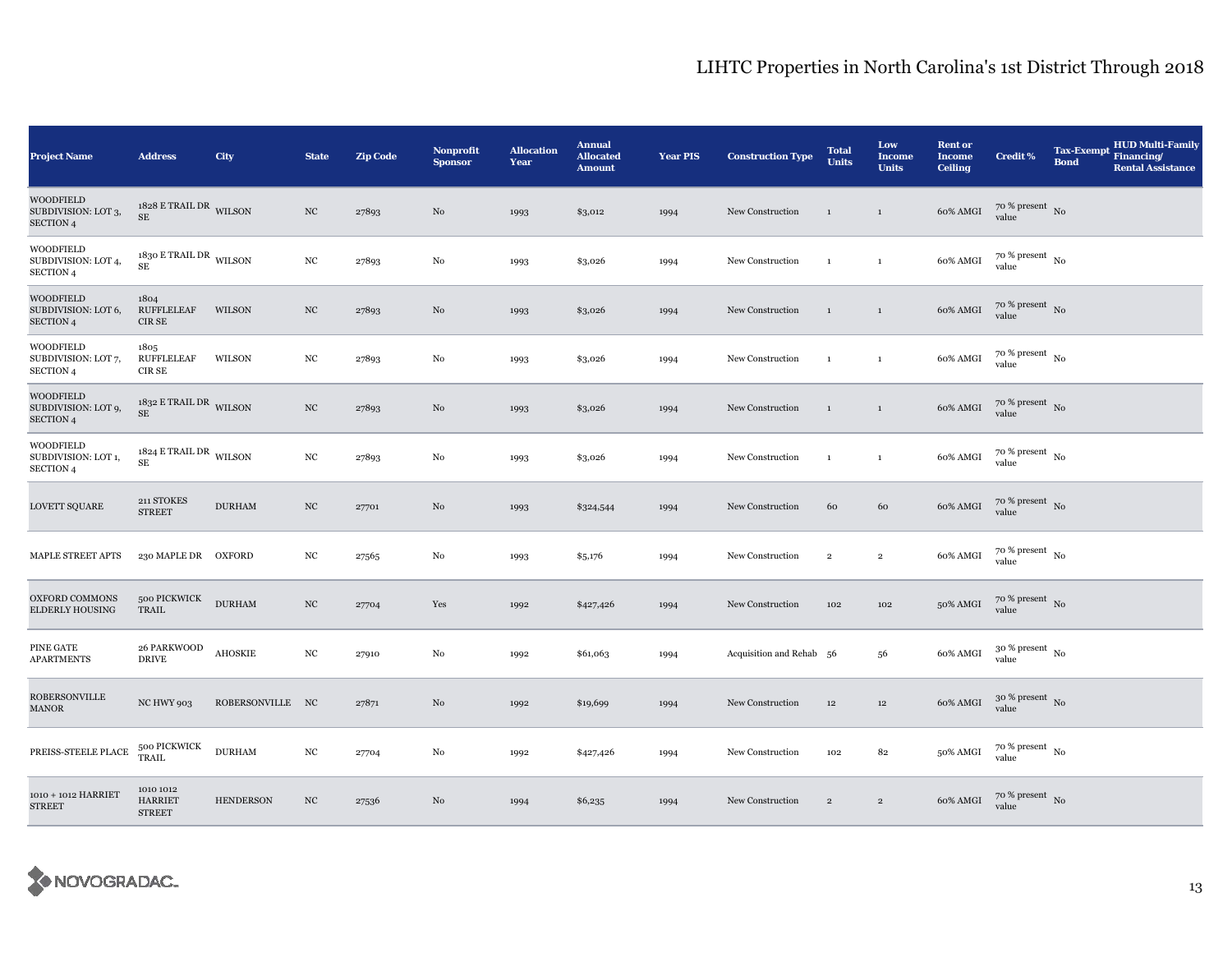| <b>Project Name</b>                                         | <b>Address</b>                                  | City             | <b>State</b>     | <b>Zip Code</b> | <b>Nonprofit</b><br><b>Sponsor</b> | <b>Allocation</b><br>Year | <b>Annual</b><br><b>Allocated</b><br><b>Amount</b> | <b>Year PIS</b> | <b>Construction Type</b> | <b>Total</b><br><b>Units</b> | Low<br><b>Income</b><br><b>Units</b> | <b>Rent or</b><br><b>Income</b><br><b>Ceiling</b> | <b>Credit %</b>                        | <b>Tax-Exempt</b><br><b>Bond</b> | <b>HUD Multi-Family</b><br>Financing/<br><b>Rental Assistance</b> |
|-------------------------------------------------------------|-------------------------------------------------|------------------|------------------|-----------------|------------------------------------|---------------------------|----------------------------------------------------|-----------------|--------------------------|------------------------------|--------------------------------------|---------------------------------------------------|----------------------------------------|----------------------------------|-------------------------------------------------------------------|
| <b>WOODFIELD</b><br>SUBDIVISION: LOT 3,<br><b>SECTION 4</b> | $1828$ E TRAIL DR $\,$ WILSON $\,$<br><b>SE</b> |                  | $_{\mathrm{NC}}$ | 27893           | No                                 | 1993                      | \$3,012                                            | 1994            | New Construction         | $\mathbf 1$                  | $\mathbf{1}$                         | 60% AMGI                                          | $70~\%$ present $~$ No value           |                                  |                                                                   |
| WOODFIELD<br>SUBDIVISION: LOT 4,<br>SECTION 4               | 1830 E TRAIL DR WILSON<br>SE                    |                  | $_{\mathrm{NC}}$ | 27893           | $_{\rm No}$                        | 1993                      | \$3,026                                            | 1994            | New Construction         | $\mathbf{1}$                 | $\mathbf{1}$                         | 60% AMGI                                          | $70$ % present $_{\, \rm No}$<br>value |                                  |                                                                   |
| WOODFIELD<br>SUBDIVISION: LOT 6,<br><b>SECTION 4</b>        | 1804<br><b>RUFFLELEAF</b><br>CIR SE             | WILSON           | $_{\mathrm{NC}}$ | 27893           | No                                 | 1993                      | \$3,026                                            | 1994            | New Construction         | $\mathbf{1}$                 | $\mathbf{1}$                         | 60% AMGI                                          | $70$ % present $_{\, \rm No}$<br>value |                                  |                                                                   |
| <b>WOODFIELD</b><br>SUBDIVISION: LOT 7,<br><b>SECTION 4</b> | 1805<br><b>RUFFLELEAF</b><br>CIR SE             | WILSON           | $_{\mathrm{NC}}$ | 27893           | No                                 | 1993                      | \$3,026                                            | 1994            | New Construction         | 1                            | $\mathbf{1}$                         | 60% AMGI                                          | $70$ % present $\,$ No $\,$<br>value   |                                  |                                                                   |
| <b>WOODFIELD</b><br>SUBDIVISION: LOT 9,<br><b>SECTION 4</b> | $1832$ E TRAIL DR WILSON<br><b>SE</b>           |                  | $_{\mathrm{NC}}$ | 27893           | $\rm No$                           | 1993                      | \$3,026                                            | 1994            | New Construction         | $\mathbf{1}$                 | $\,1\,$                              | 60% AMGI                                          | $70$ % present $\,$ No $\,$<br>value   |                                  |                                                                   |
| WOODFIELD<br>SUBDIVISION: LOT 1,<br><b>SECTION 4</b>        | $1824$ E TRAIL DR $\,$ WILSON $\,$<br>$\rm SE$  |                  | $_{\mathrm{NC}}$ | 27893           | No                                 | 1993                      | \$3,026                                            | 1994            | New Construction         | $\mathbf{1}$                 | $\,$ 1 $\,$                          | 60% AMGI                                          | $70$ % present $_{\, \rm No}$<br>value |                                  |                                                                   |
| <b>LOVETT SQUARE</b>                                        | 211 STOKES<br><b>STREET</b>                     | <b>DURHAM</b>    | $_{\mathrm{NC}}$ | 27701           | No                                 | 1993                      | \$324,544                                          | 1994            | New Construction         | 60                           | 60                                   | 60% AMGI                                          | $70~\%$ present $~$ No value           |                                  |                                                                   |
| <b>MAPLE STREET APTS</b>                                    | 230 MAPLE DR OXFORD                             |                  | $_{\mathrm{NC}}$ | 27565           | No                                 | 1993                      | \$5,176                                            | 1994            | New Construction         | $\,2\,$                      | $\,2\,$                              | 60% AMGI                                          | $70\,\%$ present $\,$ No value         |                                  |                                                                   |
| OXFORD COMMONS<br><b>ELDERLY HOUSING</b>                    | 500 PICKWICK<br>$\operatorname{TRAIL}$          | <b>DURHAM</b>    | $_{\mathrm{NC}}$ | 27704           | Yes                                | 1992                      | \$427,426                                          | 1994            | New Construction         | 102                          | 102                                  | 50% AMGI                                          | $70~\%$ present $~$ No value           |                                  |                                                                   |
| PINE GATE<br><b>APARTMENTS</b>                              | 26 PARKWOOD<br><b>DRIVE</b>                     | <b>AHOSKIE</b>   | NC               | 27910           | No                                 | 1992                      | \$61,063                                           | 1994            | Acquisition and Rehab 56 |                              | 56                                   | 60% AMGI                                          | $30$ % present $\,$ No $\,$<br>value   |                                  |                                                                   |
| ROBERSONVILLE<br><b>MANOR</b>                               | NC HWY 903                                      | ROBERSONVILLE NC |                  | 27871           | No                                 | 1992                      | \$19,699                                           | 1994            | New Construction         | 12                           | 12                                   | 60% AMGI                                          | $30~\%$ present $~$ No value           |                                  |                                                                   |
| PREISS-STEELE PLACE                                         | 500 PICKWICK<br>TRAIL                           | <b>DURHAM</b>    | $_{\mathrm{NC}}$ | 27704           | No                                 | 1992                      | \$427,426                                          | 1994            | New Construction         | 102                          | 82                                   | 50% AMGI                                          | $70$ % present $\,$ No $\,$<br>value   |                                  |                                                                   |
| 1010 + 1012 HARRIET<br><b>STREET</b>                        | 1010 1012<br><b>HARRIET</b><br><b>STREET</b>    | <b>HENDERSON</b> | $_{\mathrm{NC}}$ | 27536           | No                                 | 1994                      | \$6,235                                            | 1994            | New Construction         | $\overline{2}$               | $\,2\,$                              | 60% AMGI                                          | $70~\%$ present $~$ No value           |                                  |                                                                   |

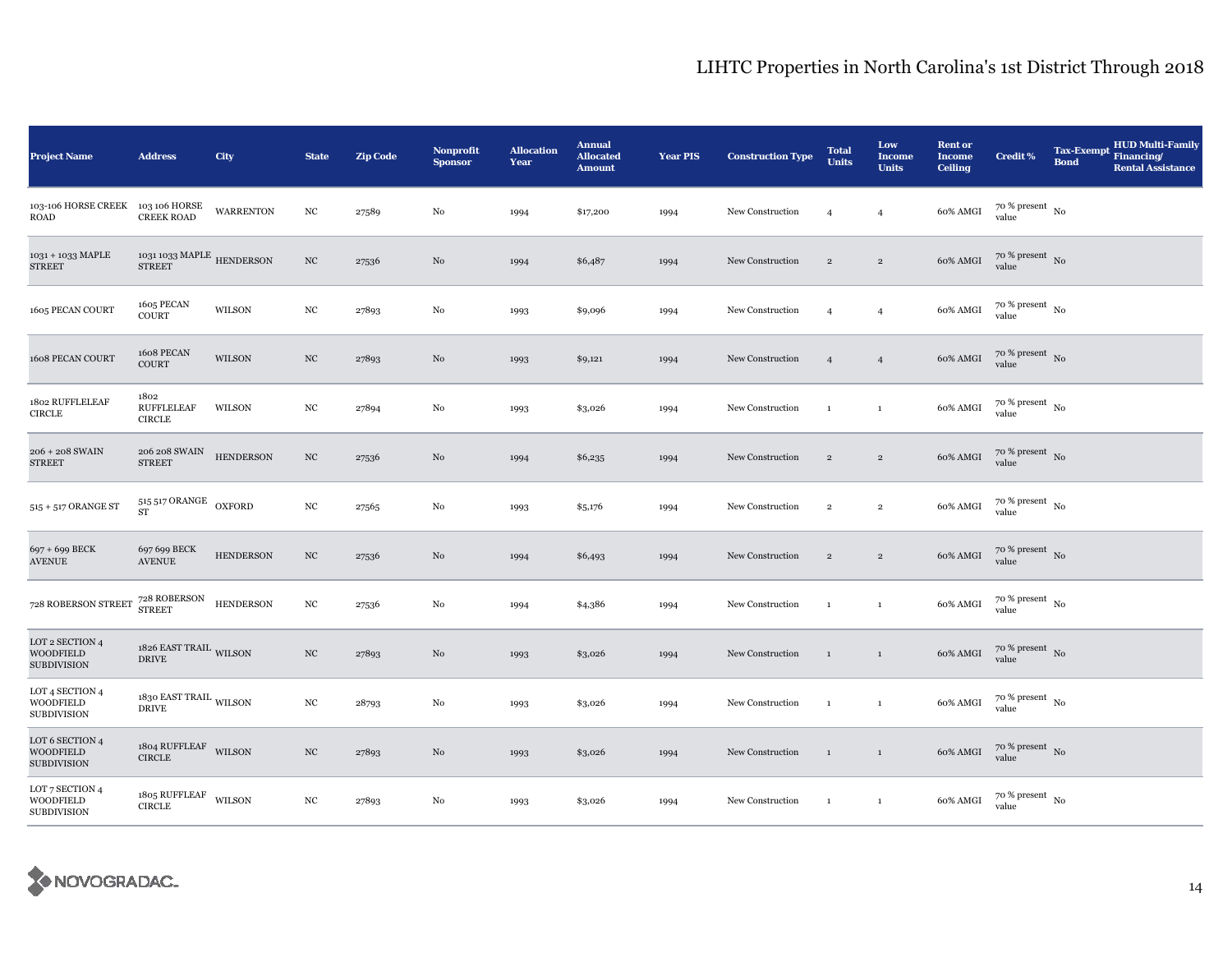| <b>Project Name</b>                                       | <b>Address</b>                                    | City             | <b>State</b>     | <b>Zip Code</b> | <b>Nonprofit</b><br><b>Sponsor</b> | <b>Allocation</b><br>Year | <b>Annual</b><br><b>Allocated</b><br><b>Amount</b> | <b>Year PIS</b> | <b>Construction Type</b> | <b>Total</b><br><b>Units</b> | Low<br><b>Income</b><br><b>Units</b> | <b>Rent or</b><br><b>Income</b><br><b>Ceiling</b> | <b>Credit %</b>                        | <b>Tax-Exempt</b><br><b>Bond</b> | <b>HUD Multi-Family</b><br>Financing/<br><b>Rental Assistance</b> |
|-----------------------------------------------------------|---------------------------------------------------|------------------|------------------|-----------------|------------------------------------|---------------------------|----------------------------------------------------|-----------------|--------------------------|------------------------------|--------------------------------------|---------------------------------------------------|----------------------------------------|----------------------------------|-------------------------------------------------------------------|
| 103-106 HORSE CREEK 103 106 HORSE<br>ROAD                 | <b>CREEK ROAD</b>                                 | <b>WARRENTON</b> | $_{\mathrm{NC}}$ | 27589           | No                                 | 1994                      | \$17,200                                           | 1994            | New Construction         | $\overline{4}$               | $\overline{4}$                       | 60% AMGI                                          | $70$ % present $_{\, \rm No}$<br>value |                                  |                                                                   |
| 1031 + 1033 MAPLE<br><b>STREET</b>                        | 1031 1033 MAPLE $\,$ HENDERSON<br><b>STREET</b>   |                  | $_{\mathrm{NC}}$ | 27536           | No                                 | 1994                      | \$6,487                                            | 1994            | New Construction         | $\overline{2}$               | $\overline{2}$                       | 60% AMGI                                          | $70$ % present $\,$ No $\,$<br>value   |                                  |                                                                   |
| 1605 PECAN COURT                                          | 1605 PECAN<br><b>COURT</b>                        | WILSON           | $_{\mathrm{NC}}$ | 27893           | No                                 | 1993                      | \$9,096                                            | 1994            | New Construction         | $\overline{4}$               | $\overline{4}$                       | 60% AMGI                                          | $70$ % present $_{\, \rm No}$<br>value |                                  |                                                                   |
| 1608 PECAN COURT                                          | 1608 PECAN<br>COURT                               | <b>WILSON</b>    | $_{\mathrm{NC}}$ | 27893           | No                                 | 1993                      | \$9,121                                            | 1994            | New Construction         | $\overline{4}$               | $\overline{4}$                       | 60% AMGI                                          | $70$ % present $\,$ No $\,$<br>value   |                                  |                                                                   |
| 1802 RUFFLELEAF<br><b>CIRCLE</b>                          | 1802<br><b>RUFFLELEAF</b><br><b>CIRCLE</b>        | WILSON           | $_{\mathrm{NC}}$ | 27894           | No                                 | 1993                      | \$3,026                                            | 1994            | New Construction         | <sup>1</sup>                 | $\,$ 1                               | 60% AMGI                                          | $70$ % present $\,$ No $\,$<br>value   |                                  |                                                                   |
| 206 + 208 SWAIN<br><b>STREET</b>                          | 206 208 SWAIN<br><b>STREET</b>                    | <b>HENDERSON</b> | $_{\mathrm{NC}}$ | 27536           | No                                 | 1994                      | \$6,235                                            | 1994            | New Construction         | $\overline{2}$               | $\,2$                                | $60\%$ AMGI                                       | $70~\%$ present $~$ No value           |                                  |                                                                   |
| $515$ + $517$ ORANGE ST                                   | $515\,517$ ORANGE $\,$ OXFORD<br><b>ST</b>        |                  | $_{\mathrm{NC}}$ | 27565           | No                                 | 1993                      | \$5,176                                            | 1994            | New Construction         | $\,2\,$                      | $\overline{2}$                       | 60% AMGI                                          | $70$ % present $_{\, \rm No}$<br>value |                                  |                                                                   |
| 697 + 699 BECK<br><b>AVENUE</b>                           | 697 699 BECK<br><b>AVENUE</b>                     | <b>HENDERSON</b> | $_{\mathrm{NC}}$ | 27536           | No                                 | 1994                      | \$6,493                                            | 1994            | New Construction         | $\overline{2}$               | $\overline{2}$                       | 60% AMGI                                          | $70\%$ present No<br>value             |                                  |                                                                   |
| 728 ROBERSON STREET                                       | 728 ROBERSON<br><b>STREET</b>                     | <b>HENDERSON</b> | $_{\mathrm{NC}}$ | 27536           | No                                 | 1994                      | \$4,386                                            | 1994            | New Construction         | $\mathbf{1}$                 | $\,$ 1                               | 60% AMGI                                          | 70 % present $\,$ No<br>value          |                                  |                                                                   |
| LOT 2 SECTION 4<br><b>WOODFIELD</b><br><b>SUBDIVISION</b> | 1826 EAST TRAIL WILSON<br><b>DRIVE</b>            |                  | $_{\mathrm{NC}}$ | 27893           | No                                 | 1993                      | \$3,026                                            | 1994            | New Construction         | $\mathbf{1}$                 | $\,$ 1                               | 60% AMGI                                          | 70 % present No<br>value               |                                  |                                                                   |
| LOT 4 SECTION 4<br>WOODFIELD<br><b>SUBDIVISION</b>        | 1830 EAST TRAIL $_{\rm WILSON}$<br><b>DRIVE</b>   |                  | $_{\mathrm{NC}}$ | 28793           | No                                 | 1993                      | \$3,026                                            | 1994            | New Construction         | $\mathbf{1}$                 | $\mathbf{1}$                         | 60% AMGI                                          | $70~\%$ present $~$ No value           |                                  |                                                                   |
| LOT 6 SECTION 4<br><b>WOODFIELD</b><br><b>SUBDIVISION</b> | $1804$ RUFFLEAF WILSON<br><b>CIRCLE</b>           |                  | $_{\mathrm{NC}}$ | 27893           | No                                 | 1993                      | \$3,026                                            | 1994            | New Construction         | $\overline{1}$               | $\mathbf{1}$                         | 60% AMGI                                          | $70$ % present $\,$ No $\,$<br>value   |                                  |                                                                   |
| LOT 7 SECTION 4<br>WOODFIELD<br><b>SUBDIVISION</b>        | $1805$ RUFFLEAF $\_$ WILSON $\_$<br><b>CIRCLE</b> |                  | $_{\mathrm{NC}}$ | 27893           | No                                 | 1993                      | \$3,026                                            | 1994            | New Construction         | $\mathbf{1}$                 | $\mathbf{1}$                         | 60% AMGI                                          | $70$ % present $_{\, \rm No}$<br>value |                                  |                                                                   |

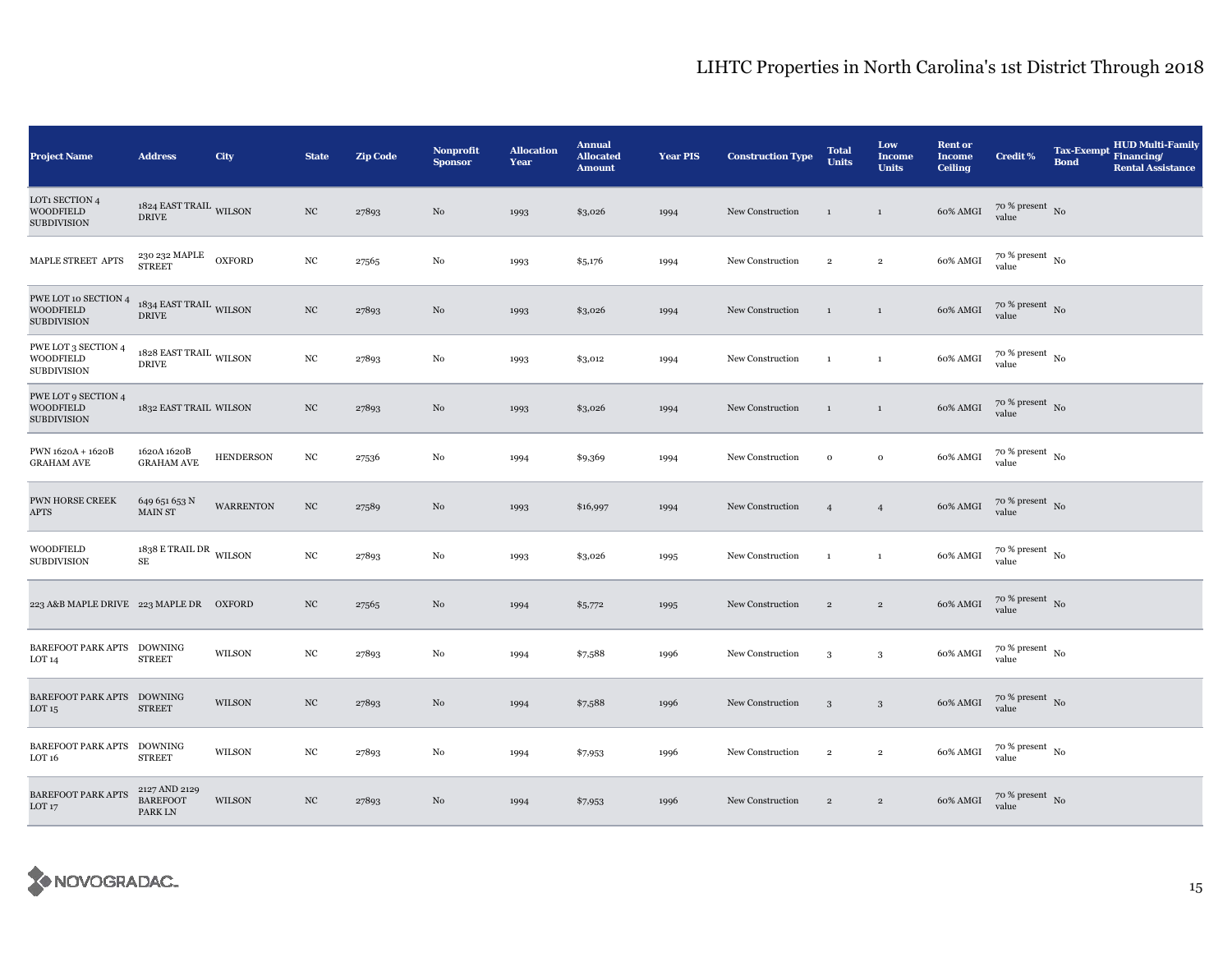| <b>Project Name</b>                                            | <b>Address</b>                                    | City             | <b>State</b>     | <b>Zip Code</b> | <b>Nonprofit</b><br><b>Sponsor</b> | <b>Allocation</b><br>Year | <b>Annual</b><br><b>Allocated</b><br><b>Amount</b> | <b>Year PIS</b> | <b>Construction Type</b> | <b>Total</b><br><b>Units</b> | Low<br><b>Income</b><br><b>Units</b> | <b>Rent or</b><br><b>Income</b><br><b>Ceiling</b> | <b>Credit %</b>                        | <b>Tax-Exempt</b><br><b>Bond</b> | <b>HUD Multi-Family</b><br>Financing/<br><b>Rental Assistance</b> |
|----------------------------------------------------------------|---------------------------------------------------|------------------|------------------|-----------------|------------------------------------|---------------------------|----------------------------------------------------|-----------------|--------------------------|------------------------------|--------------------------------------|---------------------------------------------------|----------------------------------------|----------------------------------|-------------------------------------------------------------------|
| LOT1 SECTION 4<br>WOODFIELD<br><b>SUBDIVISION</b>              | 1824 EAST TRAIL WILSON<br><b>DRIVE</b>            |                  | NC               | 27893           | No                                 | 1993                      | \$3,026                                            | 1994            | New Construction         | <sup>1</sup>                 | $\mathbf{1}$                         | 60% AMGI                                          | $70$ % present $\,$ No $\,$<br>value   |                                  |                                                                   |
| MAPLE STREET APTS                                              | 230 232 MAPLE OXFORD<br><b>STREET</b>             |                  | $_{\mathrm{NC}}$ | 27565           | No                                 | 1993                      | \$5,176                                            | 1994            | New Construction         | $\,2\,$                      | $\,2\,$                              | 60% AMGI                                          | $70$ % present $\,$ No $\,$<br>value   |                                  |                                                                   |
| PWE LOT 10 SECTION 4<br><b>WOODFIELD</b><br><b>SUBDIVISION</b> | $1834$ EAST TRAIL $_{\rm WILSON}$<br><b>DRIVE</b> |                  | NC               | 27893           | No                                 | 1993                      | \$3,026                                            | 1994            | New Construction         | $\mathbf{1}$                 | $\mathbf{1}$                         | 60% AMGI                                          | $70~\%$ present $~$ No value           |                                  |                                                                   |
| PWE LOT 3 SECTION 4<br>WOODFIELD<br><b>SUBDIVISION</b>         | $1828$ EAST TRAIL $_{\rm WILSON}$<br><b>DRIVE</b> |                  | $_{\mathrm{NC}}$ | 27893           | No                                 | 1993                      | \$3,012                                            | 1994            | New Construction         | $\mathbf{1}$                 | $\mathbf{1}$                         | 60% AMGI                                          | $70~\%$ present $~$ No value           |                                  |                                                                   |
| PWE LOT 9 SECTION 4<br><b>WOODFIELD</b><br><b>SUBDIVISION</b>  | 1832 EAST TRAIL WILSON                            |                  | $_{\mathrm{NC}}$ | 27893           | No                                 | 1993                      | \$3,026                                            | 1994            | New Construction         | $\mathbf{1}$                 | $\,$ 1 $\,$                          | 60% AMGI                                          | $70~\%$ present $~$ No value           |                                  |                                                                   |
| PWN 1620A + 1620B<br><b>GRAHAM AVE</b>                         | 1620A 1620B<br><b>GRAHAM AVE</b>                  | <b>HENDERSON</b> | $_{\mathrm{NC}}$ | 27536           | No                                 | 1994                      | \$9,369                                            | 1994            | New Construction         | $\mathbf{o}$                 | $\,$ O                               | 60% AMGI                                          | $70~\%$ present $~$ No value           |                                  |                                                                   |
| PWN HORSE CREEK<br><b>APTS</b>                                 | 649 651 653 N<br>MAIN ST                          | <b>WARRENTON</b> | $_{\mathrm{NC}}$ | 27589           | No                                 | 1993                      | \$16,997                                           | 1994            | New Construction         | $\overline{4}$               | $\overline{4}$                       | 60% AMGI                                          | $70$ % present $_{\rm{No}}$            |                                  |                                                                   |
| <b>WOODFIELD</b><br><b>SUBDIVISION</b>                         | $1838$ E TRAIL DR WILSON<br><b>SE</b>             |                  | $_{\mathrm{NC}}$ | 27893           | No                                 | 1993                      | \$3,026                                            | 1995            | New Construction         | $\mathbf{1}$                 | $\mathbf{1}$                         | 60% AMGI                                          | $70$ % present $\,$ No $\,$<br>value   |                                  |                                                                   |
| 223 A&B MAPLE DRIVE 223 MAPLE DR OXFORD                        |                                                   |                  | $_{\mathrm{NC}}$ | 27565           | No                                 | 1994                      | \$5,772                                            | 1995            | New Construction         | $\,2\,$                      | $\,2\,$                              | 60% AMGI                                          | $70~\%$ present $~$ No value           |                                  |                                                                   |
| BAREFOOT PARK APTS<br>LOT <sub>14</sub>                        | <b>DOWNING</b><br><b>STREET</b>                   | WILSON           | NC               | 27893           | No                                 | 1994                      | \$7,588                                            | 1996            | New Construction         | 3                            | 3                                    | 60% AMGI                                          | $70$ % present $_{\, \rm No}$<br>value |                                  |                                                                   |
| BAREFOOT PARK APTS DOWNING<br>LOT <sub>15</sub>                | <b>STREET</b>                                     | WILSON           | $_{\mathrm{NC}}$ | 27893           | No                                 | 1994                      | \$7,588                                            | 1996            | New Construction         | 3                            | $\mathbf{3}$                         | 60% AMGI                                          | $70$ % present $_{\rm No}$             |                                  |                                                                   |
| BAREFOOT PARK APTS DOWNING<br>LOT <sub>16</sub>                | <b>STREET</b>                                     | WILSON           | $_{\mathrm{NC}}$ | 27893           | No                                 | 1994                      | \$7,953                                            | 1996            | New Construction         | $\,2\,$                      | $\,2\,$                              | 60% AMGI                                          | $70$ % present $\,$ No $\,$<br>value   |                                  |                                                                   |
| <b>BAREFOOT PARK APTS</b><br>LOT <sub>17</sub>                 | 2127 AND 2129<br><b>BAREFOOT</b><br>PARK LN       | WILSON           | $_{\mathrm{NC}}$ | 27893           | No                                 | 1994                      | \$7,953                                            | 1996            | New Construction         | $\overline{2}$               | $\overline{2}$                       | 60% AMGI                                          | $70~\%$ present $~$ No value           |                                  |                                                                   |

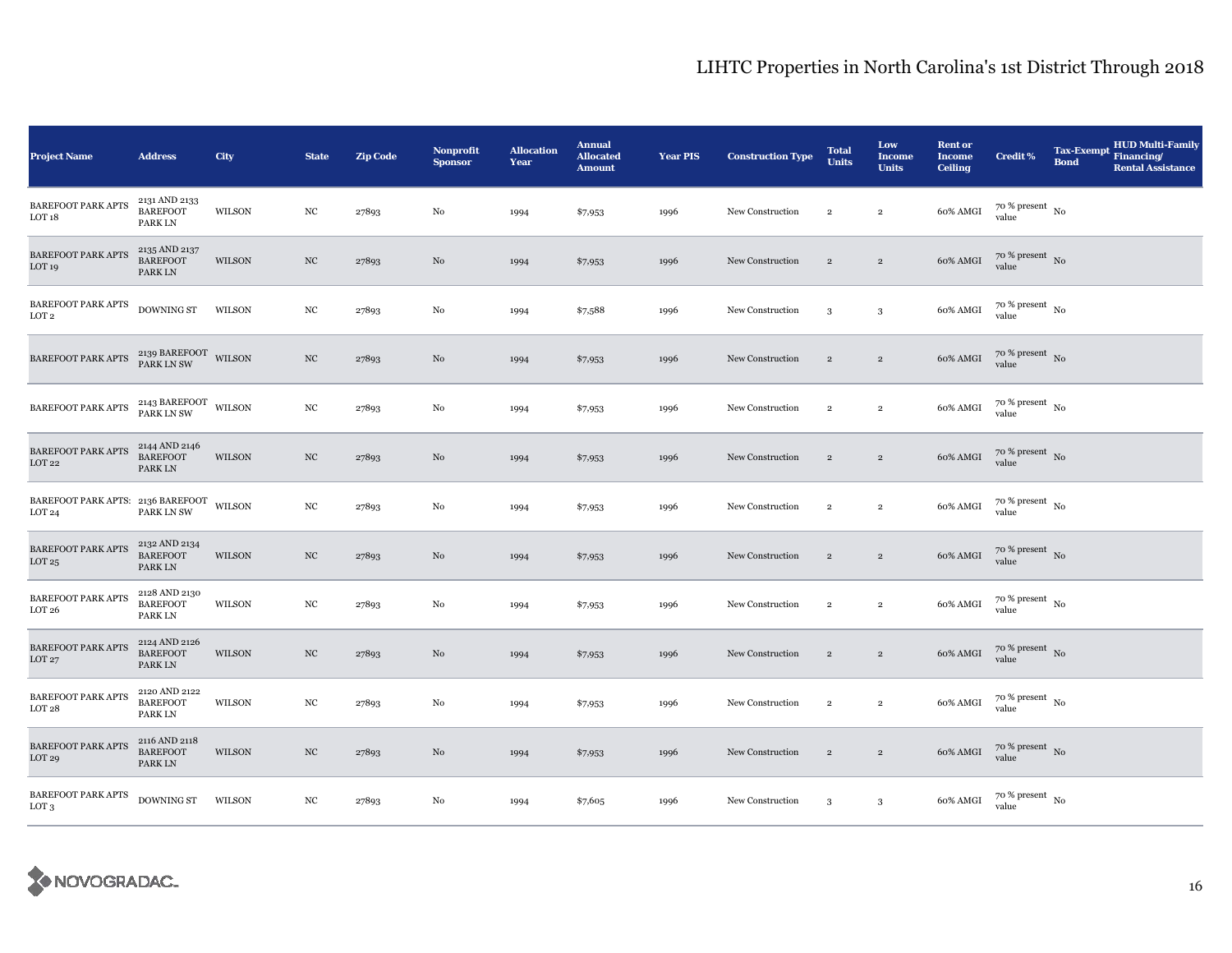| <b>Project Name</b>                                           | <b>Address</b>                                    | City          | <b>State</b>     | <b>Zip Code</b> | Nonprofit<br><b>Sponsor</b> | <b>Allocation</b><br>Year | <b>Annual</b><br><b>Allocated</b><br><b>Amount</b> | <b>Year PIS</b> | <b>Construction Type</b> | <b>Total</b><br><b>Units</b> | Low<br><b>Income</b><br><b>Units</b> | <b>Rent or</b><br><b>Income</b><br><b>Ceiling</b> | <b>Credit %</b>                        | <b>Tax-Exempt</b><br><b>Bond</b> | <b>HUD Multi-Family</b><br>Financing/<br><b>Rental Assistance</b> |
|---------------------------------------------------------------|---------------------------------------------------|---------------|------------------|-----------------|-----------------------------|---------------------------|----------------------------------------------------|-----------------|--------------------------|------------------------------|--------------------------------------|---------------------------------------------------|----------------------------------------|----------------------------------|-------------------------------------------------------------------|
| <b>BAREFOOT PARK APTS</b><br>LOT <sub>18</sub>                | 2131 AND 2133<br><b>BAREFOOT</b><br>PARK LN       | WILSON        | NC               | 27893           | No                          | 1994                      | \$7,953                                            | 1996            | New Construction         | $\,2\,$                      | $\overline{2}$                       | 60% AMGI                                          | $70$ % present $_{\, \rm No}$<br>value |                                  |                                                                   |
| <b>BAREFOOT PARK APTS</b><br>LOT <sub>19</sub>                | 2135 AND 2137<br><b>BAREFOOT</b><br>PARK LN       | WILSON        | $_{\mathrm{NC}}$ | 27893           | No                          | 1994                      | \$7,953                                            | 1996            | New Construction         | $\overline{2}$               | $\overline{2}$                       | 60% AMGI                                          | $70$ % present $\,$ No $\,$<br>value   |                                  |                                                                   |
| <b>BAREFOOT PARK APTS</b><br>LOT <sub>2</sub>                 | DOWNING ST                                        | <b>WILSON</b> | $_{\mathrm{NC}}$ | 27893           | No                          | 1994                      | \$7,588                                            | 1996            | New Construction         | 3                            | $\mathbf{3}$                         | 60% AMGI                                          | $70$ % present $_{\, \rm No}$<br>value |                                  |                                                                   |
| <b>BAREFOOT PARK APTS</b>                                     | 2139 BAREFOOT WILSON PARK LN SW                   |               | NC               | 27893           | No                          | 1994                      | \$7,953                                            | 1996            | New Construction         | $\overline{2}$               | $\overline{2}$                       | 60% AMGI                                          | $70$ % present $\,$ No $\,$<br>value   |                                  |                                                                   |
| BAREFOOT PARK APTS                                            | $2143$ BAREFOOT $\,$ WILSON PARK LN SW            |               | $_{\rm NC}$      | 27893           | No                          | 1994                      | \$7,953                                            | 1996            | New Construction         | $\,2\,$                      | $\mathbf 2$                          | 60% AMGI                                          | $70$ % present $_{\, \rm No}$<br>value |                                  |                                                                   |
| BAREFOOT PARK APTS<br>LOT <sub>22</sub>                       | 2144 AND 2146<br><b>BAREFOOT</b><br>PARK LN       | WILSON        | $_{\mathrm{NC}}$ | 27893           | No                          | 1994                      | \$7,953                                            | 1996            | New Construction         | $\,2\,$                      | $\,2\,$                              | 60% AMGI                                          | $70$ % present $\,$ No $\,$<br>value   |                                  |                                                                   |
| BAREFOOT PARK APTS: 2136 BAREFOOT WILSON<br>LOT <sub>24</sub> | PARK LN SW                                        |               | $_{\mathrm{NC}}$ | 27893           | No                          | 1994                      | \$7,953                                            | 1996            | New Construction         | $\,2\,$                      | $\,2\,$                              | 60% AMGI                                          | $70$ % present $\,$ No $\,$<br>value   |                                  |                                                                   |
| <b>BAREFOOT PARK APTS</b><br>LOT 25                           | 2132 AND 2134<br><b>BAREFOOT</b><br>PARK LN       | WILSON        | $_{\mathrm{NC}}$ | 27893           | No                          | 1994                      | \$7,953                                            | 1996            | New Construction         | $\,2\,$                      | $\sqrt{2}$                           | 60% AMGI                                          | $70$ % present $\,$ No $\,$<br>value   |                                  |                                                                   |
| <b>BAREFOOT PARK APTS</b><br>LOT <sub>26</sub>                | 2128 AND 2130<br><b>BAREFOOT</b><br><b>PARKLN</b> | WILSON        | $_{\mathrm{NC}}$ | 27893           | No                          | 1994                      | \$7,953                                            | 1996            | New Construction         | $\,2\,$                      | $\overline{2}$                       | 60% AMGI                                          | $70$ % present $_{\, \rm No}$<br>value |                                  |                                                                   |
| <b>BAREFOOT PARK APTS</b><br>LOT27                            | 2124 AND 2126<br><b>BAREFOOT</b><br>PARK LN       | WILSON        | NC               | 27893           | No                          | 1994                      | \$7,953                                            | 1996            | New Construction         | $\,2\,$                      | $\,2\,$                              | 60% AMGI                                          | $70$ % present $\,$ No $\,$<br>value   |                                  |                                                                   |
| <b>BAREFOOT PARK APTS</b><br>LOT <sub>28</sub>                | 2120 AND 2122<br><b>BAREFOOT</b><br>PARK LN       | WILSON        | NC               | 27893           | No                          | 1994                      | \$7,953                                            | 1996            | New Construction         | $\,2\,$                      | $\,2\,$                              | 60% AMGI                                          | $70$ % present $_{\, \rm No}$<br>value |                                  |                                                                   |
| <b>BAREFOOT PARK APTS</b><br>LOT <sub>29</sub>                | 2116 AND 2118<br><b>BAREFOOT</b><br><b>PARKLN</b> | WILSON        | $_{\mathrm{NC}}$ | 27893           | No                          | 1994                      | \$7,953                                            | 1996            | New Construction         | $\overline{2}$               | $\sqrt{2}$                           | 60% AMGI                                          | $70$ % present $\,$ No $\,$<br>value   |                                  |                                                                   |
| <b>BAREFOOT PARK APTS</b><br>LOT <sub>3</sub>                 | DOWNING ST                                        | WILSON        | NC               | 27893           | No                          | 1994                      | \$7,605                                            | 1996            | New Construction         | 3                            | $\mathbf{3}$                         | 60% AMGI                                          | $70$ % present $\,$ No $\,$<br>value   |                                  |                                                                   |

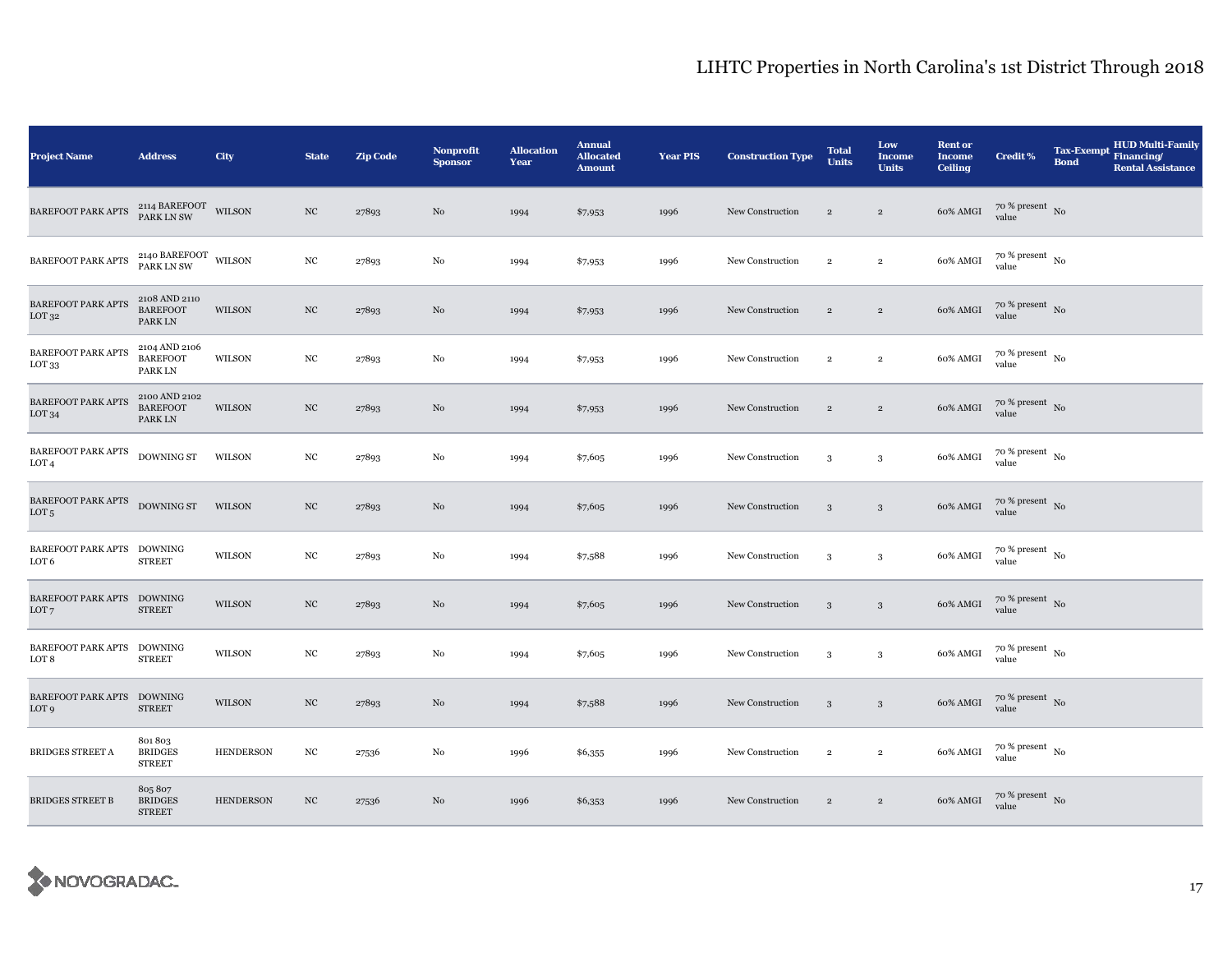| <b>Project Name</b>                               | <b>Address</b>                              | City             | <b>State</b>     | <b>Zip Code</b> | Nonprofit<br><b>Sponsor</b> | <b>Allocation</b><br>Year | <b>Annual</b><br><b>Allocated</b><br><b>Amount</b> | <b>Year PIS</b> | <b>Construction Type</b> | <b>Total</b><br><b>Units</b> | Low<br><b>Income</b><br><b>Units</b> | <b>Rent or</b><br><b>Income</b><br><b>Ceiling</b> | <b>Credit %</b>                        | <b>Tax-Exempt</b><br><b>Bond</b> | <b>HUD Multi-Family</b><br>Financing/<br><b>Rental Assistance</b> |
|---------------------------------------------------|---------------------------------------------|------------------|------------------|-----------------|-----------------------------|---------------------------|----------------------------------------------------|-----------------|--------------------------|------------------------------|--------------------------------------|---------------------------------------------------|----------------------------------------|----------------------------------|-------------------------------------------------------------------|
| BAREFOOT PARK APTS                                | 2114 BAREFOOT WILSON<br>PARK LN SW          |                  | NC               | 27893           | No                          | 1994                      | \$7,953                                            | 1996            | New Construction         | $\sqrt{2}$                   | $\,2\,$                              | 60% AMGI                                          | $70$ % present $\,$ No $\,$<br>value   |                                  |                                                                   |
| <b>BAREFOOT PARK APTS</b>                         | $2140$ BAREFOOT $\,$ WILSON PARK LN SW      |                  | $_{\rm NC}$      | 27893           | No                          | 1994                      | \$7,953                                            | 1996            | New Construction         | $\,2\,$                      | $\,2\,$                              | 60% AMGI                                          | $70$ % present $\,$ No $\,$<br>value   |                                  |                                                                   |
| <b>BAREFOOT PARK APTS</b><br>LOT <sub>32</sub>    | 2108 AND 2110<br><b>BAREFOOT</b><br>PARK LN | <b>WILSON</b>    | $_{\mathrm{NC}}$ | 27893           | No                          | 1994                      | \$7,953                                            | 1996            | New Construction         | $\overline{2}$               | $\overline{2}$                       | 60% AMGI                                          | $70~\%$ present $~$ No value           |                                  |                                                                   |
| <b>BAREFOOT PARK APTS</b><br>LOT <sub>33</sub>    | 2104 AND 2106<br><b>BAREFOOT</b><br>PARK LN | <b>WILSON</b>    | $_{\mathrm{NC}}$ | 27893           | No                          | 1994                      | \$7,953                                            | 1996            | New Construction         | $\overline{2}$               | $\overline{2}$                       | 60% AMGI                                          | $70~\%$ present $~$ No value           |                                  |                                                                   |
| <b>BAREFOOT PARK APTS</b><br>LOT <sub>34</sub>    | 2100 AND 2102<br><b>BAREFOOT</b><br>PARK LN | <b>WILSON</b>    | $_{\mathrm{NC}}$ | 27893           | No                          | 1994                      | \$7,953                                            | 1996            | New Construction         | $\overline{2}$               | $\sqrt{2}$                           | 60% AMGI                                          | $70~\%$ present $~$ No value           |                                  |                                                                   |
| BAREFOOT PARK APTS<br>LOT <sub>4</sub>            | DOWNING ST                                  | WILSON           | $_{\mathrm{NC}}$ | 27893           | No                          | 1994                      | \$7,605                                            | 1996            | New Construction         | 3                            | $\mathbf{3}$                         | 60% AMGI                                          | $70~\%$ present $~$ No value           |                                  |                                                                   |
| BAREFOOT PARK APTS DOWNING ST<br>LOT <sub>5</sub> |                                             | <b>WILSON</b>    | $_{\mathrm{NC}}$ | 27893           | No                          | 1994                      | \$7,605                                            | 1996            | New Construction         | 3                            | 3                                    | 60% AMGI                                          | $70$ % present $_{\rm{No}}$            |                                  |                                                                   |
| BAREFOOT PARK APTS DOWNING<br>LOT <sub>6</sub>    | <b>STREET</b>                               | <b>WILSON</b>    | $_{\mathrm{NC}}$ | 27893           | No                          | 1994                      | \$7,588                                            | 1996            | New Construction         | 3                            | $\mathbf{3}$                         | 60% AMGI                                          | $70\,\%$ present $\,$ No $\,$<br>value |                                  |                                                                   |
| BAREFOOT PARK APTS DOWNING<br>LOT <sub>7</sub>    | <b>STREET</b>                               | WILSON           | $_{\mathrm{NC}}$ | 27893           | No                          | 1994                      | \$7,605                                            | 1996            | New Construction         | $\sqrt{3}$                   | $\sqrt{3}$                           | 60% AMGI                                          | $70\,\%$ present $\,$ No value         |                                  |                                                                   |
| <b>BAREFOOT PARK APTS</b><br>LOT 8                | DOWNING<br><b>STREET</b>                    | WILSON           | $_{\mathrm{NC}}$ | 27893           | No                          | 1994                      | \$7,605                                            | 1996            | New Construction         | 3                            | 3                                    | 60% AMGI                                          | $70$ % present $\,$ No $\,$<br>value   |                                  |                                                                   |
| BAREFOOT PARK APTS DOWNING<br>LOT <sub>9</sub>    | <b>STREET</b>                               | <b>WILSON</b>    | $_{\mathrm{NC}}$ | 27893           | No                          | 1994                      | \$7,588                                            | 1996            | New Construction         | 3                            | $\mathbf{3}$                         | 60% AMGI                                          | $70$ % present $_{\rm No}$             |                                  |                                                                   |
| <b>BRIDGES STREET A</b>                           | 801803<br><b>BRIDGES</b><br><b>STREET</b>   | <b>HENDERSON</b> | $_{\mathrm{NC}}$ | 27536           | No                          | 1996                      | \$6,355                                            | 1996            | New Construction         | $\,2\,$                      | $\,2\,$                              | 60% AMGI                                          | $70$ % present $\,$ No $\,$<br>value   |                                  |                                                                   |
| <b>BRIDGES STREET B</b>                           | 805 807<br><b>BRIDGES</b><br><b>STREET</b>  | <b>HENDERSON</b> | $_{\mathrm{NC}}$ | 27536           | No                          | 1996                      | \$6,353                                            | 1996            | New Construction         | $\,2\,$                      | $\overline{2}$                       | 60% AMGI                                          | $70\,\%$ present $\,$ No value         |                                  |                                                                   |

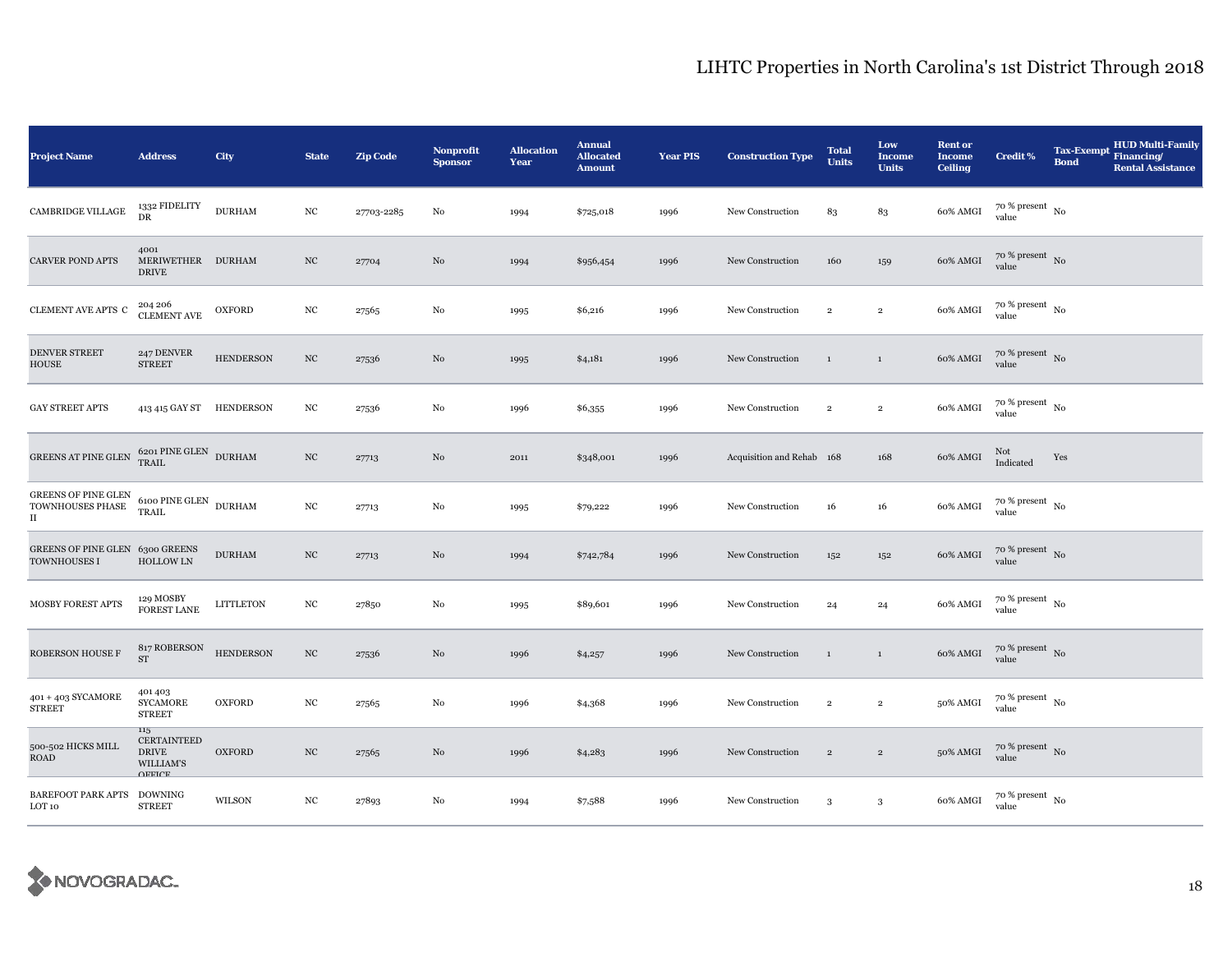| <b>Project Name</b>                                 | <b>Address</b>                                                          | City             | <b>State</b>     | <b>Zip Code</b> | <b>Nonprofit</b><br><b>Sponsor</b> | <b>Allocation</b><br>Year | <b>Annual</b><br><b>Allocated</b><br><b>Amount</b> | <b>Year PIS</b> | <b>Construction Type</b>  | <b>Total</b><br><b>Units</b> | Low<br><b>Income</b><br><b>Units</b> | <b>Rent or</b><br><b>Income</b><br><b>Ceiling</b> | <b>Credit %</b>                        | <b>Tax-Exempt</b><br><b>Bond</b> | <b>HUD Multi-Family</b><br>Financing/<br><b>Rental Assistance</b> |
|-----------------------------------------------------|-------------------------------------------------------------------------|------------------|------------------|-----------------|------------------------------------|---------------------------|----------------------------------------------------|-----------------|---------------------------|------------------------------|--------------------------------------|---------------------------------------------------|----------------------------------------|----------------------------------|-------------------------------------------------------------------|
| CAMBRIDGE VILLAGE                                   | 1332 FIDELITY<br>DR                                                     | <b>DURHAM</b>    | $_{\mathrm{NC}}$ | 27703-2285      | No                                 | 1994                      | \$725,018                                          | 1996            | New Construction          | 83                           | 83                                   | 60% AMGI                                          | $70~\%$ present $~$ No value           |                                  |                                                                   |
| <b>CARVER POND APTS</b>                             | 4001<br>MERIWETHER DURHAM<br><b>DRIVE</b>                               |                  | $_{\mathrm{NC}}$ | 27704           | No                                 | 1994                      | \$956,454                                          | 1996            | New Construction          | 160                          | 159                                  | 60% AMGI                                          | $70\%$ present No<br>value             |                                  |                                                                   |
| CLEMENT AVE APTS C                                  | 204 206<br><b>CLEMENT AVE</b>                                           | <b>OXFORD</b>    | NC               | 27565           | $\rm No$                           | 1995                      | \$6,216                                            | 1996            | New Construction          | $\,2\,$                      | $\overline{2}$                       | 60% AMGI                                          | $70~\%$ present $~$ No value           |                                  |                                                                   |
| DENVER STREET<br><b>HOUSE</b>                       | 247 DENVER<br><b>STREET</b>                                             | <b>HENDERSON</b> | $_{\mathrm{NC}}$ | 27536           | No                                 | 1995                      | \$4,181                                            | 1996            | New Construction          | $\mathbf{1}$                 | $\,$ 1                               | 60% AMGI                                          | $70$ % present $\,$ No $\,$<br>value   |                                  |                                                                   |
| <b>GAY STREET APTS</b>                              | 413 415 GAY ST HENDERSON                                                |                  | $_{\mathrm{NC}}$ | 27536           | No                                 | 1996                      | \$6,355                                            | 1996            | New Construction          | $\overline{2}$               | $\,2\,$                              | 60% AMGI                                          | $70$ % present $\,$ No $\,$<br>value   |                                  |                                                                   |
| GREENS AT PINE GLEN                                 | $6201$ $\overline{\text{PINE GLEN}}$ $$\text{DURHAM}$$ TRAIL            |                  | $_{\mathrm{NC}}$ | 27713           | No                                 | 2011                      | \$348,001                                          | 1996            | Acquisition and Rehab 168 |                              | 168                                  | 60% AMGI                                          | Not<br>Indicated                       | Yes                              |                                                                   |
| GREENS OF PINE GLEN<br>TOWNHOUSES PHASE<br>$\rm II$ | 6100 PINE GLEN $\,$ DURHAM<br>TRAIL                                     |                  | $_{\mathrm{NC}}$ | 27713           | No                                 | 1995                      | \$79,222                                           | 1996            | New Construction          | 16                           | 16                                   | 60% AMGI                                          | $70~\%$ present $~$ No value           |                                  |                                                                   |
| GREENS OF PINE GLEN 6300 GREENS<br>TOWNHOUSES I     | <b>HOLLOW LN</b>                                                        | <b>DURHAM</b>    | $_{\mathrm{NC}}$ | 27713           | $\rm No$                           | 1994                      | \$742,784                                          | 1996            | New Construction          | 152                          | $152\,$                              | 60% AMGI                                          | $70$ % present $\,$ No value           |                                  |                                                                   |
| MOSBY FOREST APTS                                   | 129 MOSBY<br><b>FOREST LANE</b>                                         | <b>LITTLETON</b> | $_{\mathrm{NC}}$ | 27850           | No                                 | 1995                      | \$89,601                                           | 1996            | New Construction          | 24                           | 24                                   | 60% AMGI                                          | $70\,\%$ present $\,$ No $\,$<br>value |                                  |                                                                   |
| ROBERSON HOUSE F                                    | 817 ROBERSON<br>${\rm ST}$                                              | <b>HENDERSON</b> | $_{\mathrm{NC}}$ | 27536           | No                                 | 1996                      | \$4,257                                            | 1996            | New Construction          | $\mathbf{1}$                 | $\,$ 1                               | 60% AMGI                                          | $70$ % present $\,$ No $\,$<br>value   |                                  |                                                                   |
| 401 + 403 SYCAMORE<br><b>STREET</b>                 | 401403<br><b>SYCAMORE</b><br><b>STREET</b>                              | <b>OXFORD</b>    | $_{\mathrm{NC}}$ | 27565           | No                                 | 1996                      | \$4,368                                            | 1996            | New Construction          | $\,2\,$                      | $\,$ 2 $\,$                          | 50% AMGI                                          | $70$ % present $\,$ No $\,$<br>value   |                                  |                                                                   |
| 500-502 HICKS MILL<br>ROAD                          | 115<br><b>CERTAINTEED</b><br><b>DRIVE</b><br>WILLIAM'S<br><b>OFFICE</b> | <b>OXFORD</b>    | $_{\mathrm{NC}}$ | 27565           | No                                 | 1996                      | \$4,283                                            | 1996            | New Construction          | $\sqrt{2}$                   | $\,2\,$                              | 50% AMGI                                          | $70~\%$ present $~$ No value           |                                  |                                                                   |
| <b>BAREFOOT PARK APTS</b><br>LOT 10                 | <b>DOWNING</b><br><b>STREET</b>                                         | WILSON           | $_{\mathrm{NC}}$ | 27893           | No                                 | 1994                      | \$7,588                                            | 1996            | New Construction          | 3                            | $\sqrt{3}$                           | 60% AMGI                                          | $70$ % present $_{\, \rm No}$<br>value |                                  |                                                                   |

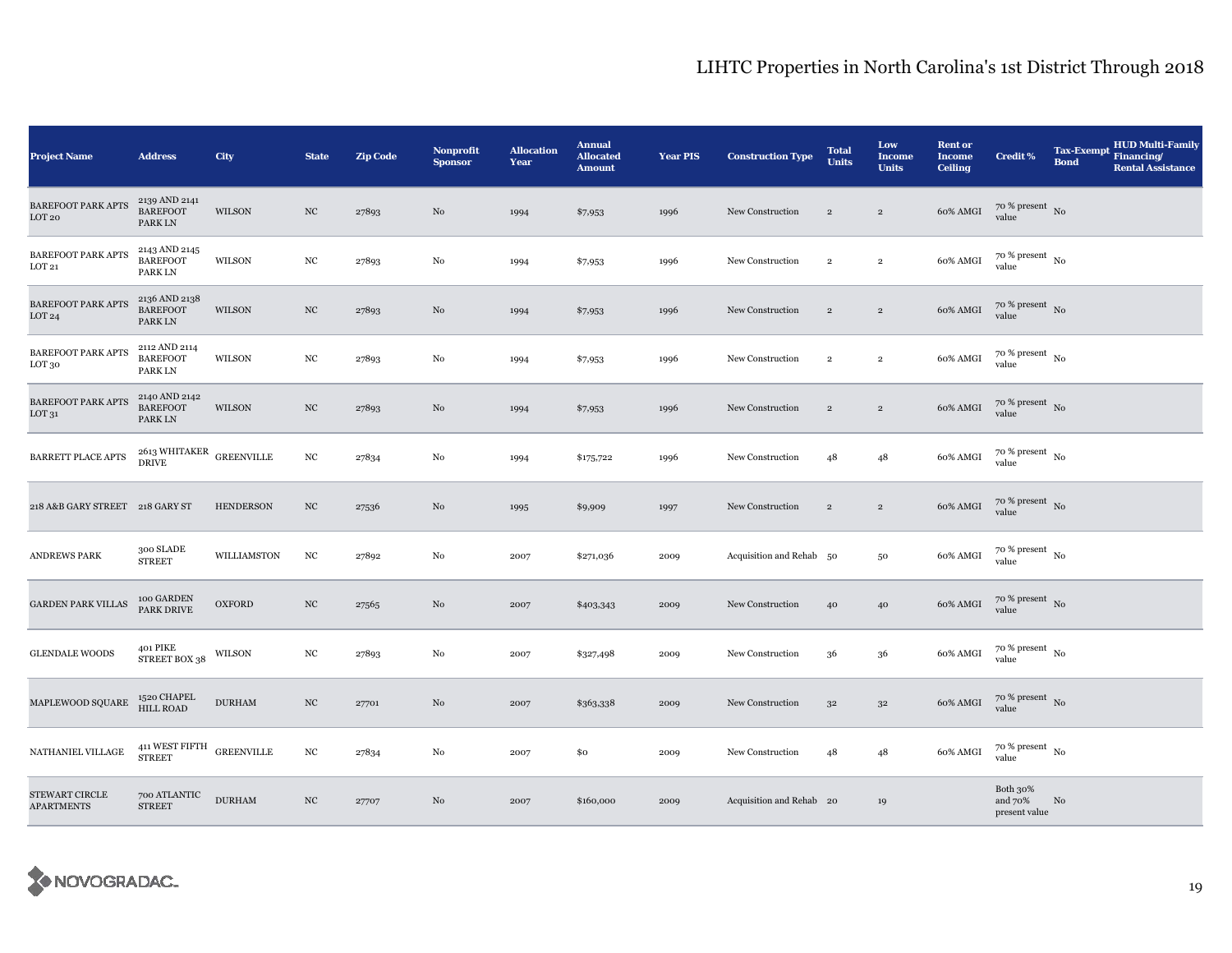| <b>Project Name</b>                         | <b>Address</b>                                            | City             | <b>State</b>     | <b>Zip Code</b> | <b>Nonprofit</b><br><b>Sponsor</b> | <b>Allocation</b><br>Year | <b>Annual</b><br><b>Allocated</b><br><b>Amount</b> | <b>Year PIS</b> | <b>Construction Type</b> | <b>Total</b><br><b>Units</b> | Low<br><b>Income</b><br><b>Units</b> | <b>Rent or</b><br><b>Income</b><br><b>Ceiling</b> | <b>Credit %</b>                        | <b>Tax-Exempt</b><br><b>Bond</b> | <b>HUD Multi-Family</b><br>Financing/<br><b>Rental Assistance</b> |
|---------------------------------------------|-----------------------------------------------------------|------------------|------------------|-----------------|------------------------------------|---------------------------|----------------------------------------------------|-----------------|--------------------------|------------------------------|--------------------------------------|---------------------------------------------------|----------------------------------------|----------------------------------|-------------------------------------------------------------------|
| <b>BAREFOOT PARK APTS</b><br>LOT20          | 2139 AND 2141<br><b>BAREFOOT</b><br>PARK LN               | WILSON           | NC               | 27893           | No                                 | 1994                      | \$7,953                                            | 1996            | New Construction         | $\sqrt{2}$                   | $\,2\,$                              | 60% AMGI                                          | $70$ % present $\,$ No $\,$<br>value   |                                  |                                                                   |
| <b>BAREFOOT PARK APTS</b><br>LOT21          | 2143 AND 2145<br><b>BAREFOOT</b><br>PARK LN               | WILSON           | $_{\mathrm{NC}}$ | 27893           | No                                 | 1994                      | \$7,953                                            | 1996            | New Construction         | $\,2\,$                      | $\,2\,$                              | 60% AMGI                                          | $70$ % present $_{\, \rm No}$<br>value |                                  |                                                                   |
| <b>BAREFOOT PARK APTS</b><br>LOT24          | 2136 AND 2138<br><b>BAREFOOT</b><br>PARK LN               | <b>WILSON</b>    | $_{\mathrm{NC}}$ | 27893           | No                                 | 1994                      | \$7,953                                            | 1996            | New Construction         | $\overline{2}$               | $\overline{2}$                       | 60% AMGI                                          | $70~\%$ present $~$ No value           |                                  |                                                                   |
| BAREFOOT PARK APTS<br>LOT 30                | 2112 AND 2114<br><b>BAREFOOT</b><br>PARK LN               | WILSON           | $_{\mathrm{NC}}$ | 27893           | No                                 | 1994                      | \$7,953                                            | 1996            | New Construction         | $\overline{2}$               | $\overline{2}$                       | 60% AMGI                                          | $70$ % present $\,$ No $\,$<br>value   |                                  |                                                                   |
| <b>BAREFOOT PARK APTS</b><br>${\rm LOT}$ 31 | 2140 AND 2142<br><b>BAREFOOT</b><br>PARK LN               | WILSON           | $_{\mathrm{NC}}$ | 27893           | No                                 | 1994                      | \$7,953                                            | 1996            | New Construction         | $\overline{2}$               | $\sqrt{2}$                           | 60% AMGI                                          | $70~\%$ present $~$ No value           |                                  |                                                                   |
| BARRETT PLACE APTS                          | $2613\text{ WHITAKER}$ GREENVILLE DRIVE                   |                  | $_{\mathrm{NC}}$ | 27834           | No                                 | 1994                      | \$175,722                                          | 1996            | New Construction         | 48                           | 48                                   | 60% AMGI                                          | $70~\%$ present $~$ No value           |                                  |                                                                   |
| 218 A&B GARY STREET 218 GARY ST             |                                                           | <b>HENDERSON</b> | $_{\mathrm{NC}}$ | 27536           | No                                 | 1995                      | \$9,909                                            | 1997            | New Construction         | $\sqrt{2}$                   | $\sqrt{2}$                           | 60% AMGI                                          | $70$ % present $\,$ No $\,$<br>value   |                                  |                                                                   |
| <b>ANDREWS PARK</b>                         | 300 SLADE<br><b>STREET</b>                                | WILLIAMSTON      | $_{\mathrm{NC}}$ | 27892           | No                                 | 2007                      | \$271,036                                          | 2009            | Acquisition and Rehab 50 |                              | $50\,$                               | 60% AMGI                                          | 70 % present $\,$ No<br>value          |                                  |                                                                   |
| <b>GARDEN PARK VILLAS</b>                   | 100 GARDEN<br>PARK DRIVE                                  | <b>OXFORD</b>    | $_{\mathrm{NC}}$ | 27565           | No                                 | 2007                      | \$403,343                                          | 2009            | New Construction         | 40                           | 40                                   | 60% AMGI                                          | $70\,\%$ present $\,$ No value         |                                  |                                                                   |
| <b>GLENDALE WOODS</b>                       | 401 PIKE<br>STREET BOX 38                                 | WILSON           | NC               | 27893           | No                                 | 2007                      | \$327,498                                          | 2009            | New Construction         | 36                           | 36                                   | 60% AMGI                                          | $70$ % present $\,$ No $\,$<br>value   |                                  |                                                                   |
| MAPLEWOOD SQUARE                            | 1520 CHAPEL<br><b>HILL ROAD</b>                           | <b>DURHAM</b>    | $_{\mathrm{NC}}$ | 27701           | No                                 | 2007                      | \$363,338                                          | 2009            | New Construction         | $3^{\rm 2}$                  | $3^{\rm 2}$                          | 60% AMGI                                          | $70$ % present $_{\rm No}$             |                                  |                                                                   |
| NATHANIEL VILLAGE                           | $411\, \rm{WEST\, FITH}$ $\,$ GREENVILLE<br><b>STREET</b> |                  | $_{\mathrm{NC}}$ | 27834           | No                                 | 2007                      | \$0                                                | 2009            | New Construction         | 48                           | 48                                   | 60% AMGI                                          | $70$ % present $\,$ No $\,$<br>value   |                                  |                                                                   |
| STEWART CIRCLE<br><b>APARTMENTS</b>         | 700 ATLANTIC<br><b>STREET</b>                             | <b>DURHAM</b>    | $_{\mathrm{NC}}$ | 27707           | No                                 | 2007                      | \$160,000                                          | 2009            | Acquisition and Rehab 20 |                              | 19                                   |                                                   | Both 30%<br>and 70%<br>present value   | No                               |                                                                   |

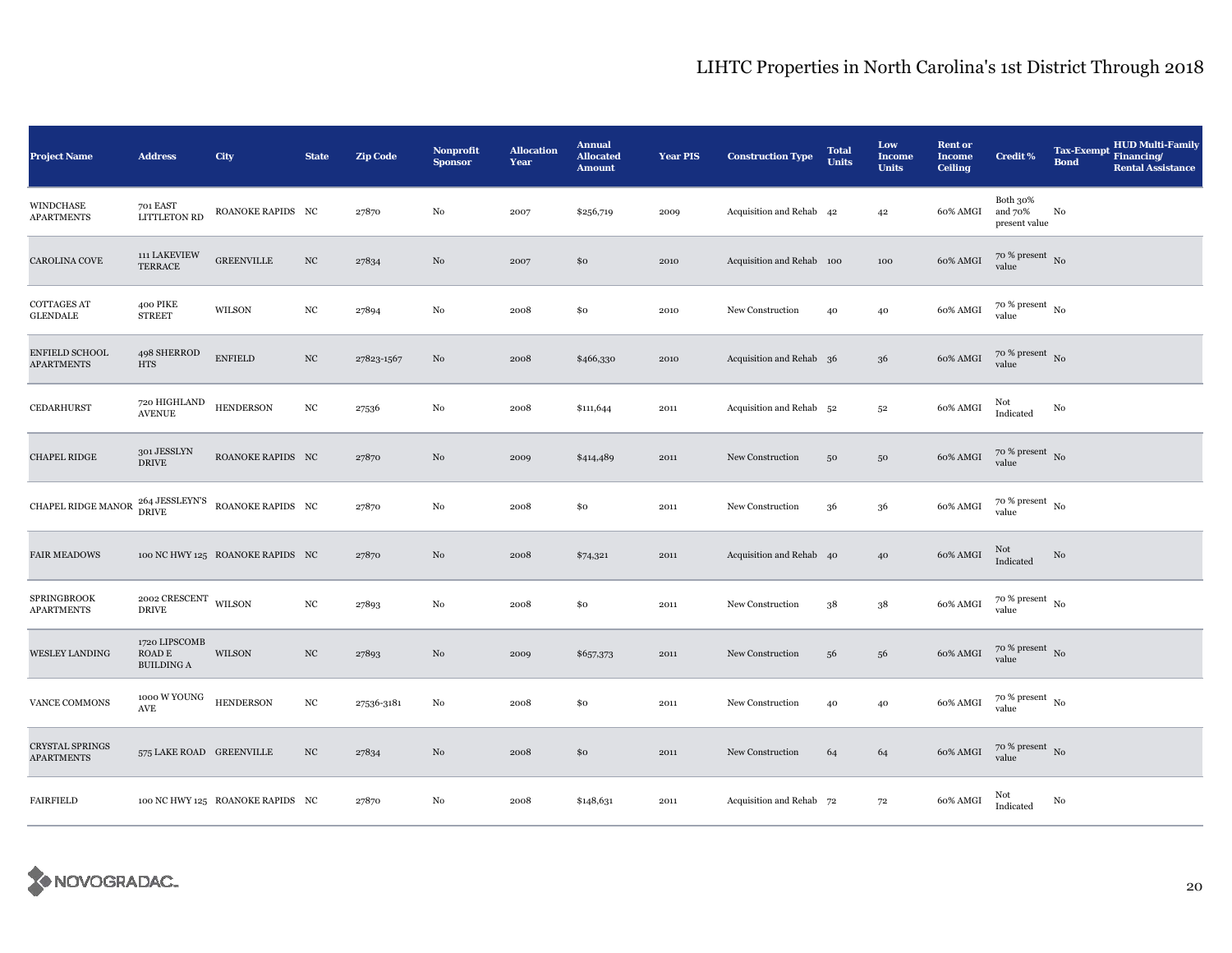| <b>Project Name</b>                        | <b>Address</b>                                            | City                                                   | <b>State</b>     | Zip Code   | Nonprofit<br><b>Sponsor</b> | <b>Allocation</b><br>Year | <b>Annual</b><br><b>Allocated</b><br><b>Amount</b> | <b>Year PIS</b> | <b>Construction Type</b>  | <b>Total</b><br><b>Units</b> | Low<br><b>Income</b><br><b>Units</b> | <b>Rent or</b><br><b>Income</b><br><b>Ceiling</b> | <b>Credit %</b>                        | <b>Tax-Exempt</b><br><b>Bond</b> | <b>HUD Multi-Family</b><br>Financing/<br><b>Rental Assistance</b> |
|--------------------------------------------|-----------------------------------------------------------|--------------------------------------------------------|------------------|------------|-----------------------------|---------------------------|----------------------------------------------------|-----------------|---------------------------|------------------------------|--------------------------------------|---------------------------------------------------|----------------------------------------|----------------------------------|-------------------------------------------------------------------|
| WINDCHASE<br><b>APARTMENTS</b>             | 701 EAST<br><b>LITTLETON RD</b>                           | ROANOKE RAPIDS NC                                      |                  | 27870      | $\rm No$                    | 2007                      | \$256,719                                          | 2009            | Acquisition and Rehab 42  |                              | 42                                   | 60% AMGI                                          | Both 30%<br>and 70%<br>present value   | No                               |                                                                   |
| CAROLINA COVE                              | 111 LAKEVIEW<br><b>TERRACE</b>                            | <b>GREENVILLE</b>                                      | $_{\rm NC}$      | 27834      | $_{\rm No}$                 | 2007                      | \$0                                                | 2010            | Acquisition and Rehab 100 |                              | 100                                  | 60% AMGI                                          | $70$ % present $\,$ No $\,$<br>value   |                                  |                                                                   |
| <b>COTTAGES AT</b><br>${\tt GLENDALE}$     | 400 PIKE<br><b>STREET</b>                                 | WILSON                                                 | $_{\mathrm{NC}}$ | 27894      | $\rm No$                    | 2008                      | \$0                                                | 2010            | New Construction          | 40                           | 40                                   | 60% AMGI                                          | $70~\%$ present $~$ No value           |                                  |                                                                   |
| <b>ENFIELD SCHOOL</b><br><b>APARTMENTS</b> | 498 SHERROD<br>$\rm HTS$                                  | <b>ENFIELD</b>                                         | $_{\mathrm{NC}}$ | 27823-1567 | No                          | 2008                      | \$466,330                                          | 2010            | Acquisition and Rehab 36  |                              | 36                                   | 60% AMGI                                          | $70~\%$ present $~$ No value           |                                  |                                                                   |
| CEDARHURST                                 | 720 HIGHLAND<br><b>AVENUE</b>                             | <b>HENDERSON</b>                                       | $_{\mathrm{NC}}$ | 27536      | No                          | 2008                      | \$111,644                                          | 2011            | Acquisition and Rehab 52  |                              | $5^{\rm 2}$                          | 60% AMGI                                          | Not<br>Indicated                       | No                               |                                                                   |
| <b>CHAPEL RIDGE</b>                        | 301 JESSLYN<br>$\operatorname{DRIVE}$                     | ROANOKE RAPIDS NC                                      |                  | 27870      | No                          | 2009                      | \$414,489                                          | 2011            | New Construction          | $50\,$                       | $50\,$                               | 60% AMGI                                          | $70\,\%$ present $\,$ No value         |                                  |                                                                   |
| CHAPEL RIDGE MANOR                         |                                                           | $264\rm\,JESSLEYN'S\quad$ ROANOKE RAPIDS $\,$ NC DRIVE |                  | 27870      | $\rm No$                    | 2008                      | \$0                                                | 2011            | New Construction          | 36                           | 36                                   | 60% AMGI                                          | $70~\%$ present $~$ No value           |                                  |                                                                   |
| <b>FAIR MEADOWS</b>                        |                                                           | 100 NC HWY 125 ROANOKE RAPIDS NC                       |                  | 27870      | No                          | 2008                      | \$74,321                                           | 2011            | Acquisition and Rehab 40  |                              | 40                                   | 60% AMGI                                          | Not<br>Indicated                       | No                               |                                                                   |
| <b>SPRINGBROOK</b><br><b>APARTMENTS</b>    | 2002 CRESCENT WILSON<br><b>DRIVE</b>                      |                                                        | $_{\rm NC}$      | 27893      | No                          | 2008                      | \$0                                                | 2011            | New Construction          | 38                           | $38\,$                               | 60% AMGI                                          | $70~\%$ present $~$ No value           |                                  |                                                                   |
| <b>WESLEY LANDING</b>                      | 1720 LIPSCOMB<br>$\mbox{\sf ROAD}$ E<br><b>BUILDING A</b> | WILSON                                                 | $_{\mathrm{NC}}$ | 27893      | $\rm No$                    | 2009                      | \$657,373                                          | 2011            | New Construction          | 56                           | 56                                   | 60% AMGI                                          | $70\,\%$ present $\,$ No value         |                                  |                                                                   |
| VANCE COMMONS                              | 1000 W YOUNG<br><b>AVE</b>                                | <b>HENDERSON</b>                                       | $_{\rm NC}$      | 27536-3181 | No                          | 2008                      | \$0                                                | 2011            | New Construction          | 40                           | 40                                   | 60% AMGI                                          | $70$ % present $_{\, \rm No}$<br>value |                                  |                                                                   |
| CRYSTAL SPRINGS<br><b>APARTMENTS</b>       | 575 LAKE ROAD GREENVILLE                                  |                                                        | $_{\rm NC}$      | 27834      | No                          | 2008                      | \$0                                                | 2011            | New Construction          | 64                           | 64                                   | 60% AMGI                                          | $70~\%$ present $~$ No value           |                                  |                                                                   |
| <b>FAIRFIELD</b>                           |                                                           | 100 NC HWY 125 ROANOKE RAPIDS NC                       |                  | 27870      | No                          | 2008                      | \$148,631                                          | 2011            | Acquisition and Rehab 72  |                              | 72                                   | 60% AMGI                                          | Not<br>Indicated                       | No                               |                                                                   |

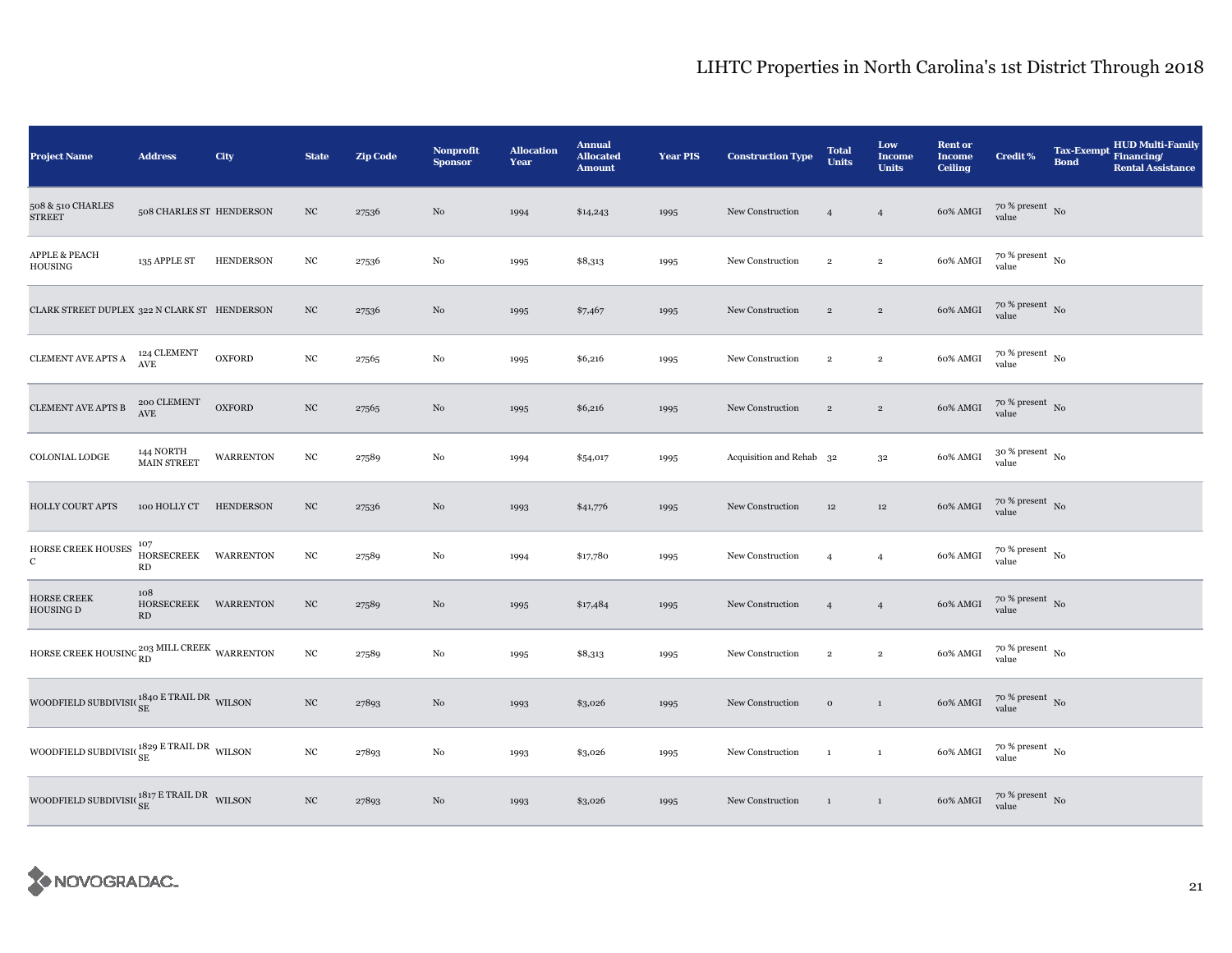| <b>Project Name</b>                                                 | <b>Address</b>                            | <b>City</b>      | <b>State</b>     | <b>Zip Code</b> | Nonprofit<br><b>Sponsor</b> | <b>Allocation</b><br>Year | <b>Annual</b><br><b>Allocated</b><br><b>Amount</b> | <b>Year PIS</b> | <b>Construction Type</b> | <b>Total</b><br><b>Units</b> | Low<br><b>Income</b><br><b>Units</b> | <b>Rent or</b><br><b>Income</b><br><b>Ceiling</b> | <b>Credit %</b>              | <b>Tax-Exempt</b><br><b>Bond</b> | <b>HUD Multi-Family</b><br>Financing/<br><b>Rental Assistance</b> |
|---------------------------------------------------------------------|-------------------------------------------|------------------|------------------|-----------------|-----------------------------|---------------------------|----------------------------------------------------|-----------------|--------------------------|------------------------------|--------------------------------------|---------------------------------------------------|------------------------------|----------------------------------|-------------------------------------------------------------------|
| 508 & 510 CHARLES<br><b>STREET</b>                                  | 508 CHARLES ST HENDERSON                  |                  | $_{\mathrm{NC}}$ | 27536           | No                          | 1994                      | \$14,243                                           | 1995            | New Construction         | $\overline{4}$               | $\overline{4}$                       | 60% AMGI                                          | $70~\%$ present $~$ No value |                                  |                                                                   |
| <b>APPLE &amp; PEACH</b><br>HOUSING                                 | 135 APPLE ST                              | <b>HENDERSON</b> | $_{\mathrm{NC}}$ | 27536           | $\rm No$                    | 1995                      | \$8,313                                            | 1995            | New Construction         | $\,2\,$                      | $\,2\,$                              | 60% AMGI                                          | $70~\%$ present $~$ No value |                                  |                                                                   |
| CLARK STREET DUPLEX 322 N CLARK ST HENDERSON                        |                                           |                  | $_{\mathrm{NC}}$ | 27536           | No                          | 1995                      | \$7,467                                            | 1995            | New Construction         | $\overline{2}$               | $\overline{2}$                       | 60% AMGI                                          | $70~\%$ present $~$ No value |                                  |                                                                   |
| CLEMENT AVE APTS ${\bf A}$                                          | 124 CLEMENT<br>AVE                        | <b>OXFORD</b>    | $_{\rm NC}$      | 27565           | No                          | 1995                      | \$6,216                                            | 1995            | New Construction         | $\overline{2}$               | $\overline{2}$                       | 60% AMGI                                          | $70~\%$ present $~$ No value |                                  |                                                                   |
| CLEMENT AVE APTS B                                                  | 200 CLEMENT<br>$\operatorname{AVE}$       | <b>OXFORD</b>    | $_{\mathrm{NC}}$ | 27565           | $\rm No$                    | 1995                      | \$6,216                                            | 1995            | New Construction         | $\,2\,$                      | $\,2\,$                              | 60% AMGI                                          | $70~\%$ present $~$ No value |                                  |                                                                   |
| COLONIAL LODGE                                                      | 144 NORTH<br>MAIN STREET                  | <b>WARRENTON</b> | $_{\mathrm{NC}}$ | 27589           | $\rm No$                    | 1994                      | \$54,017                                           | 1995            | Acquisition and Rehab 32 |                              | $3^{\rm 2}$                          | 60% AMGI                                          | $30~\%$ present $~$ No value |                                  |                                                                   |
| <b>HOLLY COURT APTS</b>                                             | 100 HOLLY CT                              | <b>HENDERSON</b> | $_{\mathrm{NC}}$ | 27536           | No                          | 1993                      | \$41,776                                           | 1995            | New Construction         | 12                           | 12                                   | 60% AMGI                                          | $70~\%$ present $~$ No value |                                  |                                                                   |
| HORSE CREEK HOUSES<br>$\mathbf{C}$                                  | $^{107}_{\rm HORSECREEK}$ WARRENTON<br>RD |                  | $_{\mathrm{NC}}$ | 27589           | $\rm No$                    | 1994                      | \$17,780                                           | 1995            | New Construction         | $\overline{4}$               | $\overline{4}$                       | 60% AMGI                                          | $70~\%$ present $~$ No value |                                  |                                                                   |
| <b>HORSE CREEK</b><br>HOUSING D                                     | 108<br>HORSECREEK WARRENTON<br>RD         |                  | $_{\mathrm{NC}}$ | 27589           | No                          | 1995                      | \$17,484                                           | 1995            | New Construction         | $\overline{4}$               | $\overline{4}$                       | 60% AMGI                                          | $70$ % present $\,$ No value |                                  |                                                                   |
| HORSE CREEK HOUSING ${}^{203}_{\rm RD}$ MILL CREEK WARRENTON        |                                           |                  | $_{\mathrm{NC}}$ | 27589           | $_{\rm No}$                 | 1995                      | \$8,313                                            | 1995            | New Construction         | $\overline{2}$               | $\overline{2}$                       | 60% AMGI                                          | $70~\%$ present $~$ No value |                                  |                                                                   |
| WOODFIELD SUBDIVISI( $_{\rm SE}^{1840}$ E TRAIL DR WILSON           |                                           |                  | $_{\mathrm{NC}}$ | 27893           | $\rm No$                    | 1993                      | \$3,026                                            | 1995            | New Construction         | $\,$ O                       | $1\,$                                | 60% AMGI                                          | $70~\%$ present $~$ No value |                                  |                                                                   |
| WOODFIELD SUBDIVISI( $^{1829}_{\rm SE}$ E TRAIL DR $\,$ WILSON $\,$ |                                           |                  | $_{\mathrm{NC}}$ | 27893           | $\rm No$                    | 1993                      | \$3,026                                            | 1995            | New Construction         | $\mathbf{1}$                 | $\mathbf{1}$                         | 60% AMGI                                          | $70~\%$ present $~$ No value |                                  |                                                                   |
| WOODFIELD SUBDIVISI( $^{1817}_{\rm SE}$ E TRAIL DR $\,$ WILSON $\,$ |                                           |                  | $_{\mathrm{NC}}$ | 27893           | No                          | 1993                      | \$3,026                                            | 1995            | New Construction         | $\mathbf{1}$                 | $\mathbf{1}$                         | 60% AMGI                                          | $70~\%$ present $~$ No value |                                  |                                                                   |

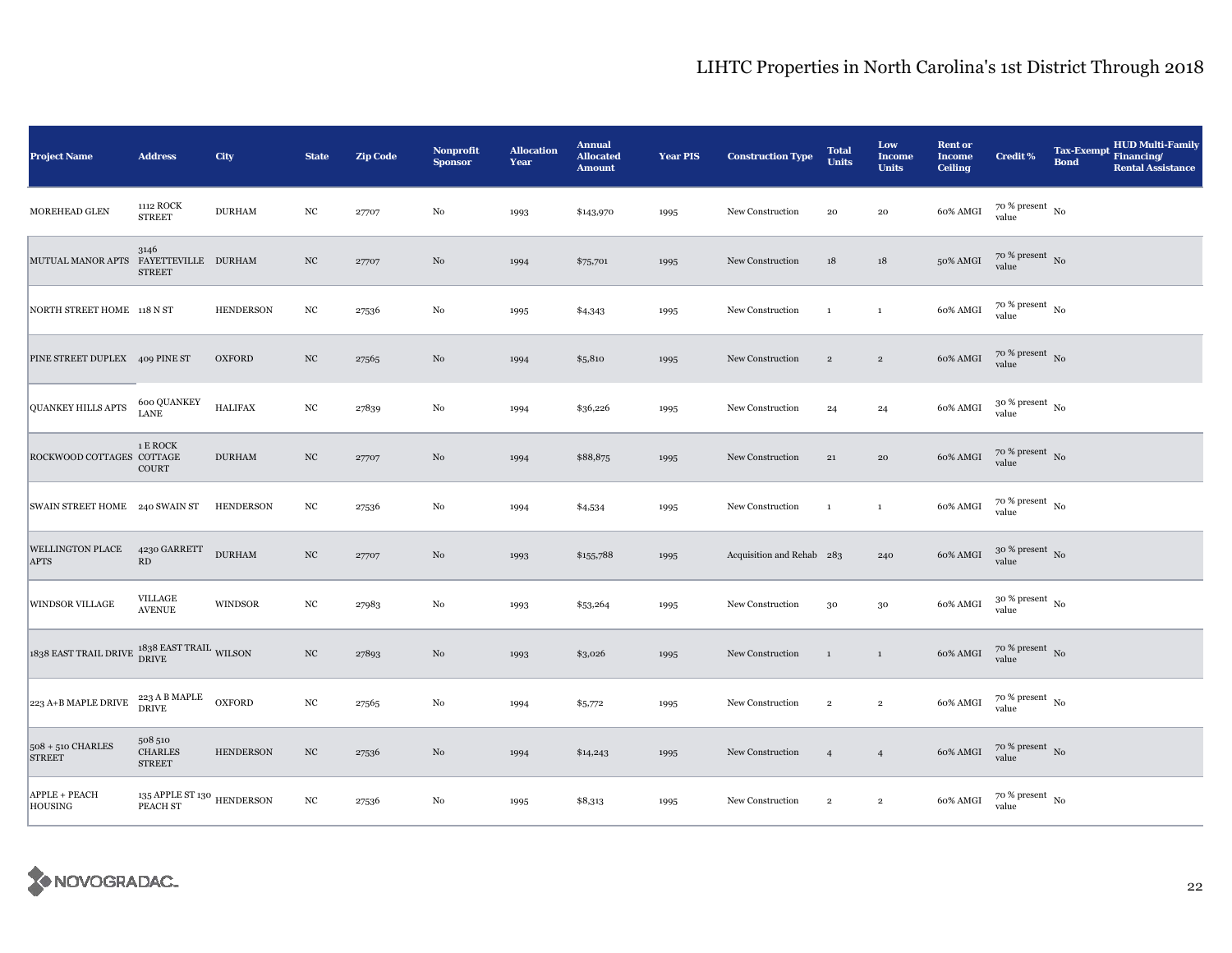| <b>Project Name</b>                                                   | <b>Address</b>                                       | City             | <b>State</b>     | <b>Zip Code</b> | <b>Nonprofit</b><br><b>Sponsor</b> | <b>Allocation</b><br>Year | <b>Annual</b><br><b>Allocated</b><br><b>Amount</b> | <b>Year PIS</b> | <b>Construction Type</b>  | <b>Total</b><br><b>Units</b> | Low<br><b>Income</b><br><b>Units</b> | <b>Rent or</b><br><b>Income</b><br><b>Ceiling</b> | <b>Credit %</b>                        | <b>HUD Multi-Family</b><br>Tax-Exempt Financing/<br><b>Bond</b><br><b>Rental Assistance</b> |
|-----------------------------------------------------------------------|------------------------------------------------------|------------------|------------------|-----------------|------------------------------------|---------------------------|----------------------------------------------------|-----------------|---------------------------|------------------------------|--------------------------------------|---------------------------------------------------|----------------------------------------|---------------------------------------------------------------------------------------------|
| MOREHEAD GLEN                                                         | 1112 ROCK<br><b>STREET</b>                           | <b>DURHAM</b>    | $_{\mathrm{NC}}$ | 27707           | $_{\rm No}$                        | 1993                      | \$143,970                                          | 1995            | New Construction          | ${\bf 20}$                   | ${\bf 20}$                           | 60% AMGI                                          | $70$ % present $_{\, \rm No}$<br>value |                                                                                             |
| <b>MUTUAL MANOR APTS</b>                                              | 3146<br>FAYETTEVILLE DURHAM<br><b>STREET</b>         |                  | $_{\mathrm{NC}}$ | 27707           | No                                 | 1994                      | \$75,701                                           | 1995            | New Construction          | 18                           | 18                                   | 50% AMGI                                          | $70\%$ present No<br>value             |                                                                                             |
| NORTH STREET HOME 118 N ST                                            |                                                      | <b>HENDERSON</b> | $_{\mathrm{NC}}$ | 27536           | $_{\rm No}$                        | 1995                      | \$4,343                                            | 1995            | New Construction          | $\mathbf{1}$                 | $\,1\,$                              | 60% AMGI                                          | $70~\%$ present $~$ No value           |                                                                                             |
| PINE STREET DUPLEX 409 PINE ST                                        |                                                      | <b>OXFORD</b>    | $_{\mathrm{NC}}$ | 27565           | $\rm No$                           | 1994                      | \$5,810                                            | 1995            | New Construction          | $\,2\,$                      | $\,2\,$                              | 60% AMGI                                          | $70~\%$ present $~$ No value           |                                                                                             |
| <b>QUANKEY HILLS APTS</b>                                             | 600 QUANKEY<br><b>LANE</b>                           | <b>HALIFAX</b>   | $_{\mathrm{NC}}$ | 27839           | No                                 | 1994                      | \$36,226                                           | 1995            | New Construction          | 24                           | 24                                   | 60% AMGI                                          | $30$ % present $_{\, \rm No}$<br>value |                                                                                             |
| ROCKWOOD COTTAGES COTTAGE                                             | 1 E ROCK<br>COURT                                    | <b>DURHAM</b>    | $_{\mathrm{NC}}$ | 27707           | No                                 | 1994                      | \$88,875                                           | 1995            | New Construction          | 21                           | 20                                   | 60% AMGI                                          | $70~\%$ present $~$ No value           |                                                                                             |
| SWAIN STREET HOME 240 SWAIN ST                                        |                                                      | <b>HENDERSON</b> | $_{\mathrm{NC}}$ | 27536           | $_{\rm No}$                        | 1994                      | \$4,534                                            | 1995            | New Construction          | $\mathbf{1}$                 | $\mathbf{1}$                         | 60% AMGI                                          | $70$ % present $\,$ No $\,$<br>value   |                                                                                             |
| <b>WELLINGTON PLACE</b><br><b>APTS</b>                                | 4230 GARRETT<br>RD                                   | <b>DURHAM</b>    | $_{\mathrm{NC}}$ | 27707           | $_{\rm No}$                        | 1993                      | \$155,788                                          | 1995            | Acquisition and Rehab 283 |                              | 240                                  | 60% AMGI                                          | $30\%$ present No<br>value             |                                                                                             |
| <b>WINDSOR VILLAGE</b>                                                | VILLAGE<br><b>AVENUE</b>                             | WINDSOR          | $_{\mathrm{NC}}$ | 27983           | No                                 | 1993                      | \$53,264                                           | 1995            | New Construction          | 30                           | $30\,$                               | 60% AMGI                                          | $30~\%$ present $~$ No value           |                                                                                             |
| $1838$ EAST TRAIL DRIVE $\frac{1838}{\text{DRIVE}}$ EAST TRAIL WILSON |                                                      |                  | $_{\mathrm{NC}}$ | 27893           | No                                 | 1993                      | \$3,026                                            | 1995            | New Construction          | $\mathbf{1}$                 | $\mathbf{1}$                         | 60% AMGI                                          | $70\,\%$ present $\,$ No value         |                                                                                             |
| $\sqrt{223}$ A+B MAPLE DRIVE                                          | 223 A B MAPLE<br>DRIVE                               | <b>OXFORD</b>    | $_{\mathrm{NC}}$ | 27565           | $\rm No$                           | 1994                      | \$5,772                                            | 1995            | New Construction          | $\,2\,$                      | $\,2\,$                              | 60% AMGI                                          | $70~\%$ present $~$ No value           |                                                                                             |
| $508 + 510$ CHARLES<br><b>STREET</b>                                  | 508 510<br><b>CHARLES</b><br><b>STREET</b>           | <b>HENDERSON</b> | $_{\mathrm{NC}}$ | 27536           | No                                 | 1994                      | \$14,243                                           | 1995            | New Construction          | $\overline{4}$               | $\overline{4}$                       | 60% AMGI                                          | $70~\%$ present $~$ No value           |                                                                                             |
| APPLE + PEACH<br><b>HOUSING</b>                                       | $135$ APPLE ST $130$ $\,$ HENDERSON $\,$<br>PEACH ST |                  | $_{\mathrm{NC}}$ | 27536           | No                                 | 1995                      | \$8,313                                            | 1995            | New Construction          | $\overline{2}$               | $\overline{2}$                       | 60% AMGI                                          | $70~\%$ present $~$ No value           |                                                                                             |

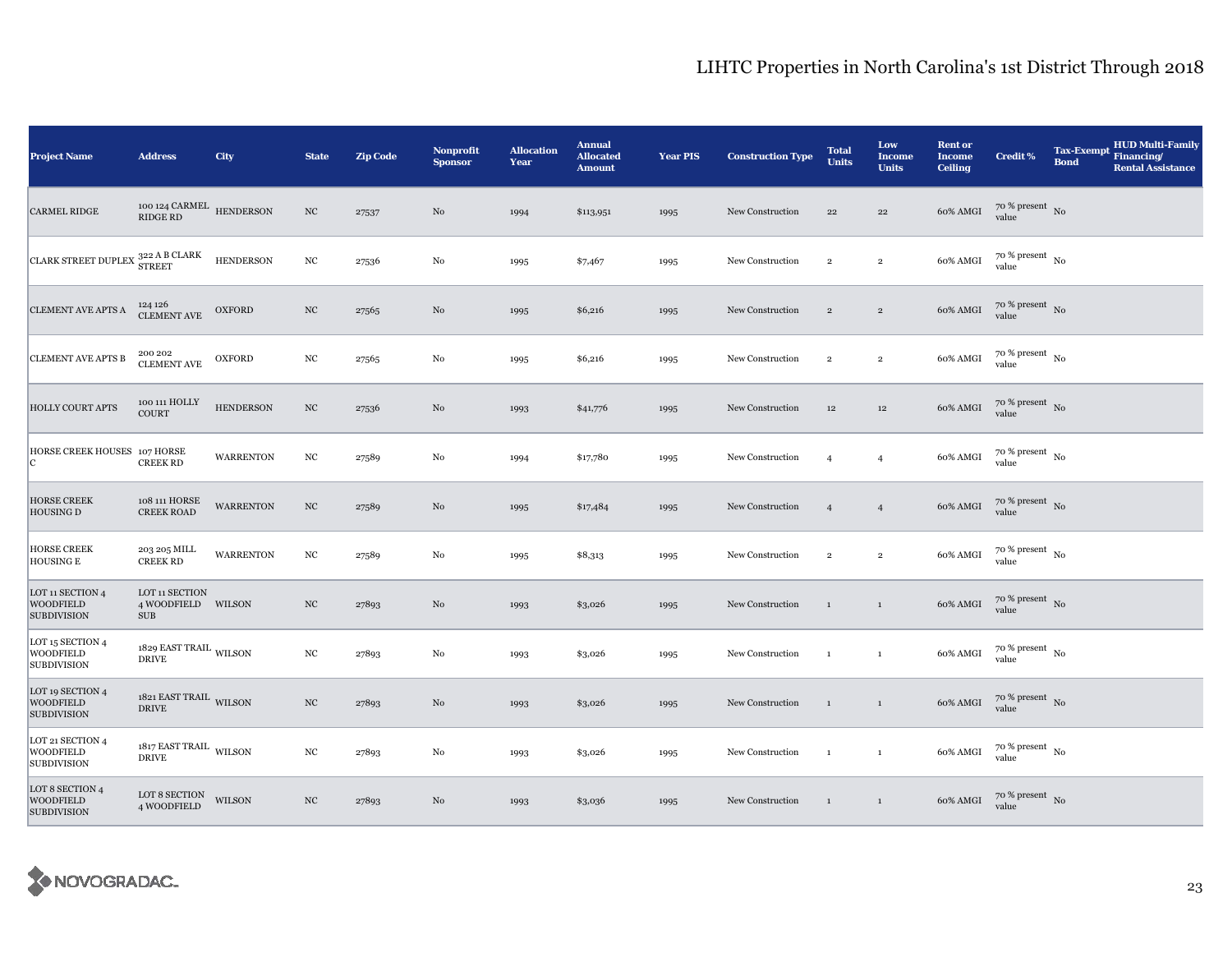| <b>Project Name</b>                                        | <b>Address</b>                                     | City             | <b>State</b>     | <b>Zip Code</b> | <b>Nonprofit</b><br><b>Sponsor</b> | <b>Allocation</b><br>Year | <b>Annual</b><br><b>Allocated</b><br><b>Amount</b> | <b>Year PIS</b> | <b>Construction Type</b> | <b>Total</b><br><b>Units</b> | Low<br><b>Income</b><br><b>Units</b> | <b>Rent</b> or<br><b>Income</b><br><b>Ceiling</b> | <b>Credit %</b>                        | <b>Tax-Exempt</b><br><b>Bond</b> | <b>HUD Multi-Family</b><br>Financing/<br><b>Rental Assistance</b> |
|------------------------------------------------------------|----------------------------------------------------|------------------|------------------|-----------------|------------------------------------|---------------------------|----------------------------------------------------|-----------------|--------------------------|------------------------------|--------------------------------------|---------------------------------------------------|----------------------------------------|----------------------------------|-------------------------------------------------------------------|
| <b>CARMEL RIDGE</b>                                        | 100 124 CARMEL HENDERSON<br><b>RIDGE RD</b>        |                  | $_{\mathrm{NC}}$ | 27537           | $_{\rm No}$                        | 1994                      | \$113,951                                          | 1995            | New Construction         | 22                           | 22                                   | 60% AMGI                                          | $70$ % present $\,$ No $\,$<br>value   |                                  |                                                                   |
| CLARK STREET DUPLEX $^{322}_{\rm STREF}$                   |                                                    | <b>HENDERSON</b> | $_{\mathrm{NC}}$ | 27536           | No                                 | 1995                      | \$7,467                                            | 1995            | New Construction         | $\,2\,$                      | $\,2\,$                              | 60% AMGI                                          | $70$ % present $_{\, \rm No}$<br>value |                                  |                                                                   |
| <b>CLEMENT AVE APTS A</b>                                  | 124 126<br>CLEMENT AVE                             | <b>OXFORD</b>    | $_{\mathrm{NC}}$ | 27565           | $_{\rm No}$                        | 1995                      | \$6,216                                            | 1995            | New Construction         | $\overline{2}$               | $\overline{2}$                       | 60% AMGI                                          | $70~\%$ present $~$ No value           |                                  |                                                                   |
| <b>CLEMENT AVE APTS B</b>                                  | 200 202<br><b>CLEMENT AVE</b>                      | <b>OXFORD</b>    | $_{\mathrm{NC}}$ | 27565           | $_{\rm No}$                        | 1995                      | \$6,216                                            | 1995            | New Construction         | $\overline{2}$               | $\overline{2}$                       | 60% AMGI                                          | $70$ % present $\,$ No $\,$<br>value   |                                  |                                                                   |
| <b>HOLLY COURT APTS</b>                                    | 100 111 HOLLY<br><b>COURT</b>                      | <b>HENDERSON</b> | $_{\mathrm{NC}}$ | 27536           | No                                 | 1993                      | \$41,776                                           | 1995            | New Construction         | $12\,$                       | $12\,$                               | 60% AMGI                                          | $70~\%$ present $~$ No value           |                                  |                                                                   |
| HORSE CREEK HOUSES 107 HORSE<br>C.                         | <b>CREEK RD</b>                                    | <b>WARRENTON</b> | $_{\mathrm{NC}}$ | 27589           | No                                 | 1994                      | \$17,780                                           | 1995            | New Construction         | $\overline{4}$               | $\overline{4}$                       | 60% AMGI                                          | $70$ % present $_{\, \rm No}$<br>value |                                  |                                                                   |
| <b>HORSE CREEK</b><br><b>HOUSING D</b>                     | 108 111 HORSE<br><b>CREEK ROAD</b>                 | <b>WARRENTON</b> | $_{\mathrm{NC}}$ | 27589           | No                                 | 1995                      | \$17,484                                           | 1995            | New Construction         | $\overline{4}$               | $\overline{4}$                       | 60% AMGI                                          | $70\,\%$ present $\,$ No value         |                                  |                                                                   |
| <b>HORSE CREEK</b><br><b>HOUSING E</b>                     | 203 205 MILL<br><b>CREEK RD</b>                    | <b>WARRENTON</b> | $_{\mathrm{NC}}$ | 27589           | No                                 | 1995                      | \$8,313                                            | 1995            | New Construction         | $\overline{2}$               | $\overline{2}$                       | 60% AMGI                                          | $70$ % present $_{\, \rm No}$<br>value |                                  |                                                                   |
| LOT 11 SECTION 4<br><b>WOODFIELD</b><br><b>SUBDIVISION</b> | LOT 11 SECTION<br>4 WOODFIELD WILSON<br><b>SUB</b> |                  | $_{\rm NC}$      | 27893           | No                                 | 1993                      | \$3,026                                            | 1995            | New Construction         | $\mathbf{1}$                 | $\mathbf{1}$                         | 60% AMGI                                          | $70\,\%$ present $\,$ No value         |                                  |                                                                   |
| LOT 15 SECTION 4<br><b>WOODFIELD</b><br><b>SUBDIVISION</b> | 1829 EAST TRAIL WILSON<br><b>DRIVE</b>             |                  | $_{\mathrm{NC}}$ | 27893           | No                                 | 1993                      | \$3,026                                            | 1995            | New Construction         | $\mathbf{1}$                 | $\mathbf{1}$                         | 60% AMGI                                          | $70$ % present $_{\, \rm No}$<br>value |                                  |                                                                   |
| LOT 19 SECTION 4<br><b>WOODFIELD</b><br><b>SUBDIVISION</b> | 1821 EAST TRAIL WILSON<br><b>DRIVE</b>             |                  | $_{\mathrm{NC}}$ | 27893           | No                                 | 1993                      | \$3,026                                            | 1995            | New Construction         | $\mathbf{1}$                 | $\mathbf{1}$                         | 60% AMGI                                          | $70$ % present $_{\rm N0}$             |                                  |                                                                   |
| LOT 21 SECTION 4<br><b>WOODFIELD</b><br><b>SUBDIVISION</b> | $1817$ EAST TRAIL $\,$ WILSON $\,$<br><b>DRIVE</b> |                  | $_{\mathrm{NC}}$ | 27893           | No                                 | 1993                      | \$3,026                                            | 1995            | New Construction         | $\mathbf{1}$                 | $\mathbf{1}$                         | 60% AMGI                                          | $70$ % present $_{\, \rm No}$<br>value |                                  |                                                                   |
| LOT 8 SECTION 4<br><b>WOODFIELD</b><br><b>SUBDIVISION</b>  | LOT 8 SECTION 4 WOODFIELD                          | <b>WILSON</b>    | $_{\mathrm{NC}}$ | 27893           | No                                 | 1993                      | \$3,036                                            | 1995            | New Construction         | $\mathbf{1}$                 | $\mathbf{1}$                         | 60% AMGI                                          | $70~\%$ present $~$ No value           |                                  |                                                                   |

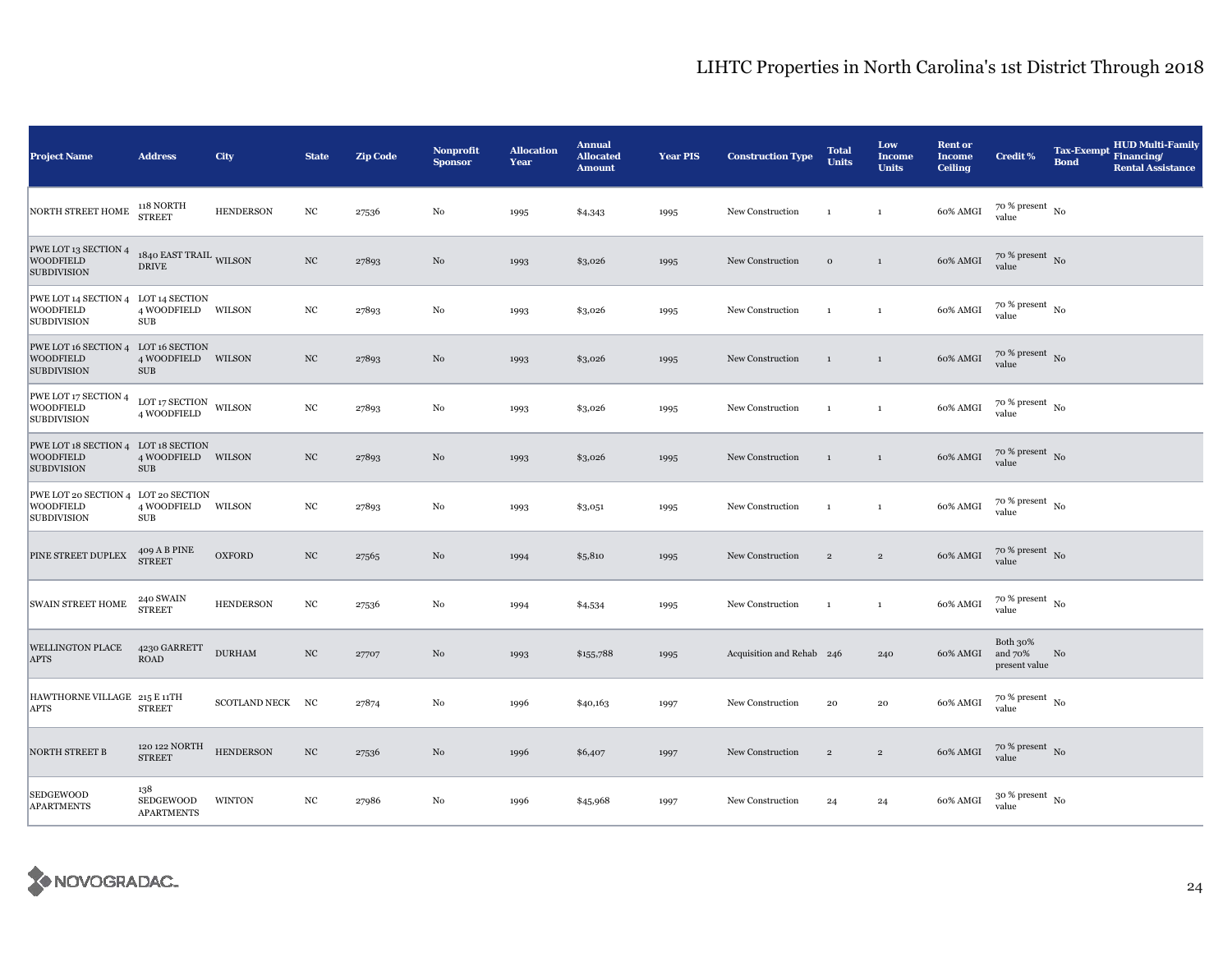| <b>Project Name</b>                                                           | <b>Address</b>                                    | City              | <b>State</b>     | <b>Zip Code</b> | <b>Nonprofit</b><br><b>Sponsor</b> | <b>Allocation</b><br>Year | <b>Annual</b><br><b>Allocated</b><br><b>Amount</b> | <b>Year PIS</b> | <b>Construction Type</b>  | <b>Total</b><br><b>Units</b> | Low<br><b>Income</b><br><b>Units</b> | <b>Rent or</b><br><b>Income</b><br><b>Ceiling</b> | <b>Credit %</b>                          | <b>Tax-Exempt</b><br><b>Bond</b> | <b>HUD Multi-Family</b><br>Financing/<br><b>Rental Assistance</b> |
|-------------------------------------------------------------------------------|---------------------------------------------------|-------------------|------------------|-----------------|------------------------------------|---------------------------|----------------------------------------------------|-----------------|---------------------------|------------------------------|--------------------------------------|---------------------------------------------------|------------------------------------------|----------------------------------|-------------------------------------------------------------------|
| NORTH STREET HOME                                                             | 118 NORTH<br><b>STREET</b>                        | <b>HENDERSON</b>  | $_{\mathrm{NC}}$ | 27536           | $\rm No$                           | 1995                      | \$4,343                                            | 1995            | New Construction          | $\mathbf{1}$                 | $\mathbf{1}$                         | 60% AMGI                                          | $70$ % present $_{\, \rm No}$<br>value   |                                  |                                                                   |
| PWE LOT 13 SECTION 4<br><b>WOODFIELD</b><br><b>SUBDIVISION</b>                | 1840 EAST TRAIL <sub>WILSON</sub><br><b>DRIVE</b> |                   | $_{\mathrm{NC}}$ | 27893           | $\rm No$                           | 1993                      | \$3,026                                            | 1995            | New Construction          | $\,$ O                       | $\,1\,$                              | 60% AMGI                                          | $70$ % present $\,$ No $\,$<br>value     |                                  |                                                                   |
| PWE LOT 14 SECTION 4 LOT 14 SECTION<br><b>WOODFIELD</b><br><b>SUBDIVISION</b> | 4 WOODFIELD WILSON<br>SUB                         |                   | $_{\mathrm{NC}}$ | 27893           | No                                 | 1993                      | \$3,026                                            | 1995            | New Construction          | $\mathbf{1}$                 | $\mathbf{1}$                         | 60% AMGI                                          | $70~\%$ present $~$ No value             |                                  |                                                                   |
| PWE LOT 16 SECTION 4 LOT 16 SECTION<br><b>WOODFIELD</b><br><b>SUBDIVISION</b> | 4 WOODFIELD WILSON<br><b>SUB</b>                  |                   | NC               | 27893           | No                                 | 1993                      | \$3,026                                            | 1995            | New Construction          | $\mathbf{1}$                 | $\mathbf{1}$                         | 60% AMGI                                          | $70\%$ present No<br>value               |                                  |                                                                   |
| PWE LOT 17 SECTION 4<br><b>WOODFIELD</b><br><b>SUBDIVISION</b>                | LOT 17 SECTION<br>4 WOODFIELD                     | $\mathsf{WILSON}$ | $_{\mathrm{NC}}$ | 27893           | No                                 | 1993                      | \$3,026                                            | 1995            | New Construction          | $\mathbf{1}$                 | $\mathbf{1}$                         | 60% AMGI                                          | $70$ % present $_{\, \rm No}$<br>value   |                                  |                                                                   |
| PWE LOT 18 SECTION 4 LOT 18 SECTION<br><b>WOODFIELD</b><br><b>SUBDVISION</b>  | 4 WOODFIELD WILSON<br><b>SUB</b>                  |                   | NC               | 27893           | No                                 | 1993                      | \$3,026                                            | 1995            | New Construction          | $\mathbf{1}$                 | $\mathbf{1}$                         | 60% AMGI                                          | $70$ % present $\,$ No $\,$<br>value     |                                  |                                                                   |
| PWE LOT 20 SECTION 4 LOT 20 SECTION<br><b>WOODFIELD</b><br><b>SUBDIVISION</b> | 4 WOODFIELD WILSON<br>$\rm SUB$                   |                   | $_{\mathrm{NC}}$ | 27893           | No                                 | 1993                      | \$3,051                                            | 1995            | New Construction          | $\mathbf{1}$                 | $\mathbf{1}$                         | 60% AMGI                                          | $70\,\%$ present $_{\,$ No $\,$<br>value |                                  |                                                                   |
| PINE STREET DUPLEX                                                            | 409 A B PINE<br><b>STREET</b>                     | <b>OXFORD</b>     | $_{\mathrm{NC}}$ | 27565           | No                                 | 1994                      | \$5,810                                            | 1995            | New Construction          | $\overline{2}$               | $\overline{2}$                       | 60% AMGI                                          | $70\%$ present No<br>value               |                                  |                                                                   |
| SWAIN STREET HOME                                                             | 240 SWAIN<br><b>STREET</b>                        | <b>HENDERSON</b>  | $_{\rm NC}$      | 27536           | No                                 | 1994                      | \$4,534                                            | 1995            | New Construction          | $\mathbf{1}$                 | $\mathbf{1}$                         | 60% AMGI                                          | $70~\%$ present $~$ No value             |                                  |                                                                   |
| <b>WELLINGTON PLACE</b><br><b>APTS</b>                                        | 4230 GARRETT<br><b>ROAD</b>                       | <b>DURHAM</b>     | $_{\mathrm{NC}}$ | 27707           | No                                 | 1993                      | \$155,788                                          | 1995            | Acquisition and Rehab 246 |                              | 240                                  | 60% AMGI                                          | Both 30%<br>and 70%<br>present value     | No                               |                                                                   |
| HAWTHORNE VILLAGE 215 E 11TH<br><b>APTS</b>                                   | <b>STREET</b>                                     | SCOTLAND NECK NC  |                  | 27874           | No                                 | 1996                      | \$40,163                                           | 1997            | New Construction          | 20                           | $\bf{20}$                            | 60% AMGI                                          | $70~\%$ present $~$ No value             |                                  |                                                                   |
| <b>NORTH STREET B</b>                                                         | 120 122 NORTH<br><b>STREET</b>                    | <b>HENDERSON</b>  | $_{\rm NC}$      | 27536           | No                                 | 1996                      | \$6,407                                            | 1997            | New Construction          | $\sqrt{2}$                   | $\overline{2}$                       | 60% AMGI                                          | $70$ % present $\,$ No $\,$<br>value     |                                  |                                                                   |
| <b>SEDGEWOOD</b><br><b>APARTMENTS</b>                                         | 138<br>SEDGEWOOD<br><b>APARTMENTS</b>             | <b>WINTON</b>     | $_{\mathrm{NC}}$ | 27986           | No                                 | 1996                      | \$45,968                                           | 1997            | New Construction          | 24                           | 24                                   | 60% AMGI                                          | $30$ % present $\,$ No $\,$<br>value     |                                  |                                                                   |

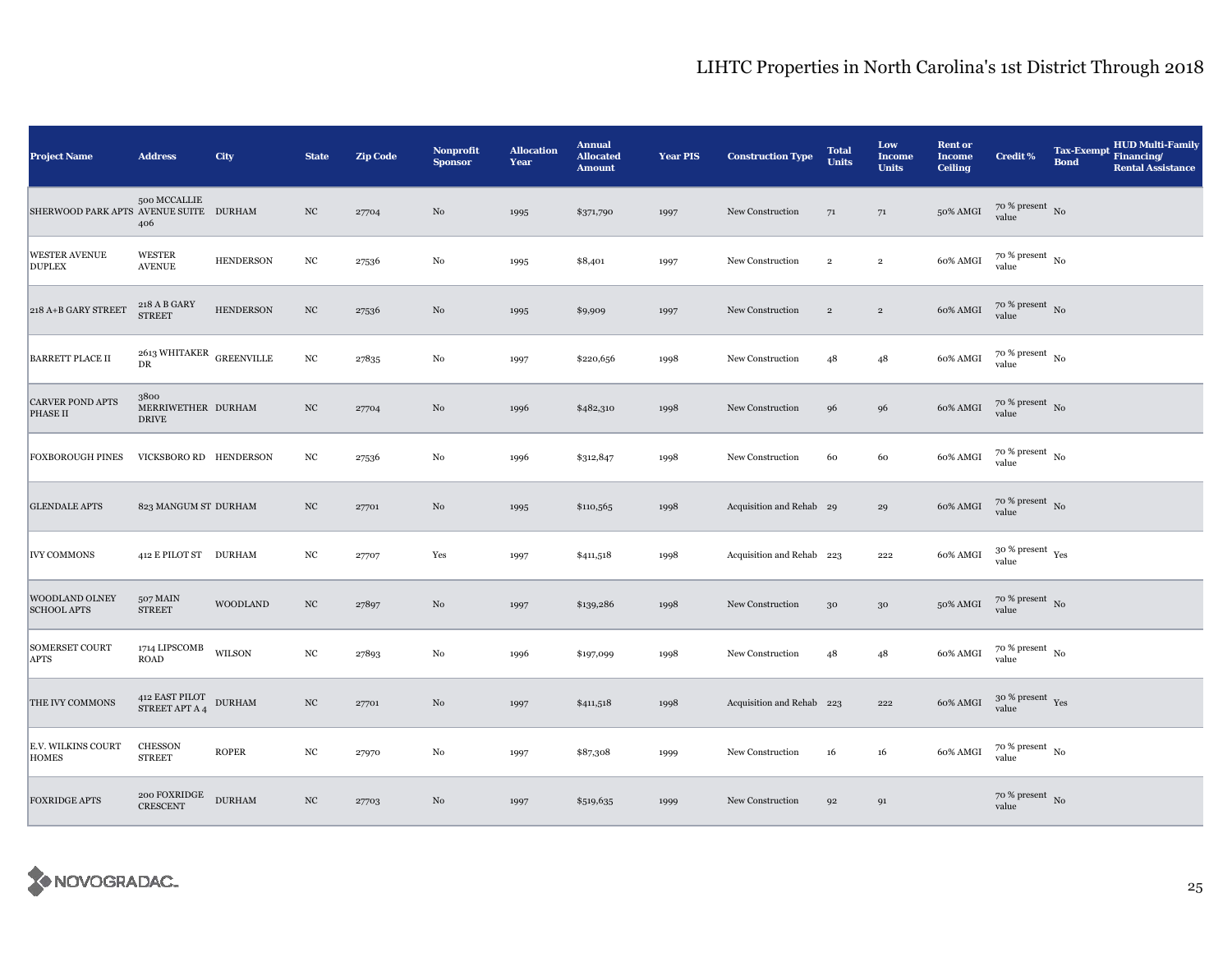| <b>Project Name</b>                       | <b>Address</b>                                   | City             | <b>State</b>     | <b>Zip Code</b> | <b>Nonprofit</b><br><b>Sponsor</b> | <b>Allocation</b><br>Year | <b>Annual</b><br><b>Allocated</b><br><b>Amount</b> | <b>Year PIS</b> | <b>Construction Type</b>  | <b>Total</b><br><b>Units</b> | Low<br><b>Income</b><br><b>Units</b> | <b>Rent or</b><br><b>Income</b><br><b>Ceiling</b> | <b>Credit %</b>                          | <b>Tax-Exempt</b><br><b>Bond</b> | <b>HUD Multi-Family</b><br>Financing/<br><b>Rental Assistance</b> |
|-------------------------------------------|--------------------------------------------------|------------------|------------------|-----------------|------------------------------------|---------------------------|----------------------------------------------------|-----------------|---------------------------|------------------------------|--------------------------------------|---------------------------------------------------|------------------------------------------|----------------------------------|-------------------------------------------------------------------|
| SHERWOOD PARK APTS AVENUE SUITE DURHAM    | 500 MCCALLIE<br>406                              |                  | NC               | 27704           | No                                 | 1995                      | \$371,790                                          | 1997            | New Construction          | 71                           | 71                                   | 50% AMGI                                          | $70~\%$ present $~$ No value             |                                  |                                                                   |
| <b>WESTER AVENUE</b><br><b>DUPLEX</b>     | <b>WESTER</b><br><b>AVENUE</b>                   | <b>HENDERSON</b> | $_{\mathrm{NC}}$ | 27536           | No                                 | 1995                      | \$8,401                                            | 1997            | New Construction          | $\overline{2}$               | $\overline{2}$                       | 60% AMGI                                          | $70$ % present $\,$ $_{\rm No}$<br>value |                                  |                                                                   |
| 218 A+B GARY STREET                       | 218 A B GARY<br><b>STREET</b>                    | <b>HENDERSON</b> | $_{\mathrm{NC}}$ | 27536           | No                                 | 1995                      | \$9,909                                            | 1997            | New Construction          | $\sqrt{2}$                   | $\,2\,$                              | 60% AMGI                                          | $70~\%$ present $~$ No value             |                                  |                                                                   |
| <b>BARRETT PLACE II</b>                   | 2613 WHITAKER $_{\rm GREENVILLE}$<br>DR          |                  | $_{\mathrm{NC}}$ | 27835           | No                                 | 1997                      | \$220,656                                          | 1998            | New Construction          | 48                           | 48                                   | 60% AMGI                                          | $70$ % present $\,$ No $\,$<br>value     |                                  |                                                                   |
| <b>CARVER POND APTS</b><br>PHASE II       | 3800<br>MERRIWETHER DURHAM<br><b>DRIVE</b>       |                  | $_{\mathrm{NC}}$ | 27704           | $\rm No$                           | 1996                      | \$482,310                                          | 1998            | New Construction          | 96                           | 96                                   | 60% AMGI                                          | $70\,\%$ present $\,$ No value           |                                  |                                                                   |
| <b>FOXBOROUGH PINES</b>                   | VICKSBORO RD HENDERSON                           |                  | $_{\mathrm{NC}}$ | 27536           | No                                 | 1996                      | \$312,847                                          | 1998            | New Construction          | 60                           | 60                                   | 60% AMGI                                          | $70$ % present $_{\, \rm No}$<br>value   |                                  |                                                                   |
| <b>GLENDALE APTS</b>                      | 823 MANGUM ST DURHAM                             |                  | $_{\mathrm{NC}}$ | 27701           | No                                 | 1995                      | \$110,565                                          | 1998            | Acquisition and Rehab 29  |                              | 29                                   | 60% AMGI                                          | $70$ % present $_{\rm No}$               |                                  |                                                                   |
| <b>IVY COMMONS</b>                        | 412 E PILOT ST DURHAM                            |                  | NC               | 27707           | Yes                                | 1997                      | \$411,518                                          | 1998            | Acquisition and Rehab 223 |                              | 222                                  | 60% AMGI                                          | $30$ % present $\,$ $\rm Yes$<br>value   |                                  |                                                                   |
| WOODLAND OLNEY<br><b>SCHOOL APTS</b>      | 507 MAIN<br><b>STREET</b>                        | <b>WOODLAND</b>  | $_{\mathrm{NC}}$ | 27897           | No                                 | 1997                      | \$139,286                                          | 1998            | New Construction          | 30                           | 30                                   | 50% AMGI                                          | $70~\%$ present $~$ No value             |                                  |                                                                   |
| <b>SOMERSET COURT</b><br><b>APTS</b>      | 1714 LIPSCOMB<br><b>ROAD</b>                     | <b>WILSON</b>    | $_{\mathrm{NC}}$ | 27893           | No                                 | 1996                      | \$197,099                                          | 1998            | New Construction          | 48                           | 48                                   | 60% AMGI                                          | $70$ % present $_{\, \rm No}$<br>value   |                                  |                                                                   |
| THE IVY COMMONS                           | 412 EAST PILOT<br>STREET APT A 4                 | <b>DURHAM</b>    | $_{\mathrm{NC}}$ | 27701           | No                                 | 1997                      | \$411,518                                          | 1998            | Acquisition and Rehab 223 |                              | 222                                  | 60% AMGI                                          | $30~\%$ present $\,$ Yes value           |                                  |                                                                   |
| <b>E.V. WILKINS COURT</b><br><b>HOMES</b> | <b>CHESSON</b><br><b>STREET</b>                  | <b>ROPER</b>     | $_{\mathrm{NC}}$ | 27970           | $_{\rm No}$                        | 1997                      | \$87,308                                           | 1999            | New Construction          | 16                           | 16                                   | 60% AMGI                                          | $70$ % present $_{\, \rm No}$<br>value   |                                  |                                                                   |
| <b>FOXRIDGE APTS</b>                      | $200$ FOXRIDGE $\quad$ DURHAM<br><b>CRESCENT</b> |                  | $_{\mathrm{NC}}$ | 27703           | No                                 | 1997                      | \$519,635                                          | 1999            | New Construction          | 92                           | 91                                   |                                                   | $70~\%$ present $~$ No value             |                                  |                                                                   |

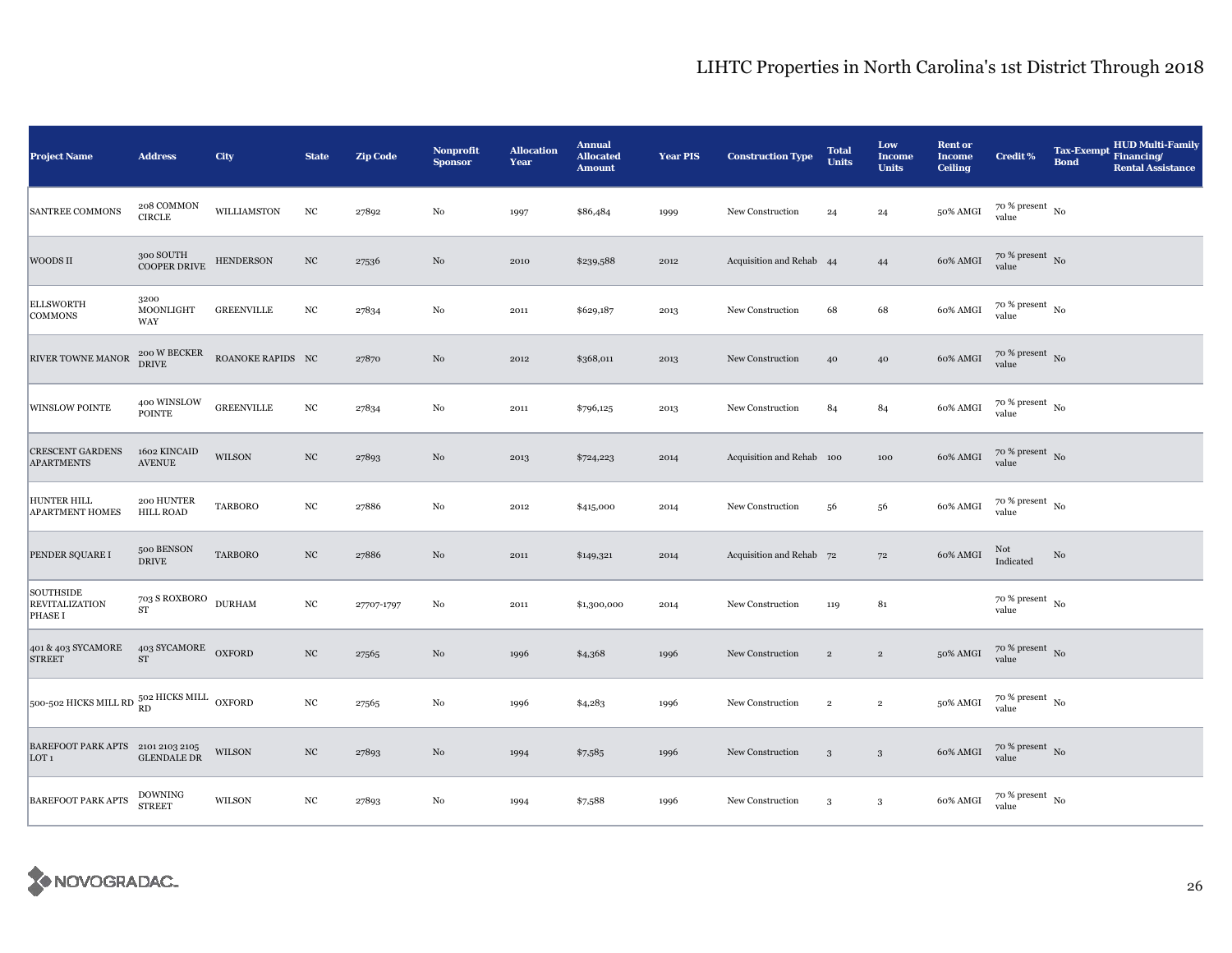| <b>Project Name</b>                                   | <b>Address</b>                            | City              | <b>State</b>     | <b>Zip Code</b> | <b>Nonprofit</b><br><b>Sponsor</b> | <b>Allocation</b><br>Year | <b>Annual</b><br><b>Allocated</b><br><b>Amount</b> | <b>Year PIS</b> | <b>Construction Type</b>  | <b>Total</b><br><b>Units</b> | Low<br>Income<br><b>Units</b> | <b>Rent or</b><br><b>Income</b><br><b>Ceiling</b> | <b>Credit %</b>                        | <b>Tax-Exempt</b><br><b>Bond</b> | <b>HUD Multi-Family</b><br>Financing/<br><b>Rental Assistance</b> |
|-------------------------------------------------------|-------------------------------------------|-------------------|------------------|-----------------|------------------------------------|---------------------------|----------------------------------------------------|-----------------|---------------------------|------------------------------|-------------------------------|---------------------------------------------------|----------------------------------------|----------------------------------|-------------------------------------------------------------------|
| <b>SANTREE COMMONS</b>                                | 208 COMMON<br><b>CIRCLE</b>               | WILLIAMSTON       | $_{\mathrm{NC}}$ | 27892           | $_{\rm No}$                        | 1997                      | \$86,484                                           | 1999            | New Construction          | 24                           | 24                            | 50% AMGI                                          | $70$ % present $_{\, \rm No}$<br>value |                                  |                                                                   |
| WOODS II                                              | 300 SOUTH<br>COOPER DRIVE                 | <b>HENDERSON</b>  | $_{\rm NC}$      | 27536           | No                                 | 2010                      | \$239,588                                          | 2012            | Acquisition and Rehab 44  |                              | 44                            | 60% AMGI                                          | 70 % present No<br>value               |                                  |                                                                   |
| <b>ELLSWORTH</b><br><b>COMMONS</b>                    | 3200<br>MOONLIGHT<br>WAY                  | <b>GREENVILLE</b> | $_{\mathrm{NC}}$ | 27834           | $\rm No$                           | 2011                      | \$629,187                                          | 2013            | New Construction          | 68                           | 68                            | 60% AMGI                                          | $70~\%$ present $~$ No value           |                                  |                                                                   |
| RIVER TOWNE MANOR                                     | 200 W BECKER<br>DRIVE                     | ROANOKE RAPIDS NC |                  | 27870           | No                                 | 2012                      | \$368,011                                          | 2013            | New Construction          | 40                           | 40                            | 60% AMGI                                          | $70~\%$ present $~$ No value           |                                  |                                                                   |
| <b>WINSLOW POINTE</b>                                 | 400 WINSLOW<br><b>POINTE</b>              | <b>GREENVILLE</b> | $_{\mathrm{NC}}$ | 27834           | No                                 | 2011                      | \$796,125                                          | 2013            | New Construction          | 84                           | 84                            | 60% AMGI                                          | $70~\%$ present $~$ No value           |                                  |                                                                   |
| <b>CRESCENT GARDENS</b><br><b>APARTMENTS</b>          | 1602 KINCAID<br><b>AVENUE</b>             | WILSON            | $_{\rm NC}$      | 27893           | No                                 | 2013                      | \$724,223                                          | 2014            | Acquisition and Rehab 100 |                              | 100                           | 60% AMGI                                          | $70\,\%$ present $\,$ No value         |                                  |                                                                   |
| HUNTER HILL<br><b>APARTMENT HOMES</b>                 | 200 HUNTER<br><b>HILL ROAD</b>            | TARBORO           | $_{\mathrm{NC}}$ | 27886           | $_{\rm No}$                        | 2012                      | \$415,000                                          | 2014            | New Construction          | 56                           | 56                            | 60% AMGI                                          | $70~\%$ present $~$ No value           |                                  |                                                                   |
| PENDER SQUARE I                                       | 500 BENSON<br><b>DRIVE</b>                | <b>TARBORO</b>    | $_{\mathrm{NC}}$ | 27886           | $_{\rm No}$                        | 2011                      | \$149,321                                          | 2014            | Acquisition and Rehab 72  |                              | 72                            | 60% AMGI                                          | Not<br>Indicated                       | No                               |                                                                   |
| SOUTHSIDE<br><b>REVITALIZATION</b><br>PHASE I         | $703$ S ROXBORO $\,$ DURHAM<br>${\rm ST}$ |                   | $_{\mathrm{NC}}$ | 27707-1797      | No                                 | 2011                      | \$1,300,000                                        | 2014            | New Construction          | 119                          | 81                            |                                                   | $70$ % present $\,$ No $\,$<br>value   |                                  |                                                                   |
| 401 & 403 SYCAMORE<br><b>STREET</b>                   | 403 SYCAMORE OXFORD<br>${\rm ST}$         |                   | $_{\mathrm{NC}}$ | 27565           | No                                 | 1996                      | \$4,368                                            | 1996            | New Construction          | $\,2\,$                      | $\,2\,$                       | 50% AMGI                                          | $70~\%$ present $~$ No value           |                                  |                                                                   |
| 500-502 HICKS MILL RD 502 HICKS MILL OXFORD           |                                           |                   | $_{\mathrm{NC}}$ | 27565           | No                                 | 1996                      | \$4,283                                            | 1996            | New Construction          | $\,2\,$                      | $\,2\,$                       | 50% AMGI                                          | $70~\%$ present $~$ No value           |                                  |                                                                   |
| BAREFOOT PARK APTS 2101 2103 2105<br>LOT <sub>1</sub> | <b>GLENDALE DR</b>                        | <b>WILSON</b>     | $_{\mathrm{NC}}$ | 27893           | No                                 | 1994                      | \$7,585                                            | 1996            | New Construction          | $\mathbf{3}$                 | $\mathbf{3}$                  | 60% AMGI                                          | $70~\%$ present $~$ No value           |                                  |                                                                   |
| <b>BAREFOOT PARK APTS</b>                             | <b>DOWNING</b><br><b>STREET</b>           | WILSON            | $_{\mathrm{NC}}$ | 27893           | No                                 | 1994                      | \$7,588                                            | 1996            | New Construction          | 3                            | $\mathbf{3}$                  | 60% AMGI                                          | $70~\%$ present $~$ No value           |                                  |                                                                   |

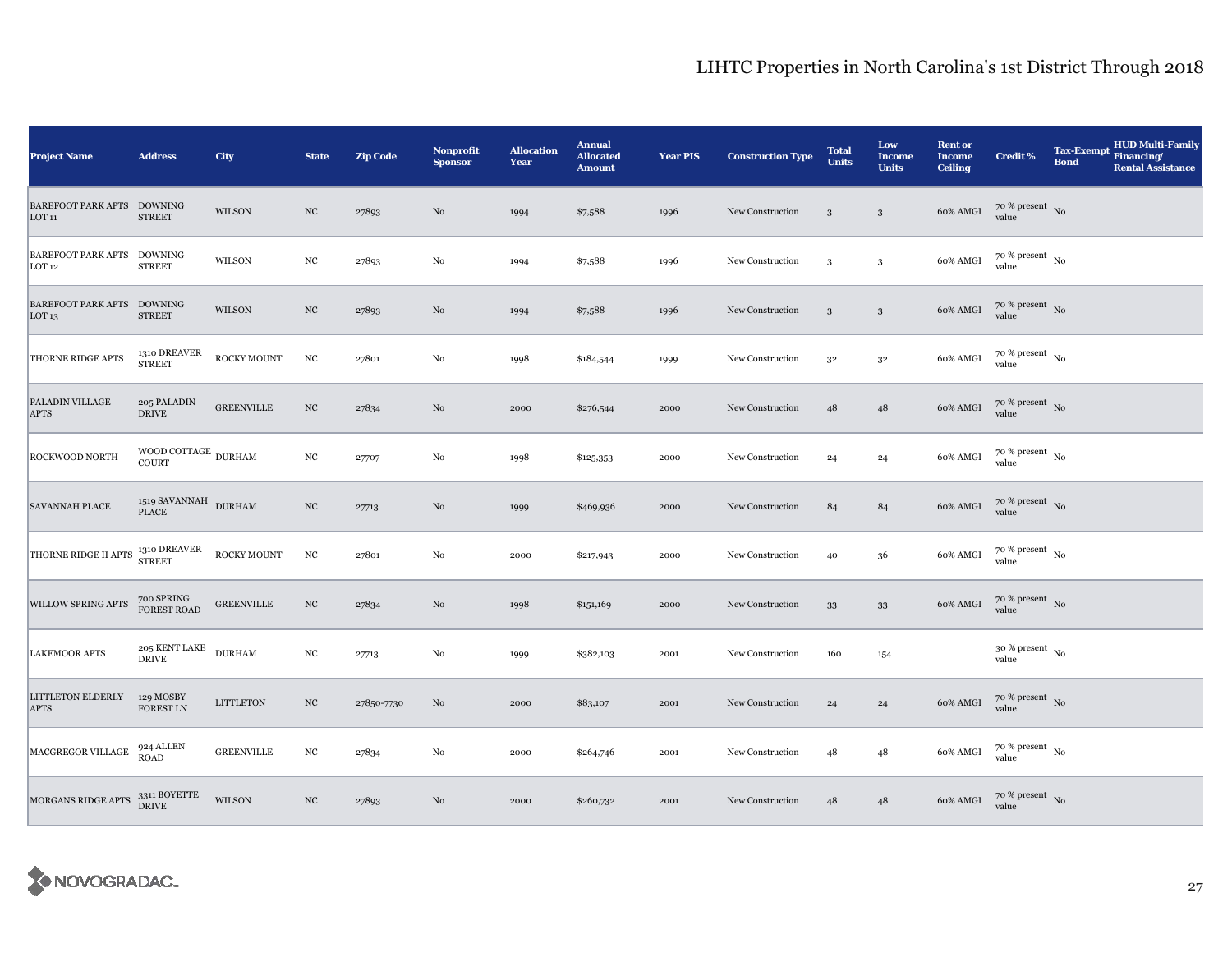| <b>Project Name</b>                             | <b>Address</b>                              | City              | <b>State</b>     | <b>Zip Code</b> | <b>Nonprofit</b><br><b>Sponsor</b> | <b>Allocation</b><br>Year | <b>Annual</b><br><b>Allocated</b><br><b>Amount</b> | <b>Year PIS</b> | <b>Construction Type</b> | <b>Total</b><br><b>Units</b> | Low<br><b>Income</b><br><b>Units</b> | <b>Rent or</b><br><b>Income</b><br><b>Ceiling</b> | <b>Credit %</b>                          | <b>Tax-Exempt</b><br><b>Bond</b> | <b>HUD Multi-Family</b><br>Financing/<br><b>Rental Assistance</b> |
|-------------------------------------------------|---------------------------------------------|-------------------|------------------|-----------------|------------------------------------|---------------------------|----------------------------------------------------|-----------------|--------------------------|------------------------------|--------------------------------------|---------------------------------------------------|------------------------------------------|----------------------------------|-------------------------------------------------------------------|
| <b>BAREFOOT PARK APTS</b><br>LOT <sub>11</sub>  | <b>DOWNING</b><br><b>STREET</b>             | <b>WILSON</b>     | $_{\mathrm{NC}}$ | 27893           | No                                 | 1994                      | \$7,588                                            | 1996            | New Construction         | 3                            | $\sqrt{3}$                           | 60% AMGI                                          | $70$ % present $\,$ No $\,$<br>value     |                                  |                                                                   |
| <b>BAREFOOT PARK APTS</b><br>LOT <sub>12</sub>  | <b>DOWNING</b><br><b>STREET</b>             | <b>WILSON</b>     | $_{\mathrm{NC}}$ | 27893           | $_{\rm No}$                        | 1994                      | \$7,588                                            | 1996            | New Construction         | 3                            | 3                                    | 60% AMGI                                          | $70$ % present $\,$ No $\,$<br>value     |                                  |                                                                   |
| BAREFOOT PARK APTS DOWNING<br>LOT <sub>13</sub> | <b>STREET</b>                               | <b>WILSON</b>     | $_{\mathrm{NC}}$ | 27893           | No                                 | 1994                      | \$7,588                                            | 1996            | New Construction         | $\mathbf{3}$                 | $\sqrt{3}$                           | 60% AMGI                                          | $70~\%$ present $~$ No value             |                                  |                                                                   |
| <b>THORNE RIDGE APTS</b>                        | 1310 DREAVER<br><b>STREET</b>               | ROCKY MOUNT       | $_{\mathrm{NC}}$ | 27801           | No                                 | 1998                      | \$184,544                                          | 1999            | New Construction         | 32                           | $3^{\rm 2}$                          | 60% AMGI                                          | $70\,\%$ present $_{\,$ No $\,$<br>value |                                  |                                                                   |
| PALADIN VILLAGE<br><b>APTS</b>                  | 205 PALADIN<br><b>DRIVE</b>                 | <b>GREENVILLE</b> | $_{\mathrm{NC}}$ | 27834           | No                                 | 2000                      | \$276,544                                          | 2000            | New Construction         | 48                           | 48                                   | 60% AMGI                                          | $70~\%$ present $~$ No value             |                                  |                                                                   |
| ROCKWOOD NORTH                                  | WOOD COTTAGE $\,$ DURHAM<br>COURT           |                   | $_{\mathrm{NC}}$ | 27707           | No                                 | 1998                      | \$125,353                                          | 2000            | New Construction         | 24                           | 24                                   | 60% AMGI                                          | $70$ % present $_{\, \rm No}$<br>value   |                                  |                                                                   |
| <b>SAVANNAH PLACE</b>                           | $1519$ SAVANNAH $\,$ DURHAM<br><b>PLACE</b> |                   | $_{\mathrm{NC}}$ | 27713           | $\rm No$                           | 1999                      | \$469,936                                          | 2000            | New Construction         | 84                           | 84                                   | 60% AMGI                                          | $70~\%$ present $~$ No value             |                                  |                                                                   |
| THORNE RIDGE II APTS                            | 1310 DREAVER<br><b>STREET</b>               | ROCKY MOUNT       | $_{\mathrm{NC}}$ | 27801           | $_{\rm No}$                        | 2000                      | \$217,943                                          | 2000            | New Construction         | 40                           | 36                                   | 60% AMGI                                          | $70$ % present $\,$ No $\,$<br>value     |                                  |                                                                   |
| WILLOW SPRING APTS                              | 700 SPRING<br>FOREST ROAD                   | <b>GREENVILLE</b> | $_{\mathrm{NC}}$ | 27834           | $\rm No$                           | 1998                      | \$151,169                                          | 2000            | New Construction         | 33                           | $33\,$                               | 60% AMGI                                          | $70~\%$ present $~$ No value             |                                  |                                                                   |
| <b>LAKEMOOR APTS</b>                            | 205 KENT LAKE<br><b>DRIVE</b>               | <b>DURHAM</b>     | $_{\mathrm{NC}}$ | 27713           | $\rm No$                           | 1999                      | \$382,103                                          | 2001            | New Construction         | 160                          | 154                                  |                                                   | $30$ % present $_{\, \rm No}$<br>value   |                                  |                                                                   |
| LITTLETON ELDERLY<br><b>APTS</b>                | 129 MOSBY<br><b>FOREST LN</b>               | <b>LITTLETON</b>  | $_{\mathrm{NC}}$ | 27850-7730      | No                                 | 2000                      | \$83,107                                           | 2001            | New Construction         | 24                           | 24                                   | 60% AMGI                                          | $70\,\%$ present $\,$ No value           |                                  |                                                                   |
| MACGREGOR VILLAGE                               | 924 ALLEN<br>ROAD                           | <b>GREENVILLE</b> | $_{\mathrm{NC}}$ | 27834           | No                                 | 2000                      | \$264,746                                          | 2001            | New Construction         | 48                           | 48                                   | 60% AMGI                                          | $70~\%$ present $~$ No value             |                                  |                                                                   |
| MORGANS RIDGE APTS                              | 3311 BOYETTE<br>DRIVE                       | <b>WILSON</b>     | $_{\mathrm{NC}}$ | 27893           | No                                 | 2000                      | \$260,732                                          | 2001            | New Construction         | 48                           | 48                                   | 60% AMGI                                          | $70$ % present $\,$ No value             |                                  |                                                                   |

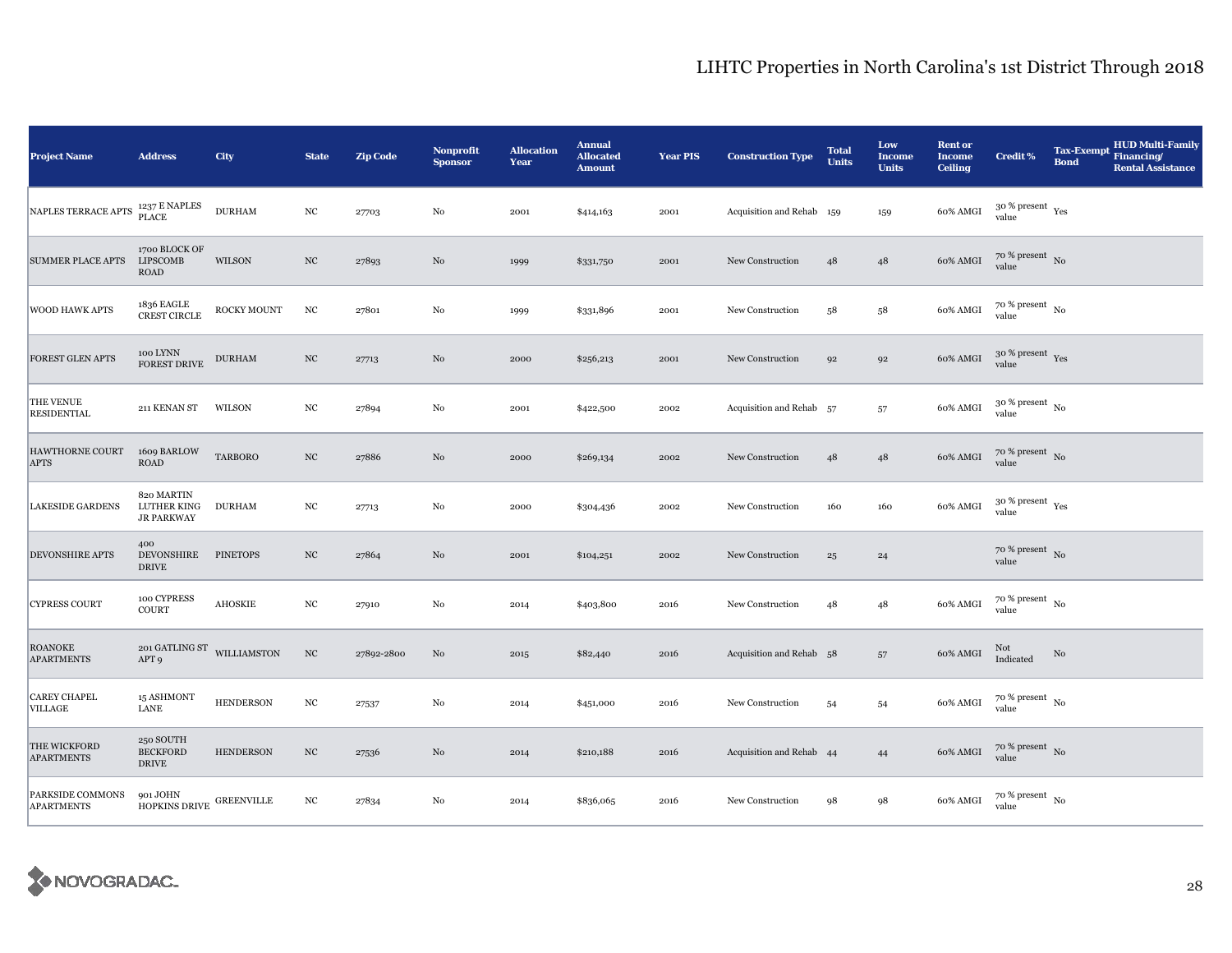| <b>Project Name</b>                   | <b>Address</b>                                               | City               | <b>State</b>     | <b>Zip Code</b> | <b>Nonprofit</b><br><b>Sponsor</b> | <b>Allocation</b><br>Year | <b>Annual</b><br><b>Allocated</b><br><b>Amount</b> | <b>Year PIS</b> | <b>Construction Type</b>  | <b>Total</b><br><b>Units</b> | Low<br><b>Income</b><br><b>Units</b> | <b>Rent or</b><br><b>Income</b><br><b>Ceiling</b> | <b>Credit %</b>                        | <b>Tax-Exempt</b><br><b>Bond</b> | <b>HUD Multi-Family</b><br>Financing/<br><b>Rental Assistance</b> |
|---------------------------------------|--------------------------------------------------------------|--------------------|------------------|-----------------|------------------------------------|---------------------------|----------------------------------------------------|-----------------|---------------------------|------------------------------|--------------------------------------|---------------------------------------------------|----------------------------------------|----------------------------------|-------------------------------------------------------------------|
| NAPLES TERRACE APTS                   | 1237 E NAPLES<br>PLACE                                       | <b>DURHAM</b>      | $_{\mathrm{NC}}$ | 27703           | $_{\rm No}$                        | 2001                      | \$414,163                                          | 2001            | Acquisition and Rehab 159 |                              | 159                                  | 60% AMGI                                          | $30$ % present $\,$ $\rm Yes$<br>value |                                  |                                                                   |
| <b>SUMMER PLACE APTS</b>              | 1700 BLOCK OF<br>LIPSCOMB<br><b>ROAD</b>                     | WILSON             | $_{\mathrm{NC}}$ | 27893           | No                                 | 1999                      | \$331,750                                          | 2001            | New Construction          | 48                           | $48\,$                               | 60% AMGI                                          | $70$ % present $\,$ No $\,$<br>value   |                                  |                                                                   |
| <b>WOOD HAWK APTS</b>                 | 1836 EAGLE<br>CREST CIRCLE                                   | <b>ROCKY MOUNT</b> | $_{\mathrm{NC}}$ | 27801           | $_{\rm No}$                        | 1999                      | \$331,896                                          | 2001            | New Construction          | 58                           | $^{\rm 58}$                          | 60% AMGI                                          | $70~\%$ present $~$ No value           |                                  |                                                                   |
| FOREST GLEN APTS                      | 100 LYNN<br>FOREST DRIVE                                     | <b>DURHAM</b>      | $_{\mathrm{NC}}$ | 27713           | No                                 | 2000                      | \$256,213                                          | 2001            | New Construction          | 92                           | 92                                   | 60% AMGI                                          | $30~\%$ present $\,$ Yes value         |                                  |                                                                   |
| THE VENUE<br><b>RESIDENTIAL</b>       | 211 KENAN ST                                                 | WILSON             | $_{\mathrm{NC}}$ | 27894           | $_{\rm No}$                        | 2001                      | \$422,500                                          | 2002            | Acquisition and Rehab 57  |                              | 57                                   | 60% AMGI                                          | $30~\%$ present $~$ No value           |                                  |                                                                   |
| HAWTHORNE COURT<br><b>APTS</b>        | 1609 BARLOW<br>ROAD                                          | <b>TARBORO</b>     | $_{\mathrm{NC}}$ | 27886           | No                                 | 2000                      | \$269,134                                          | 2002            | New Construction          | 48                           | 48                                   | 60% AMGI                                          | $70~\%$ present $~$ No value           |                                  |                                                                   |
| <b>LAKESIDE GARDENS</b>               | 820 MARTIN<br><b>LUTHER KING</b><br><b>JR PARKWAY</b>        | <b>DURHAM</b>      | $_{\mathrm{NC}}$ | 27713           | $_{\rm No}$                        | 2000                      | \$304,436                                          | 2002            | New Construction          | 160                          | 160                                  | 60% AMGI                                          | $30$ % present $\,$ $\rm Yes$<br>value |                                  |                                                                   |
| <b>DEVONSHIRE APTS</b>                | 400<br><b>DEVONSHIRE</b><br><b>DRIVE</b>                     | <b>PINETOPS</b>    | $_{\mathrm{NC}}$ | 27864           | No                                 | 2001                      | \$104,251                                          | 2002            | New Construction          | $\bf{^{25}}$                 | 24                                   |                                                   | $70~\%$ present $~$ No value           |                                  |                                                                   |
| <b>CYPRESS COURT</b>                  | 100 CYPRESS<br>COURT                                         | <b>AHOSKIE</b>     | $_{\mathrm{NC}}$ | 27910           | No                                 | 2014                      | \$403,800                                          | 2016            | New Construction          | 48                           | 48                                   | 60% AMGI                                          | $70~\%$ present $~$ No value           |                                  |                                                                   |
| <b>ROANOKE</b><br><b>APARTMENTS</b>   | $_{201}$ GATLING ST $_{\rm~WILLIAMSTON}$<br>APT <sub>9</sub> |                    | $_{\mathrm{NC}}$ | 27892-2800      | No                                 | 2015                      | \$82,440                                           | 2016            | Acquisition and Rehab 58  |                              | 57                                   | 60% AMGI                                          | Not<br>Indicated                       | No                               |                                                                   |
| <b>CAREY CHAPEL</b><br><b>VILLAGE</b> | 15 ASHMONT<br><b>LANE</b>                                    | <b>HENDERSON</b>   | $_{\mathrm{NC}}$ | 27537           | $_{\rm No}$                        | 2014                      | \$451,000                                          | 2016            | New Construction          | 54                           | 54                                   | 60% AMGI                                          | $70~\%$ present $~$ No value           |                                  |                                                                   |
| THE WICKFORD<br><b>APARTMENTS</b>     | 250 SOUTH<br><b>BECKFORD</b><br><b>DRIVE</b>                 | <b>HENDERSON</b>   | $_{\mathrm{NC}}$ | 27536           | No                                 | 2014                      | \$210,188                                          | 2016            | Acquisition and Rehab 44  |                              | 44                                   | 60% AMGI                                          | $70~\%$ present $~$ No value           |                                  |                                                                   |
| PARKSIDE COMMONS<br><b>APARTMENTS</b> | 901 JOHN<br><b>HOPKINS DRIVE</b>                             | <b>GREENVILLE</b>  | $_{\mathrm{NC}}$ | 27834           | No                                 | 2014                      | \$836,065                                          | 2016            | New Construction          | 98                           | 98                                   | 60% AMGI                                          | $70~\%$ present $~$ No value           |                                  |                                                                   |

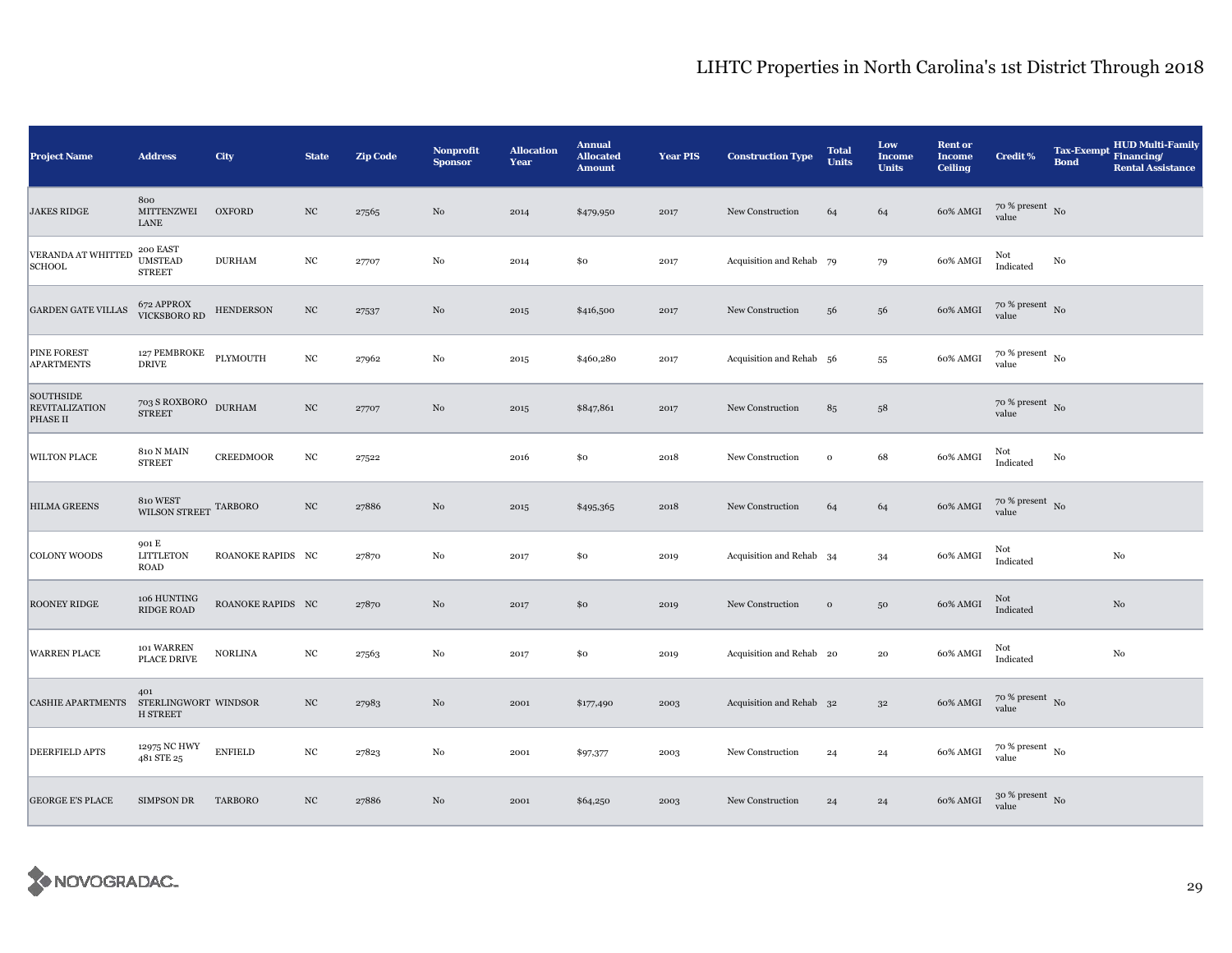| <b>Project Name</b>                            | <b>Address</b>                                 | City              | <b>State</b>     | <b>Zip Code</b> | <b>Nonprofit</b><br><b>Sponsor</b> | <b>Allocation</b><br>Year | <b>Annual</b><br><b>Allocated</b><br><b>Amount</b> | <b>Year PIS</b> | <b>Construction Type</b> | <b>Total</b><br><b>Units</b> | Low<br><b>Income</b><br><b>Units</b> | <b>Rent or</b><br><b>Income</b><br><b>Ceiling</b> | Credit %                               | <b>Tax-Exempt</b><br><b>Bond</b> | <b>HUD Multi-Family</b><br>Financing/<br><b>Rental Assistance</b> |
|------------------------------------------------|------------------------------------------------|-------------------|------------------|-----------------|------------------------------------|---------------------------|----------------------------------------------------|-----------------|--------------------------|------------------------------|--------------------------------------|---------------------------------------------------|----------------------------------------|----------------------------------|-------------------------------------------------------------------|
| <b>JAKES RIDGE</b>                             | 800<br>MITTENZWEI<br>LANE                      | <b>OXFORD</b>     | $_{\mathrm{NC}}$ | 27565           | No                                 | 2014                      | \$479,950                                          | 2017            | New Construction         | 64                           | 64                                   | 60% AMGI                                          | $70~\%$ present $~$ No value           |                                  |                                                                   |
| VERANDA AT WHITTED<br><b>SCHOOL</b>            | 200 EAST<br><b>UMSTEAD</b><br><b>STREET</b>    | <b>DURHAM</b>     | $_{\mathrm{NC}}$ | 27707           | $_{\rm No}$                        | 2014                      | \$0                                                | 2017            | Acquisition and Rehab 79 |                              | 79                                   | 60% AMGI                                          | Not<br>Indicated                       | $\rm No$                         |                                                                   |
| <b>GARDEN GATE VILLAS</b>                      | 672 APPROX<br>VICKSBORO RD                     | <b>HENDERSON</b>  | $_{\mathrm{NC}}$ | 27537           | No                                 | 2015                      | \$416,500                                          | 2017            | New Construction         | 56                           | 56                                   | 60% AMGI                                          | $70~\%$ present $~$ No value           |                                  |                                                                   |
| PINE FOREST<br><b>APARTMENTS</b>               | 127 PEMBROKE<br><b>DRIVE</b>                   | PLYMOUTH          | $_{\mathrm{NC}}$ | 27962           | No                                 | 2015                      | \$460,280                                          | 2017            | Acquisition and Rehab 56 |                              | 55                                   | 60% AMGI                                          | $70$ % present $_{\, \rm No}$<br>value |                                  |                                                                   |
| SOUTHSIDE<br><b>REVITALIZATION</b><br>PHASE II | 703 S ROXBORO<br><b>STREET</b>                 | <b>DURHAM</b>     | $_{\mathrm{NC}}$ | 27707           | $\rm No$                           | 2015                      | \$847,861                                          | 2017            | New Construction         | 85                           | $58\,$                               |                                                   | $70$ % present $\,$ No $\,$<br>value   |                                  |                                                                   |
| WILTON PLACE                                   | 810 N MAIN<br><b>STREET</b>                    | <b>CREEDMOOR</b>  | $_{\mathrm{NC}}$ | 27522           |                                    | 2016                      | \$0                                                | 2018            | New Construction         | $\,$ O                       | 68                                   | 60% AMGI                                          | Not<br>Indicated                       | No                               |                                                                   |
| <b>HILMA GREENS</b>                            | 810 WEST<br>WILSON STREET TARBORO              |                   | $_{\mathrm{NC}}$ | 27886           | $\rm No$                           | 2015                      | \$495,365                                          | 2018            | New Construction         | 64                           | 64                                   | 60% AMGI                                          | $70\,\%$ present $\,$ No value         |                                  |                                                                   |
| COLONY WOODS                                   | 901 E<br><b>LITTLETON</b><br>ROAD              | ROANOKE RAPIDS NC |                  | 27870           | $\rm No$                           | 2017                      | \$0                                                | 2019            | Acquisition and Rehab 34 |                              | 34                                   | 60% AMGI                                          | Not<br>Indicated                       |                                  | $_{\rm No}$                                                       |
| ROONEY RIDGE                                   | 106 HUNTING<br>RIDGE ROAD                      | ROANOKE RAPIDS NC |                  | 27870           | No                                 | 2017                      | \$0                                                | 2019            | New Construction         | $\,$ O                       | $50\,$                               | 60% AMGI                                          | Not<br>Indicated                       |                                  | $\rm No$                                                          |
| <b>WARREN PLACE</b>                            | 101 WARREN<br>PLACE DRIVE                      | <b>NORLINA</b>    | $_{\mathrm{NC}}$ | 27563           | No                                 | 2017                      | \$0                                                | 2019            | Acquisition and Rehab 20 |                              | $\bf{20}$                            | 60% AMGI                                          | Not<br>Indicated                       |                                  | No                                                                |
| <b>CASHIE APARTMENTS</b>                       | 401<br>STERLINGWORT WINDSOR<br><b>H STREET</b> |                   | NC               | 27983           | No                                 | 2001                      | \$177,490                                          | 2003            | Acquisition and Rehab 32 |                              | $3^{\rm 2}$                          | 60% AMGI                                          | $70$ % present $_{\rm No}$             |                                  |                                                                   |
| DEERFIELD APTS                                 | 12975 NC HWY<br>481 STE 25                     | <b>ENFIELD</b>    | $_{\rm NC}$      | 27823           | No                                 | 2001                      | \$97,377                                           | 2003            | New Construction         | 24                           | 24                                   | 60% AMGI                                          | $70$ % present $_{\, \rm No}$<br>value |                                  |                                                                   |
| <b>GEORGE E'S PLACE</b>                        | <b>SIMPSON DR</b>                              | <b>TARBORO</b>    | $_{\mathrm{NC}}$ | 27886           | No                                 | 2001                      | \$64,250                                           | 2003            | New Construction         | 24                           | ${\bf 24}$                           | 60% AMGI                                          | $30~\%$ present $~$ No value           |                                  |                                                                   |

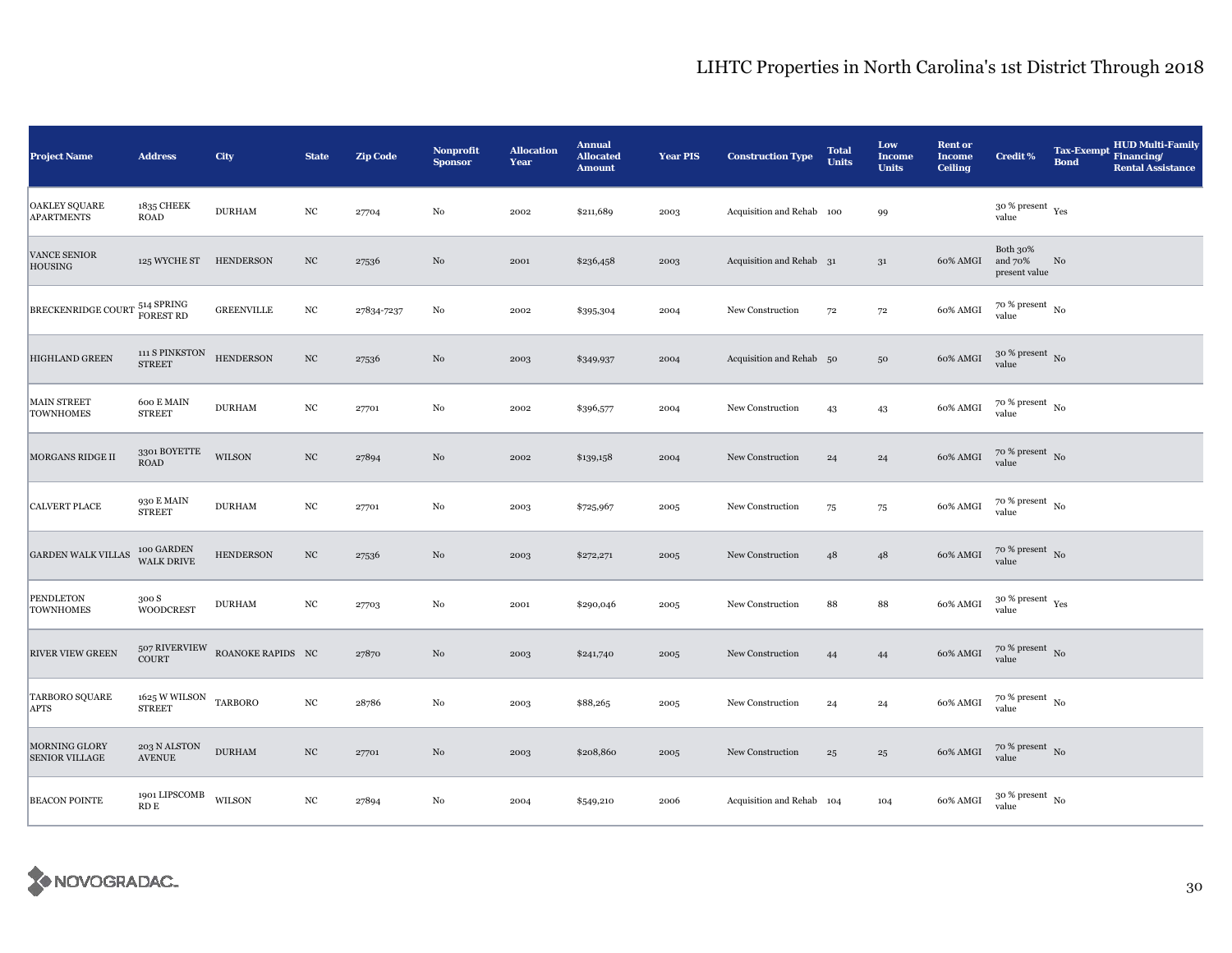| <b>Project Name</b>                           | <b>Address</b>                                     | City              | <b>State</b>     | <b>Zip Code</b> | Nonprofit<br><b>Sponsor</b> | <b>Allocation</b><br>Year | <b>Annual</b><br><b>Allocated</b><br><b>Amount</b> | <b>Year PIS</b> | <b>Construction Type</b>  | <b>Total</b><br><b>Units</b> | Low<br><b>Income</b><br><b>Units</b> | <b>Rent or</b><br><b>Income</b><br><b>Ceiling</b> | Credit %                               | <b>Tax-Exempt</b><br><b>Bond</b> | <b>HUD Multi-Family</b><br>Financing/<br><b>Rental Assistance</b> |
|-----------------------------------------------|----------------------------------------------------|-------------------|------------------|-----------------|-----------------------------|---------------------------|----------------------------------------------------|-----------------|---------------------------|------------------------------|--------------------------------------|---------------------------------------------------|----------------------------------------|----------------------------------|-------------------------------------------------------------------|
| <b>OAKLEY SQUARE</b><br><b>APARTMENTS</b>     | 1835 CHEEK<br><b>ROAD</b>                          | <b>DURHAM</b>     | $_{\mathrm{NC}}$ | 27704           | $\rm No$                    | 2002                      | \$211,689                                          | 2003            | Acquisition and Rehab 100 |                              | 99                                   |                                                   | $30$ % present $\,$ $\rm Yes$<br>value |                                  |                                                                   |
| <b>VANCE SENIOR</b><br>HOUSING                | 125 WYCHE ST HENDERSON                             |                   | $_{\rm NC}$      | 27536           | $_{\rm No}$                 | 2001                      | \$236,458                                          | 2003            | Acquisition and Rehab 31  |                              | $3^{\rm 1}$                          | 60% AMGI                                          | Both 30%<br>and 70%<br>present value   | No                               |                                                                   |
| BRECKENRIDGE COURT 514 SPRING                 |                                                    | <b>GREENVILLE</b> | $_{\mathrm{NC}}$ | 27834-7237      | $_{\rm No}$                 | 2002                      | \$395,304                                          | 2004            | New Construction          | 72                           | $72\,$                               | 60% AMGI                                          | $70~\%$ present $~$ No value           |                                  |                                                                   |
| <b>HIGHLAND GREEN</b>                         | 111 S PINKSTON<br><b>STREET</b>                    | <b>HENDERSON</b>  | $_{\mathrm{NC}}$ | 27536           | $\rm No$                    | 2003                      | \$349,937                                          | 2004            | Acquisition and Rehab 50  |                              | $50\,$                               | 60% AMGI                                          | $30$ % present $\,$ No $\,$<br>value   |                                  |                                                                   |
| <b>MAIN STREET</b><br><b>TOWNHOMES</b>        | 600 E MAIN<br><b>STREET</b>                        | <b>DURHAM</b>     | $_{\mathrm{NC}}$ | 27701           | $\rm No$                    | 2002                      | \$396,577                                          | 2004            | New Construction          | 43                           | 43                                   | 60% AMGI                                          | $70$ % present $_{\, \rm No}$<br>value |                                  |                                                                   |
| MORGANS RIDGE II                              | 3301 BOYETTE<br><b>ROAD</b>                        | WILSON            | $_{\mathrm{NC}}$ | 27894           | No                          | 2002                      | \$139,158                                          | 2004            | New Construction          | 24                           | 24                                   | 60% AMGI                                          | $70~\%$ present $~$ No value           |                                  |                                                                   |
| <b>CALVERT PLACE</b>                          | 930 E MAIN<br><b>STREET</b>                        | <b>DURHAM</b>     | $_{\mathrm{NC}}$ | 27701           | No                          | 2003                      | \$725,967                                          | 2005            | New Construction          | 75                           | 75                                   | 60% AMGI                                          | $70~\%$ present $~$ No value           |                                  |                                                                   |
| <b>GARDEN WALK VILLAS</b>                     | 100 GARDEN<br>WALK DRIVE                           | <b>HENDERSON</b>  | $_{\rm NC}$      | 27536           | No                          | 2003                      | \$272,271                                          | 2005            | New Construction          | 48                           | 48                                   | 60% AMGI                                          | $70\,\%$ present $\,$ No value         |                                  |                                                                   |
| <b>PENDLETON</b><br><b>TOWNHOMES</b>          | 300 S<br><b>WOODCREST</b>                          | <b>DURHAM</b>     | $_{\mathrm{NC}}$ | 27703           | $_{\rm No}$                 | 2001                      | \$290,046                                          | 2005            | New Construction          | 88                           | 88                                   | 60% AMGI                                          | $30$ % present $\,$ $\rm Yes$<br>value |                                  |                                                                   |
| <b>RIVER VIEW GREEN</b>                       | 507 RIVERVIEW<br>COURT                             | ROANOKE RAPIDS NC |                  | 27870           | No                          | 2003                      | \$241,740                                          | 2005            | New Construction          | 44                           | 44                                   | 60% AMGI                                          | $70$ % present $_{\rm No}$             |                                  |                                                                   |
| <b>TARBORO SQUARE</b><br><b>APTS</b>          | $1625\,\mathrm{W}\,\mathrm{WILSON}$ TARBORO STREET |                   | $_{\mathrm{NC}}$ | 28786           | $_{\rm No}$                 | 2003                      | \$88,265                                           | 2005            | New Construction          | 24                           | 24                                   | 60% AMGI                                          | $70~\%$ present $~$ No value           |                                  |                                                                   |
| <b>MORNING GLORY</b><br><b>SENIOR VILLAGE</b> | 203 N ALSTON<br>$\operatorname{AVENUE}$            | <b>DURHAM</b>     | $_{\mathrm{NC}}$ | 27701           | No                          | 2003                      | \$208,860                                          | 2005            | New Construction          | 25                           | $\bf{^{25}}$                         | 60% AMGI                                          | $70~\%$ present $~$ No value           |                                  |                                                                   |
| <b>BEACON POINTE</b>                          | 1901 LIPSCOMB WILSON<br>$\mathop{\mathrm{RDE}}$    |                   | $_{\mathrm{NC}}$ | 27894           | No                          | 2004                      | \$549,210                                          | 2006            | Acquisition and Rehab 104 |                              | 104                                  | 60% AMGI                                          | $30~\%$ present $~$ No value           |                                  |                                                                   |

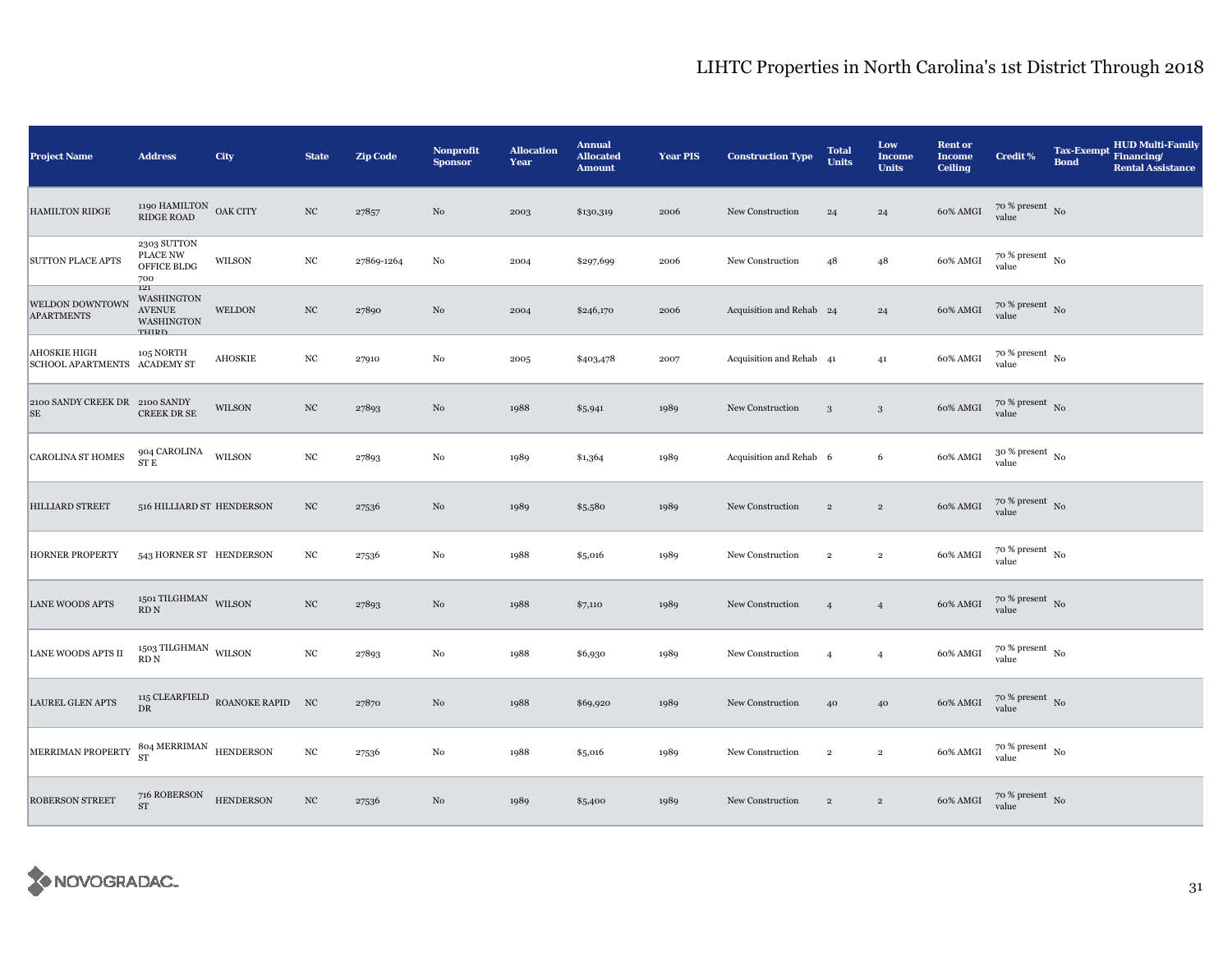| <b>Project Name</b>                                 | <b>Address</b>                                                                                        | City                            | <b>State</b>     | <b>Zip Code</b> | Nonprofit<br><b>Sponsor</b> | <b>Allocation</b><br>Year | <b>Annual</b><br><b>Allocated</b><br><b>Amount</b> | <b>Year PIS</b> | <b>Construction Type</b> | <b>Total</b><br><b>Units</b> | Low<br><b>Income</b><br><b>Units</b> | <b>Rent or</b><br><b>Income</b><br><b>Ceiling</b> | <b>Credit %</b>                          | <b>Tax-Exempt</b><br><b>Bond</b> | <b>HUD Multi-Family</b><br>Financing/<br><b>Rental Assistance</b> |
|-----------------------------------------------------|-------------------------------------------------------------------------------------------------------|---------------------------------|------------------|-----------------|-----------------------------|---------------------------|----------------------------------------------------|-----------------|--------------------------|------------------------------|--------------------------------------|---------------------------------------------------|------------------------------------------|----------------------------------|-------------------------------------------------------------------|
| <b>HAMILTON RIDGE</b>                               | 1190 HAMILTON OAK CITY<br><b>RIDGE ROAD</b>                                                           |                                 | $_{\mathrm{NC}}$ | 27857           | No                          | 2003                      | \$130,319                                          | 2006            | New Construction         | 24                           | 24                                   | 60% AMGI                                          | $70$ % present $\,$ No $\,$<br>value     |                                  |                                                                   |
| <b>SUTTON PLACE APTS</b>                            | 2303 SUTTON<br>PLACE NW<br>OFFICE BLDG<br>700                                                         | WILSON                          | $_{\mathrm{NC}}$ | 27869-1264      | No                          | 2004                      | \$297,699                                          | 2006            | New Construction         | 48                           | 48                                   | 60% AMGI                                          | $70~\%$ present $~$ No value             |                                  |                                                                   |
| WELDON DOWNTOWN<br><b>APARTMENTS</b>                | 121<br><b>WASHINGTON</b><br><b>AVENUE</b><br><b>WASHINGTON</b><br>TUIDD                               | <b>WELDON</b>                   | $_{\mathrm{NC}}$ | 27890           | $\rm No$                    | 2004                      | \$246,170                                          | 2006            | Acquisition and Rehab 24 |                              | 24                                   | 60% AMGI                                          | $70~\%$ present $~$ No value             |                                  |                                                                   |
| <b>AHOSKIE HIGH</b><br>SCHOOL APARTMENTS ACADEMY ST | 105 NORTH                                                                                             | <b>AHOSKIE</b>                  | $_{\mathrm{NC}}$ | 27910           | No                          | 2005                      | \$403,478                                          | 2007            | Acquisition and Rehab 41 |                              | 41                                   | 60% AMGI                                          | $70$ % present $_{\, \rm No}$<br>value   |                                  |                                                                   |
| 2100 SANDY CREEK DR 2100 SANDY<br><b>SE</b>         | <b>CREEK DR SE</b>                                                                                    | WILSON                          | $_{\mathrm{NC}}$ | 27893           | $\rm No$                    | 1988                      | \$5,941                                            | 1989            | New Construction         | 3                            | $\mathbf{3}$                         | 60% AMGI                                          | $70~\%$ present $~$ No value             |                                  |                                                                   |
| CAROLINA ST HOMES                                   | 904 CAROLINA<br>${\rm ST}$ E                                                                          | WILSON                          | $_{\mathrm{NC}}$ | 27893           | No                          | 1989                      | \$1,364                                            | 1989            | Acquisition and Rehab 6  |                              | 6                                    | 60% AMGI                                          | $30$ % present $_{\rm No}$<br>value      |                                  |                                                                   |
| <b>HILLIARD STREET</b>                              | 516 HILLIARD ST HENDERSON                                                                             |                                 | $_{\mathrm{NC}}$ | 27536           | No                          | 1989                      | \$5,580                                            | 1989            | New Construction         | $\overline{2}$               | $\sqrt{2}$                           | 60% AMGI                                          | $70~\%$ present $~$ No value             |                                  |                                                                   |
| <b>HORNER PROPERTY</b>                              | 543 HORNER ST HENDERSON                                                                               |                                 | $_{\mathrm{NC}}$ | 27536           | No                          | 1988                      | \$5,016                                            | 1989            | New Construction         | $\overline{2}$               | $\overline{2}$                       | 60% AMGI                                          | $70~\%$ present $~$ No value             |                                  |                                                                   |
| <b>LANE WOODS APTS</b>                              | $_{\rm 1501}$ TILGHMAN $_{\rm WILSON}$<br>$\mathop{\mathrm{RD}}\nolimits\mathop{\mathrm{N}}\nolimits$ |                                 | $_{\mathrm{NC}}$ | 27893           | No                          | 1988                      | \$7,110                                            | 1989            | New Construction         | $\overline{4}$               | $\overline{4}$                       | 60% AMGI                                          | $70\,\%$ present $\,$ No value           |                                  |                                                                   |
| LANE WOODS APTS II                                  | $_{1503}$ TILGHMAN $_{\rm WILSON}$<br>RD <sub>N</sub>                                                 |                                 | $_{\mathrm{NC}}$ | 27893           | $\rm No$                    | 1988                      | \$6,930                                            | 1989            | New Construction         | $\overline{4}$               | $\overline{4}$                       | 60% AMGI                                          | $70~\%$ present $~$ No value             |                                  |                                                                   |
| <b>LAUREL GLEN APTS</b>                             | $\rm DR$                                                                                              | 115 CLEARFIELD ROANOKE RAPID NC |                  | 27870           | No                          | 1988                      | \$69,920                                           | 1989            | New Construction         | 40                           | 40                                   | 60% AMGI                                          | $70\,\%$ present $\,$ No value           |                                  |                                                                   |
| MERRIMAN PROPERTY                                   | $804\;\mathrm{MERRIMAN}\newline$ HENDERSON ST                                                         |                                 | $_{\mathrm{NC}}$ | 27536           | $_{\rm No}$                 | 1988                      | \$5,016                                            | 1989            | New Construction         | $\,2\,$                      | $\,2\,$                              | 60% AMGI                                          | $70\,\%$ present $_{\,$ No $\,$<br>value |                                  |                                                                   |
| <b>ROBERSON STREET</b>                              | 716 ROBERSON<br><b>ST</b>                                                                             | <b>HENDERSON</b>                | $_{\mathrm{NC}}$ | 27536           | No                          | 1989                      | \$5,400                                            | 1989            | New Construction         | $\overline{2}$               | $\overline{2}$                       | 60% AMGI                                          | $70$ % present $\,$ No value             |                                  |                                                                   |

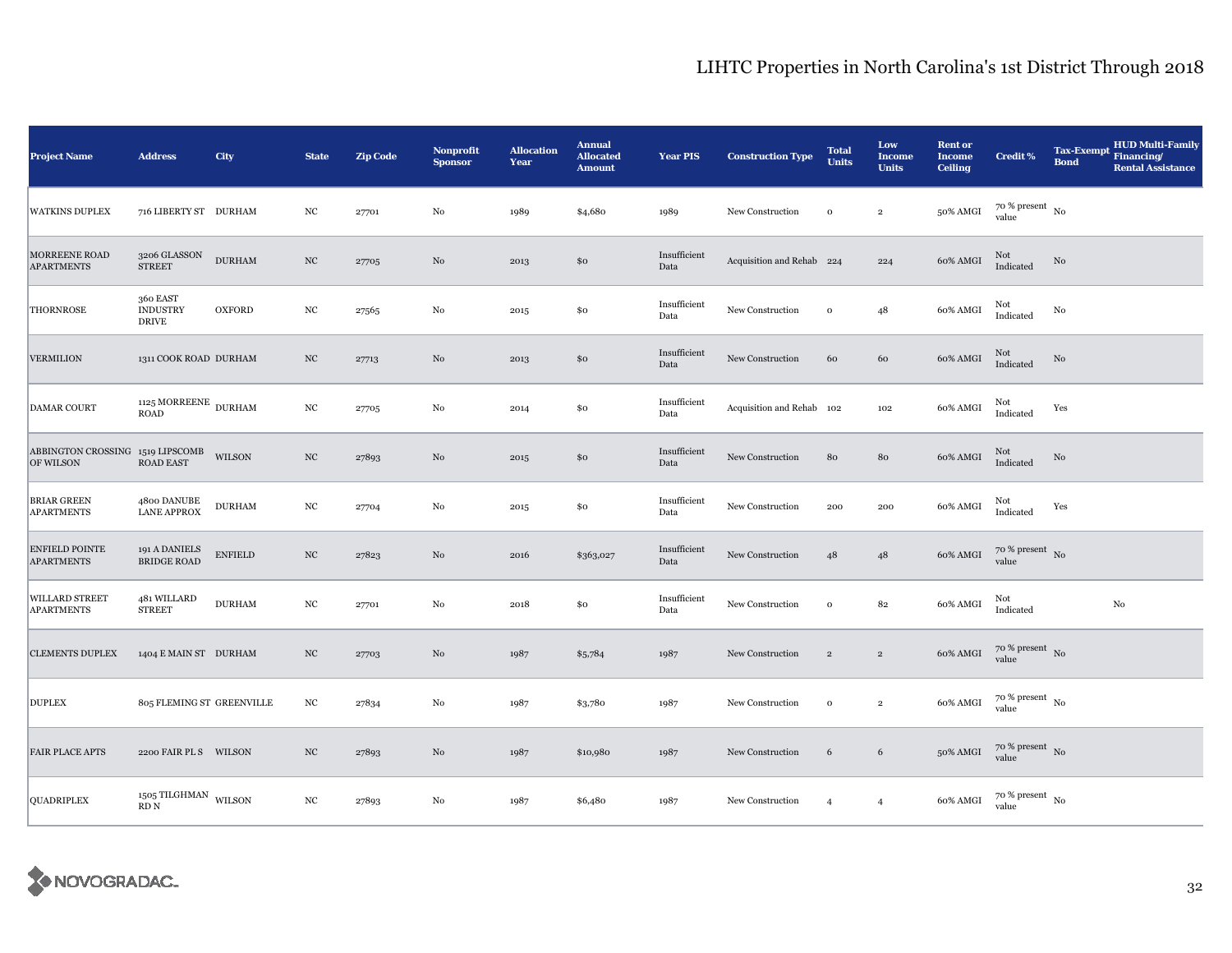| <b>Project Name</b>                                  | <b>Address</b>                                                                                         | City           | <b>State</b>     | <b>Zip Code</b> | <b>Nonprofit</b><br><b>Sponsor</b> | <b>Allocation</b><br>Year | <b>Annual</b><br><b>Allocated</b><br><b>Amount</b> | <b>Year PIS</b>      | <b>Construction Type</b>  | <b>Total</b><br><b>Units</b> | Low<br><b>Income</b><br><b>Units</b> | <b>Rent or</b><br><b>Income</b><br><b>Ceiling</b> | <b>Credit %</b>                        | <b>Tax-Exempt</b><br><b>Bond</b> | <b>HUD Multi-Family</b><br>Financing/<br><b>Rental Assistance</b> |
|------------------------------------------------------|--------------------------------------------------------------------------------------------------------|----------------|------------------|-----------------|------------------------------------|---------------------------|----------------------------------------------------|----------------------|---------------------------|------------------------------|--------------------------------------|---------------------------------------------------|----------------------------------------|----------------------------------|-------------------------------------------------------------------|
| <b>WATKINS DUPLEX</b>                                | 716 LIBERTY ST DURHAM                                                                                  |                | $_{\mathrm{NC}}$ | 27701           | No                                 | 1989                      | \$4,680                                            | 1989                 | New Construction          | $\mathbf{o}$                 | $\,2\,$                              | 50% AMGI                                          | $70$ % present $_{\, \rm No}$<br>value |                                  |                                                                   |
| MORREENE ROAD<br><b>APARTMENTS</b>                   | 3206 GLASSON<br><b>STREET</b>                                                                          | <b>DURHAM</b>  | $_{\mathrm{NC}}$ | 27705           | No                                 | 2013                      | \$0                                                | Insufficient<br>Data | Acquisition and Rehab 224 |                              | 224                                  | 60% AMGI                                          | Not<br>Indicated                       | No                               |                                                                   |
| <b>THORNROSE</b>                                     | 360 EAST<br><b>INDUSTRY</b><br><b>DRIVE</b>                                                            | <b>OXFORD</b>  | NC               | 27565           | $\rm No$                           | 2015                      | \$0                                                | Insufficient<br>Data | New Construction          | $\mathbf{o}$                 | 48                                   | 60% AMGI                                          | Not<br>Indicated                       | No                               |                                                                   |
| <b>VERMILION</b>                                     | 1311 COOK ROAD DURHAM                                                                                  |                | $_{\mathrm{NC}}$ | 27713           | $\rm No$                           | 2013                      | \$0                                                | Insufficient<br>Data | New Construction          | 60                           | 60                                   | 60% AMGI                                          | Not<br>Indicated                       | $\rm No$                         |                                                                   |
| <b>DAMAR COURT</b>                                   | $1125\,\mathrm{MORREENE}\xspace$ DURHAM<br><b>ROAD</b>                                                 |                | $_{\mathrm{NC}}$ | 27705           | No                                 | 2014                      | \$0                                                | Insufficient<br>Data | Acquisition and Rehab 102 |                              | 102                                  | 60% AMGI                                          | Not<br>Indicated                       | Yes                              |                                                                   |
| ABBINGTON CROSSING 1519 LIPSCOMB WILSON<br>OF WILSON | ROAD EAST                                                                                              |                | $_{\mathrm{NC}}$ | 27893           | No                                 | 2015                      | \$0                                                | Insufficient<br>Data | New Construction          | 80                           | 80                                   | 60% AMGI                                          | Not<br>Indicated                       | No                               |                                                                   |
| <b>BRIAR GREEN</b><br><b>APARTMENTS</b>              | 4800 DANUBE<br><b>LANE APPROX</b>                                                                      | <b>DURHAM</b>  | $_{\mathrm{NC}}$ | 27704           | No                                 | 2015                      | \$0                                                | Insufficient<br>Data | New Construction          | 200                          | 200                                  | 60% AMGI                                          | Not<br>Indicated                       | Yes                              |                                                                   |
| <b>ENFIELD POINTE</b><br><b>APARTMENTS</b>           | 191 A DANIELS<br><b>BRIDGE ROAD</b>                                                                    | <b>ENFIELD</b> | $_{\mathrm{NC}}$ | 27823           | $\rm No$                           | 2016                      | \$363,027                                          | Insufficient<br>Data | New Construction          | 48                           | $48\,$                               | 60% AMGI                                          | $70~\%$ present $~$ No value           |                                  |                                                                   |
| WILLARD STREET<br><b>APARTMENTS</b>                  | 481 WILLARD<br><b>STREET</b>                                                                           | <b>DURHAM</b>  | $_{\mathrm{NC}}$ | 27701           | No                                 | 2018                      | \$0                                                | Insufficient<br>Data | New Construction          | $\mathbf{o}$                 | 82                                   | 60% AMGI                                          | Not<br>Indicated                       |                                  | $_{\rm No}$                                                       |
| <b>CLEMENTS DUPLEX</b>                               | 1404 E MAIN ST DURHAM                                                                                  |                | $_{\mathrm{NC}}$ | 27703           | No                                 | 1987                      | \$5,784                                            | 1987                 | New Construction          | $\sqrt{2}$                   | $\overline{2}$                       | 60% AMGI                                          | $70$ % present $\,$ No $\,$<br>value   |                                  |                                                                   |
| <b>DUPLEX</b>                                        | 805 FLEMING ST GREENVILLE                                                                              |                | $_{\mathrm{NC}}$ | 27834           | No                                 | 1987                      | \$3,780                                            | 1987                 | New Construction          | $\mathbf 0$                  | $\,2\,$                              | 60% AMGI                                          | $70~\%$ present $~$ No value           |                                  |                                                                   |
| <b>FAIR PLACE APTS</b>                               | 2200 FAIR PL S WILSON                                                                                  |                | NC               | 27893           | No                                 | 1987                      | \$10,980                                           | 1987                 | New Construction          | 6                            | 6                                    | 50% AMGI                                          | $70~\%$ present $~$ No value           |                                  |                                                                   |
| QUADRIPLEX                                           | $_{1505}\,\mathrm{THGHMAN}$ $_{\mathrm{WILSON}}$<br>$\mathop{\mathrm{RD}}\nolimits\mathop{\mathrm{N}}$ |                | $_{\mathrm{NC}}$ | 27893           | No                                 | 1987                      | \$6,480                                            | 1987                 | New Construction          | $\overline{4}$               | $\overline{4}$                       | 60% AMGI                                          | $70~\%$ present $~$ No value           |                                  |                                                                   |

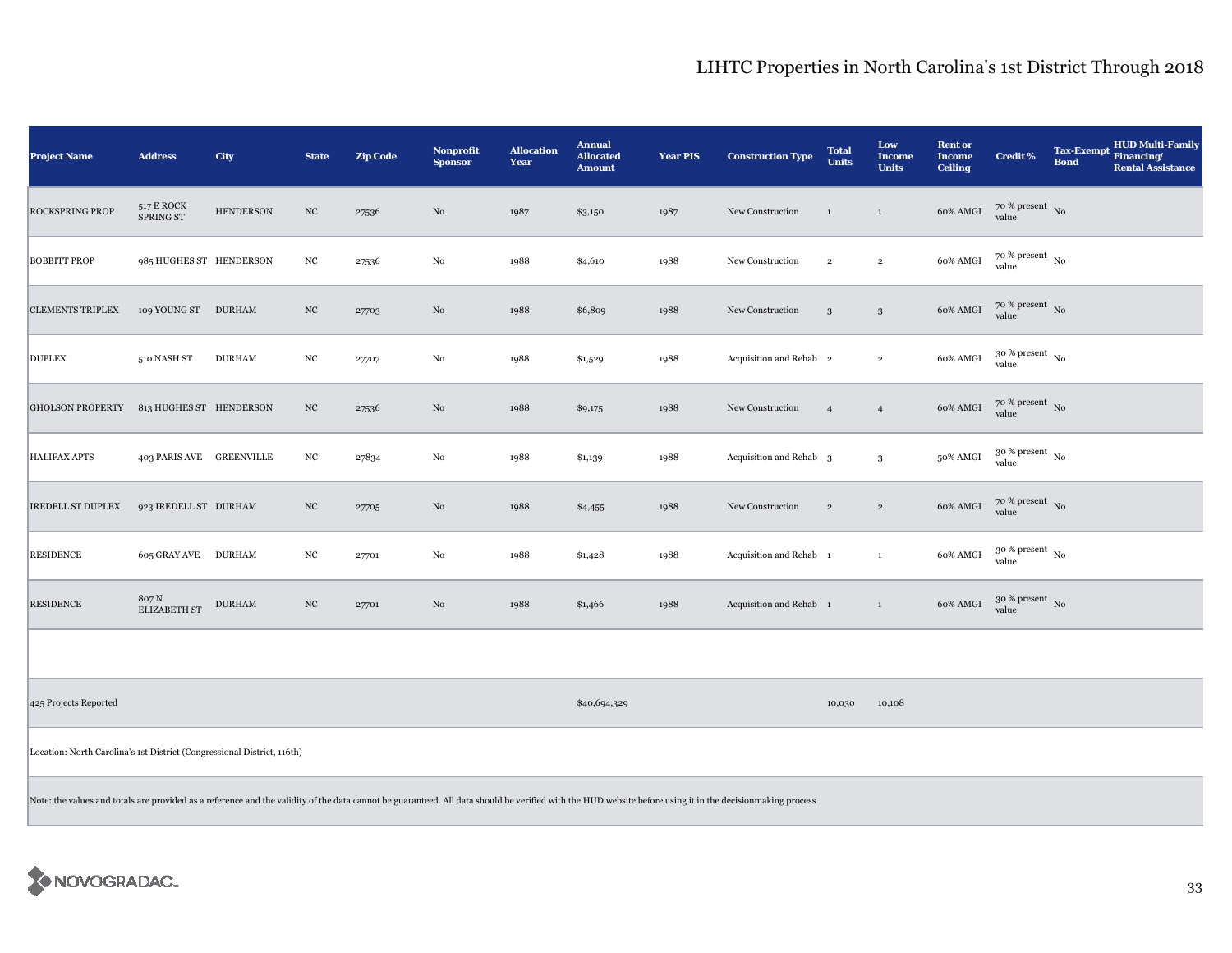| <b>Project Name</b>                                                                                                                                                                                       | <b>Address</b>               | City             | <b>State</b>     | <b>Zip Code</b> | <b>Nonprofit</b><br><b>Sponsor</b> | <b>Allocation</b><br>Year | <b>Annual</b><br><b>Allocated</b><br><b>Amount</b> | <b>Year PIS</b> | <b>Construction Type</b>           | <b>Total</b><br><b>Units</b> | Low<br>Income<br><b>Units</b> | <b>Rent or</b><br><b>Income</b><br><b>Ceiling</b> | <b>Credit %</b>                        | <b>Tax-Exempt</b><br><b>Bond</b> | <b>HUD Multi-Family</b><br>Financing/<br><b>Rental Assistance</b> |
|-----------------------------------------------------------------------------------------------------------------------------------------------------------------------------------------------------------|------------------------------|------------------|------------------|-----------------|------------------------------------|---------------------------|----------------------------------------------------|-----------------|------------------------------------|------------------------------|-------------------------------|---------------------------------------------------|----------------------------------------|----------------------------------|-------------------------------------------------------------------|
| <b>ROCKSPRING PROP</b>                                                                                                                                                                                    | 517 E ROCK<br>SPRING ST      | <b>HENDERSON</b> | $_{\mathrm{NC}}$ | 27536           | No                                 | 1987                      | \$3,150                                            | 1987            | New Construction                   | $\mathbf{1}$                 | $\mathbf{1}$                  | 60% AMGI                                          | $70~\%$ present $~$ No value           |                                  |                                                                   |
| <b>BOBBITT PROP</b>                                                                                                                                                                                       | 985 HUGHES ST HENDERSON      |                  | $_{\mathrm{NC}}$ | 27536           | $_{\rm No}$                        | 1988                      | \$4,610                                            | 1988            | New Construction                   | $\,2\,$                      | $\,2\,$                       | 60% AMGI                                          | $70$ % present $\,$ No $\,$<br>value   |                                  |                                                                   |
| <b>CLEMENTS TRIPLEX</b>                                                                                                                                                                                   | 109 YOUNG ST DURHAM          |                  | $_{\rm NC}$      | 27703           | No                                 | 1988                      | \$6,809                                            | 1988            | New Construction                   | $\mathbf{3}$                 | $\mathbf{3}$                  | 60% AMGI                                          | $70$ % present $\,$ No $\,$<br>value   |                                  |                                                                   |
| <b>DUPLEX</b>                                                                                                                                                                                             | 510 NASH ST                  | <b>DURHAM</b>    | $_{\mathrm{NC}}$ | 27707           | $_{\rm No}$                        | 1988                      | \$1,529                                            | 1988            | Acquisition and Rehab 2            |                              | $\overline{2}$                | 60% AMGI                                          | $30$ % present $\,$ No $\,$<br>value   |                                  |                                                                   |
| <b>GHOLSON PROPERTY</b>                                                                                                                                                                                   | 813 HUGHES ST HENDERSON      |                  | $_{\rm NC}$      | 27536           | $\rm No$                           | 1988                      | \$9,175                                            | 1988            | New Construction                   | $\overline{4}$               | $\overline{4}$                | 60% AMGI                                          | $70~\%$ present $~$ No value           |                                  |                                                                   |
| <b>HALIFAX APTS</b>                                                                                                                                                                                       | 403 PARIS AVE GREENVILLE     |                  | $_{\mathrm{NC}}$ | 27834           | $_{\rm No}$                        | 1988                      | \$1,139                                            | 1988            | Acquisition and Rehab <sub>3</sub> |                              | $\mathbf{3}$                  | 50% AMGI                                          | $30$ % present $\,$ No $\,$<br>value   |                                  |                                                                   |
| IREDELL ST DUPLEX                                                                                                                                                                                         | 923 IREDELL ST DURHAM        |                  | $_{\mathrm{NC}}$ | 27705           | No                                 | 1988                      | \$4,455                                            | 1988            | New Construction                   | $\,2\,$                      | $\,2\,$                       | $60\%$ AMGI                                       | $70~\%$ present $~$ No value           |                                  |                                                                   |
| <b>RESIDENCE</b>                                                                                                                                                                                          | 605 GRAY AVE DURHAM          |                  | $_{\mathrm{NC}}$ | 27701           | $_{\rm No}$                        | 1988                      | \$1,428                                            | 1988            | Acquisition and Rehab 1            |                              | $\mathbf{1}$                  | 60% AMGI                                          | $30\,\%$ present $\,$ No $\,$<br>value |                                  |                                                                   |
| <b>RESIDENCE</b>                                                                                                                                                                                          | 807 N<br><b>ELIZABETH ST</b> | <b>DURHAM</b>    | $_{\mathrm{NC}}$ | 27701           | $\rm No$                           | 1988                      | \$1,466                                            | 1988            | Acquisition and Rehab 1            |                              | $\mathbf{1}$                  | 60% AMGI                                          | $30\,\%$ present $\,$ No $\,$<br>value |                                  |                                                                   |
|                                                                                                                                                                                                           |                              |                  |                  |                 |                                    |                           |                                                    |                 |                                    |                              |                               |                                                   |                                        |                                  |                                                                   |
| 425 Projects Reported                                                                                                                                                                                     |                              |                  |                  |                 |                                    |                           | \$40,694,329                                       |                 |                                    | 10,030                       | 10,108                        |                                                   |                                        |                                  |                                                                   |
| Location: North Carolina's 1st District (Congressional District, 116th)                                                                                                                                   |                              |                  |                  |                 |                                    |                           |                                                    |                 |                                    |                              |                               |                                                   |                                        |                                  |                                                                   |
| Note: the values and totals are provided as a reference and the validity of the data cannot be guaranteed. All data should be verified with the HUD website before using it in the decisionmaking process |                              |                  |                  |                 |                                    |                           |                                                    |                 |                                    |                              |                               |                                                   |                                        |                                  |                                                                   |